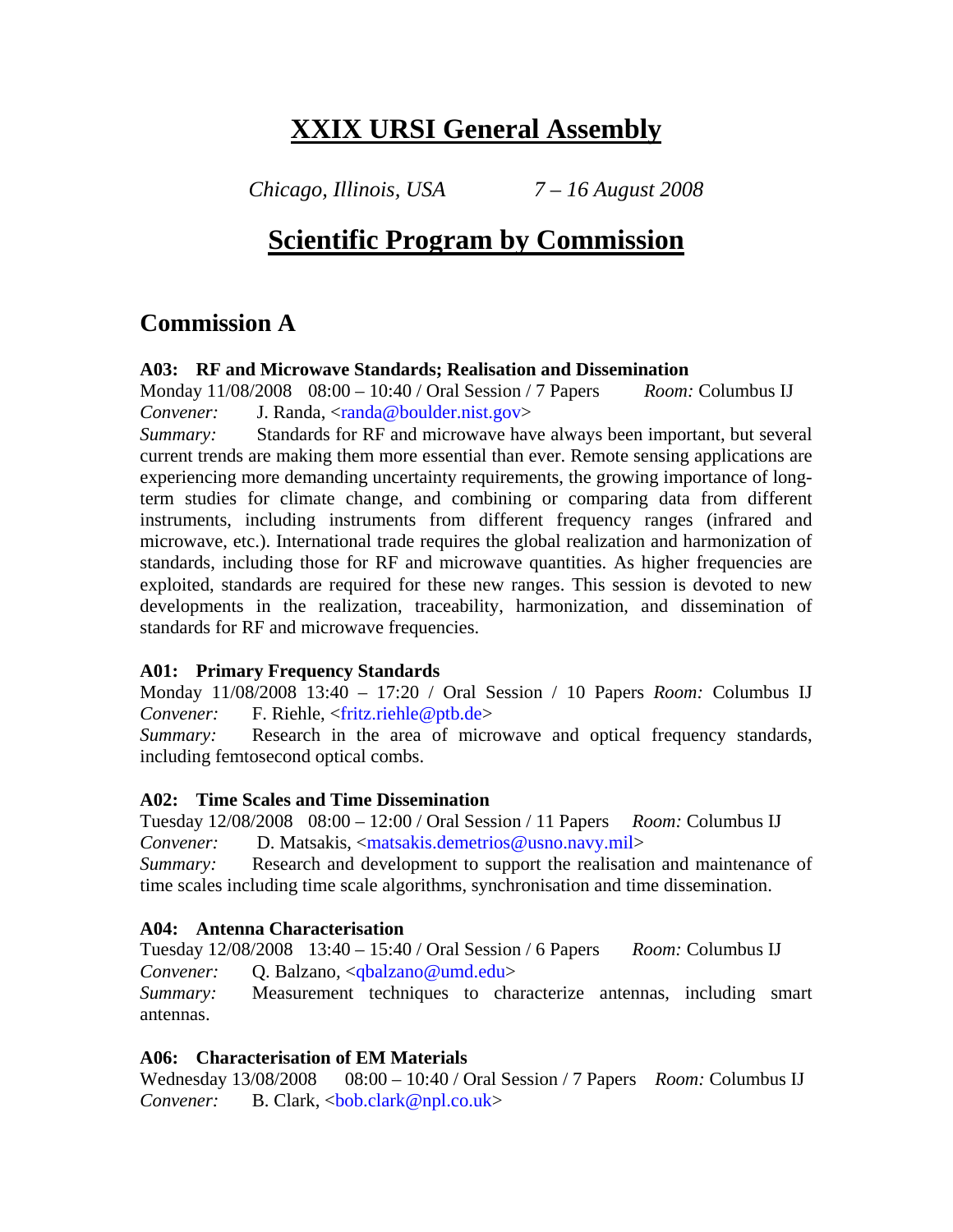# **XXIX URSI General Assembly**

*Chicago, Illinois, USA 7 – 16 August 2008* 

# **Scientific Program by Commission**

# **Commission A**

#### **A03: RF and Microwave Standards; Realisation and Dissemination**

Monday 11/08/2008 08:00 – 10:40 / Oral Session / 7 Papers *Room:* Columbus IJ *Convener:* J. Randa, <randa@boulder.nist.gov>

*Summary:* Standards for RF and microwave have always been important, but several current trends are making them more essential than ever. Remote sensing applications are experiencing more demanding uncertainty requirements, the growing importance of longterm studies for climate change, and combining or comparing data from different instruments, including instruments from different frequency ranges (infrared and microwave, etc.). International trade requires the global realization and harmonization of standards, including those for RF and microwave quantities. As higher frequencies are exploited, standards are required for these new ranges. This session is devoted to new developments in the realization, traceability, harmonization, and dissemination of standards for RF and microwave frequencies.

### **A01: Primary Frequency Standards**

Monday 11/08/2008 13:40 – 17:20 / Oral Session / 10 Papers *Room:* Columbus IJ *Convener:* F. Riehle, <fritz.riehle@ptb.de>

*Summary:* Research in the area of microwave and optical frequency standards, including femtosecond optical combs.

#### **A02: Time Scales and Time Dissemination**

Tuesday 12/08/2008 08:00 – 12:00 / Oral Session / 11 Papers *Room:* Columbus IJ *Convener:* D. Matsakis, <matsakis.demetrios@usno.navy.mil>

*Summary:* Research and development to support the realisation and maintenance of time scales including time scale algorithms, synchronisation and time dissemination.

### **A04: Antenna Characterisation**

Tuesday 12/08/2008 13:40 – 15:40 / Oral Session / 6 Papers *Room:* Columbus IJ *Convener:* Q. Balzano, <qbalzano@umd.edu>

*Summary:* Measurement techniques to characterize antennas, including smart antennas.

### **A06: Characterisation of EM Materials**

Wednesday 13/08/2008 08:00 – 10:40 / Oral Session / 7 Papers *Room:* Columbus IJ *Convener:* B. Clark, <br/>bob.clark@npl.co.uk>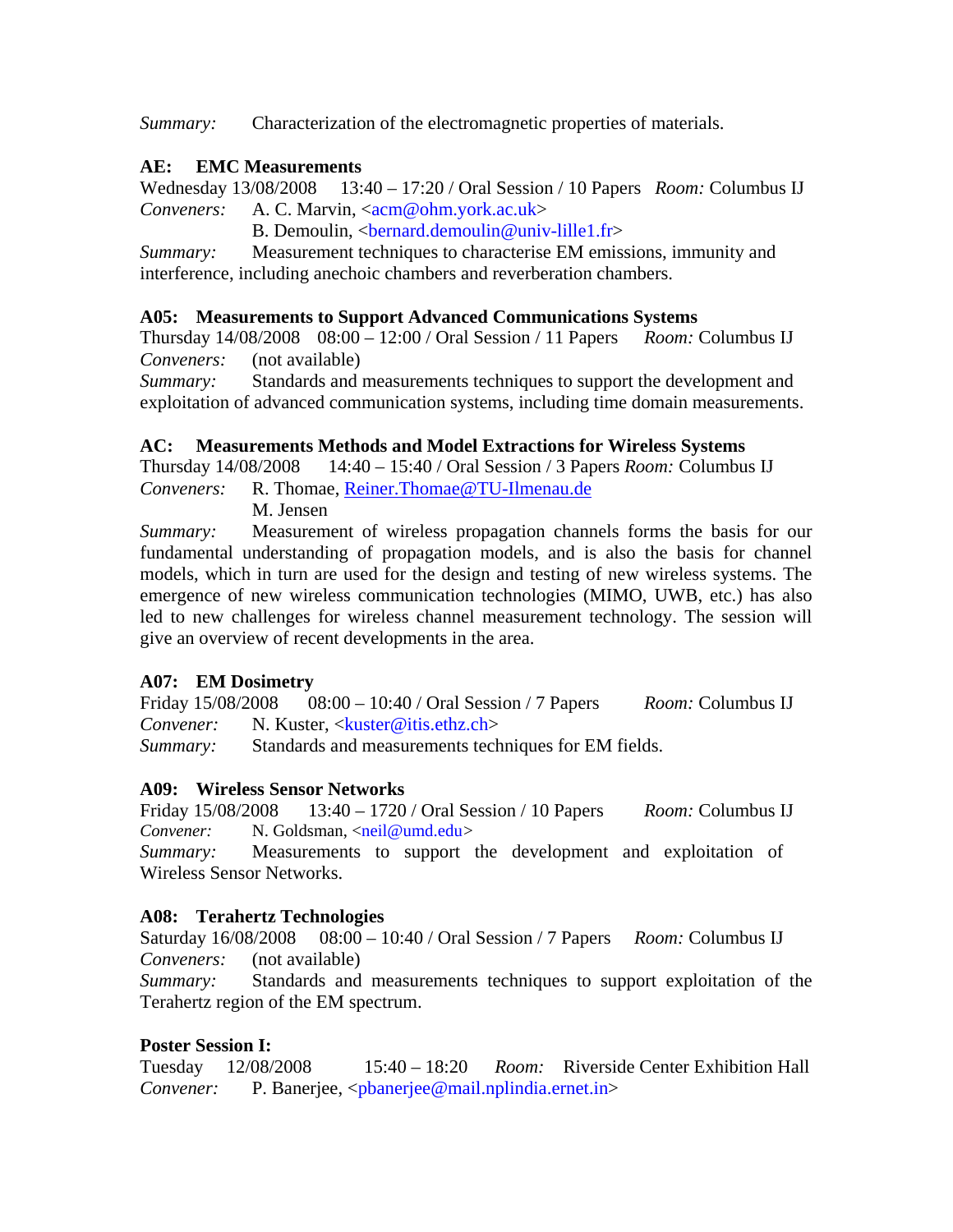*Summary:* Characterization of the electromagnetic properties of materials.

# **AE: EMC Measurements**

Wednesday 13/08/2008 13:40 – 17:20 / Oral Session / 10 Papers *Room:* Columbus IJ *Conveners:* A. C. Marvin, <acm@ohm.york.ac.uk>

B. Demoulin, <bernard.demoulin@univ-lille1.fr>

*Summary:* Measurement techniques to characterise EM emissions, immunity and interference, including anechoic chambers and reverberation chambers.

# **A05: Measurements to Support Advanced Communications Systems**

Thursday 14/08/2008 08:00 – 12:00 / Oral Session / 11 Papers *Room:* Columbus IJ *Conveners:* (not available)

*Summary:* Standards and measurements techniques to support the development and exploitation of advanced communication systems, including time domain measurements.

# **AC: Measurements Methods and Model Extractions for Wireless Systems**

Thursday 14/08/2008 14:40 – 15:40 / Oral Session / 3 Papers *Room:* Columbus IJ

*Conveners:* R. Thomae, Reiner.Thomae@TU-Ilmenau.de M. Jensen

*Summary:* Measurement of wireless propagation channels forms the basis for our fundamental understanding of propagation models, and is also the basis for channel models, which in turn are used for the design and testing of new wireless systems. The emergence of new wireless communication technologies (MIMO, UWB, etc.) has also led to new challenges for wireless channel measurement technology. The session will give an overview of recent developments in the area.

### **A07: EM Dosimetry**

Friday 15/08/2008 08:00 – 10:40 / Oral Session / 7 Papers *Room:* Columbus IJ *Convener:* N. Kuster, <kuster@itis.ethz.ch>

*Summary:* Standards and measurements techniques for EM fields.

# **A09: Wireless Sensor Networks**

Friday 15/08/2008 13:40 – 1720 / Oral Session / 10 Papers *Room:* Columbus IJ *Convener:* N. Goldsman, <neil@umd.edu>

*Summary:* Measurements to support the development and exploitation of Wireless Sensor Networks.

# **A08: Terahertz Technologies**

Saturday 16/08/2008 08:00 – 10:40 / Oral Session / 7 Papers *Room:* Columbus IJ *Conveners:* (not available)

*Summary:* Standards and measurements techniques to support exploitation of the Terahertz region of the EM spectrum.

# **Poster Session I:**

Tuesday 12/08/2008 15:40 – 18:20 *Room:* Riverside Center Exhibition Hall *Convener:* P. Banerjee, <ppdanerjee@mail.nplindia.ernet.in>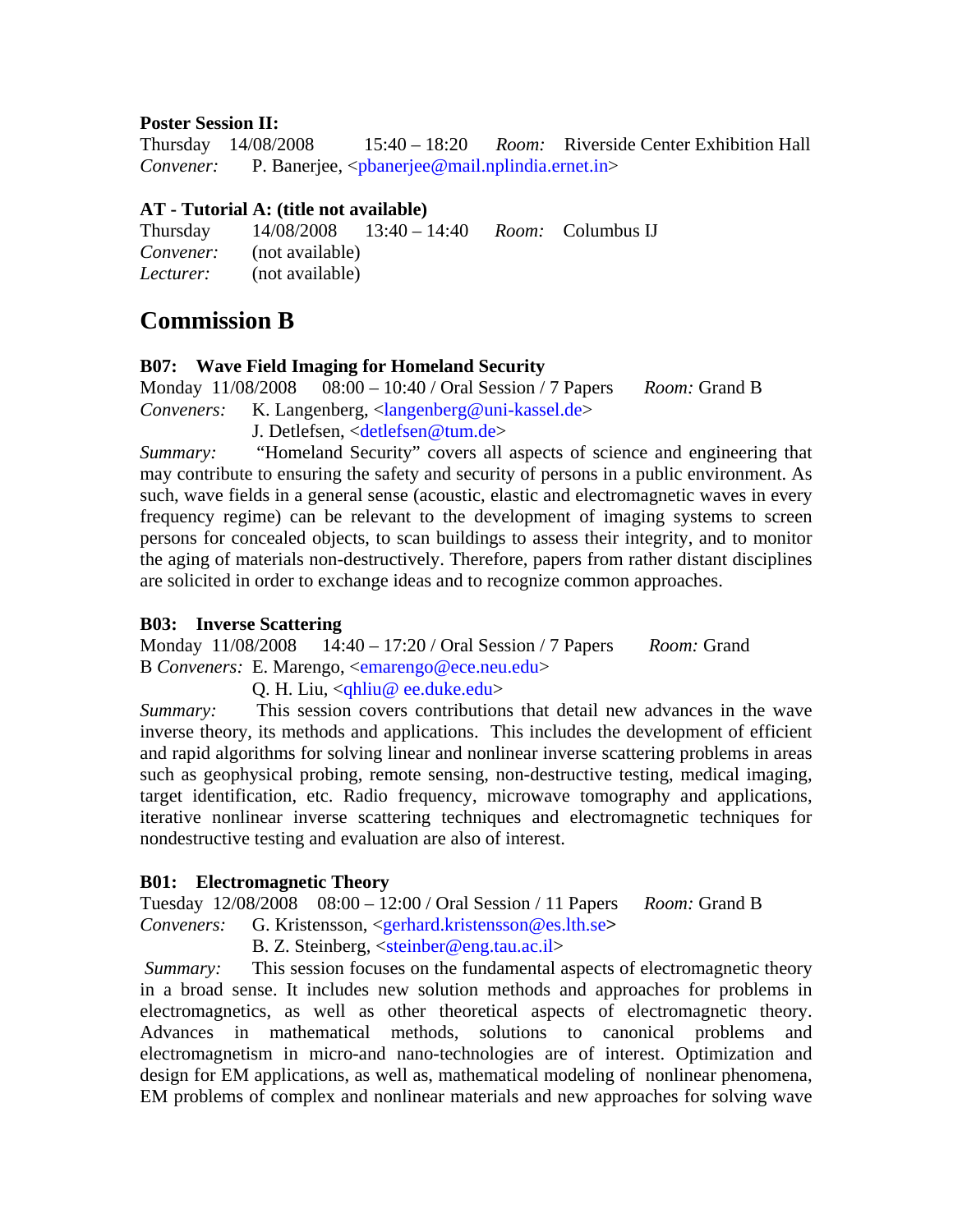#### **Poster Session II:**

Thursday 14/08/2008 15:40 – 18:20 *Room:* Riverside Center Exhibition Hall *Convener:* P. Banerjee, <pbanerjee@mail.nplindia.ernet.in>

## **AT - Tutorial A: (title not available)**

Thursday 14/08/2008 13:40 – 14:40 *Room:* Columbus IJ *Convener:* (not available) *Lecturer:* (not available)

# **Commission B**

### **B07: Wave Field Imaging for Homeland Security**

Monday 11/08/2008 08:00 – 10:40 / Oral Session / 7 Papers *Room:* Grand B Conveners: K. Langenberg, <langenberg@uni-kassel.de>

J. Detlefsen, <detlefsen@tum.de>

*Summary:* "Homeland Security" covers all aspects of science and engineering that may contribute to ensuring the safety and security of persons in a public environment. As such, wave fields in a general sense (acoustic, elastic and electromagnetic waves in every frequency regime) can be relevant to the development of imaging systems to screen persons for concealed objects, to scan buildings to assess their integrity, and to monitor the aging of materials non-destructively. Therefore, papers from rather distant disciplines are solicited in order to exchange ideas and to recognize common approaches.

## **B03: Inverse Scattering**

Monday 11/08/2008 14:40 – 17:20 / Oral Session / 7 Papers *Room:* Grand B *Conveners:* E. Marengo, <emarengo@ece.neu.edu>

### Q. H. Liu, <qhliu@ ee.duke.edu>

*Summary:* This session covers contributions that detail new advances in the wave inverse theory, its methods and applications. This includes the development of efficient and rapid algorithms for solving linear and nonlinear inverse scattering problems in areas such as geophysical probing, remote sensing, non-destructive testing, medical imaging, target identification, etc. Radio frequency, microwave tomography and applications, iterative nonlinear inverse scattering techniques and electromagnetic techniques for nondestructive testing and evaluation are also of interest.

### **B01: Electromagnetic Theory**

Tuesday 12/08/2008 08:00 – 12:00 / Oral Session / 11 Papers *Room:* Grand B *Conveners:* G. Kristensson, <gerhard.kristensson@es.lth.se**>** 

B. Z. Steinberg, <steinber@eng.tau.ac.il>

*Summary:* This session focuses on the fundamental aspects of electromagnetic theory in a broad sense. It includes new solution methods and approaches for problems in electromagnetics, as well as other theoretical aspects of electromagnetic theory. Advances in mathematical methods, solutions to canonical problems and electromagnetism in micro-and nano-technologies are of interest. Optimization and design for EM applications, as well as, mathematical modeling of nonlinear phenomena, EM problems of complex and nonlinear materials and new approaches for solving wave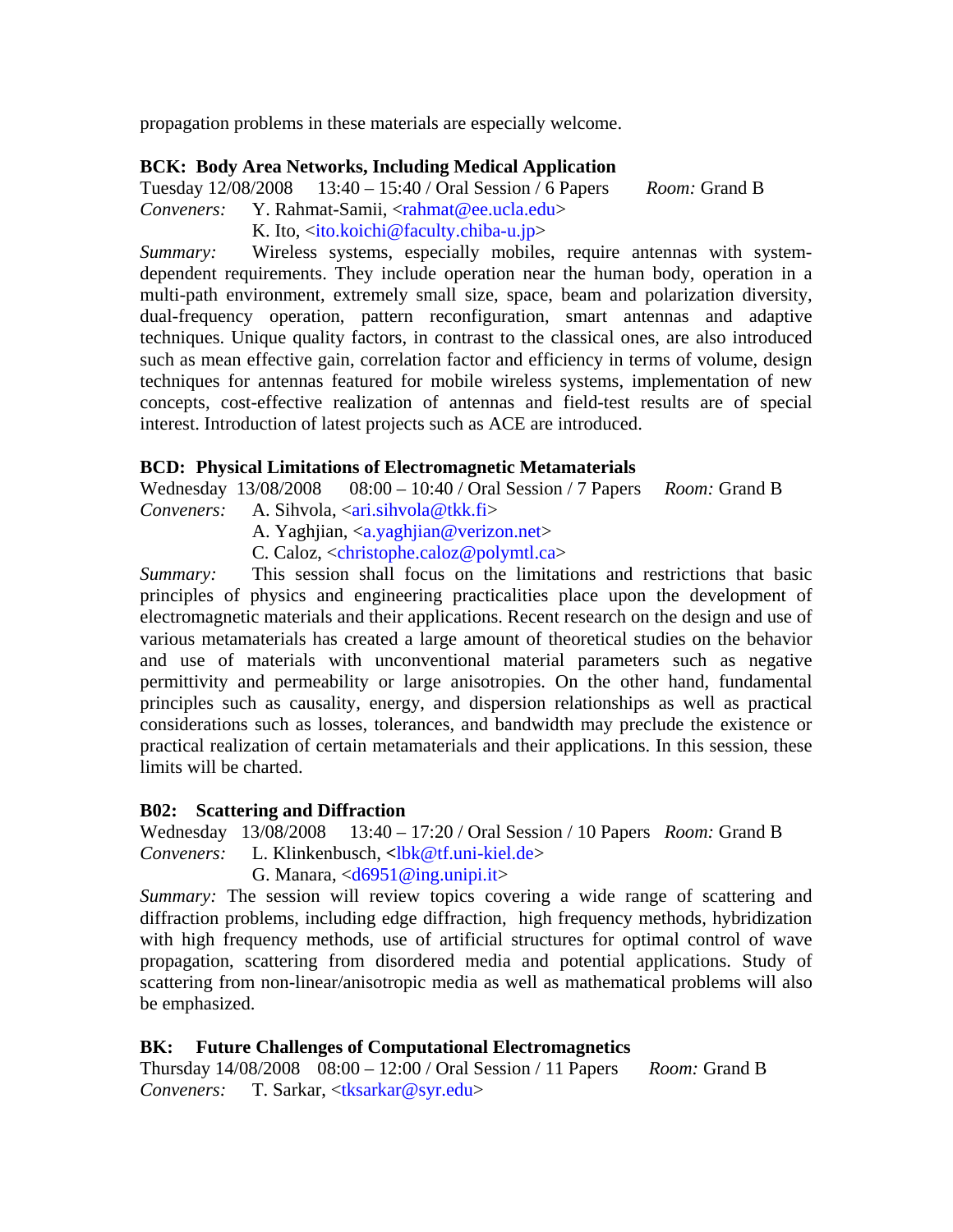propagation problems in these materials are especially welcome.

#### **BCK: Body Area Networks, Including Medical Application**

Tuesday 12/08/2008 13:40 – 15:40 / Oral Session / 6 Papers *Room:* Grand B

*Conveners:* Y. Rahmat-Samii, <rahmat@ee.ucla.edu>

K. Ito, <ito.koichi@faculty.chiba-u.jp>

*Summary:* Wireless systems, especially mobiles, require antennas with systemdependent requirements. They include operation near the human body, operation in a multi-path environment, extremely small size, space, beam and polarization diversity, dual-frequency operation, pattern reconfiguration, smart antennas and adaptive techniques. Unique quality factors, in contrast to the classical ones, are also introduced such as mean effective gain, correlation factor and efficiency in terms of volume, design techniques for antennas featured for mobile wireless systems, implementation of new concepts, cost-effective realization of antennas and field-test results are of special interest. Introduction of latest projects such as ACE are introduced.

#### **BCD: Physical Limitations of Electromagnetic Metamaterials**

Wednesday 13/08/2008 08:00 – 10:40 / Oral Session / 7 Papers *Room:* Grand B *Conveners:* A. Sihvola, <ari.sihvola@tkk.fi>

A. Yaghjian, <a.yaghjian@verizon.net>

C. Caloz, <christophe.caloz@polymtl.ca>

*Summary:* This session shall focus on the limitations and restrictions that basic principles of physics and engineering practicalities place upon the development of electromagnetic materials and their applications. Recent research on the design and use of various metamaterials has created a large amount of theoretical studies on the behavior and use of materials with unconventional material parameters such as negative permittivity and permeability or large anisotropies. On the other hand, fundamental principles such as causality, energy, and dispersion relationships as well as practical considerations such as losses, tolerances, and bandwidth may preclude the existence or practical realization of certain metamaterials and their applications. In this session, these limits will be charted.

#### **B02: Scattering and Diffraction**

Wednesday 13/08/2008 13:40 – 17:20 / Oral Session / 10 Papers *Room:* Grand B *Conveners:* L. Klinkenbusch, **<**lbk@tf.uni-kiel.de> G. Manara,  $\langle d6951@ing.unipi.it\rangle$ 

*Summary:* The session will review topics covering a wide range of scattering and diffraction problems, including edge diffraction, high frequency methods, hybridization with high frequency methods, use of artificial structures for optimal control of wave propagation, scattering from disordered media and potential applications. Study of scattering from non-linear/anisotropic media as well as mathematical problems will also be emphasized.

### **BK: Future Challenges of Computational Electromagnetics**

Thursday 14/08/2008 08:00 – 12:00 / Oral Session / 11 Papers *Room:* Grand B *Conveners:* T. Sarkar, <tksarkar@syr.edu>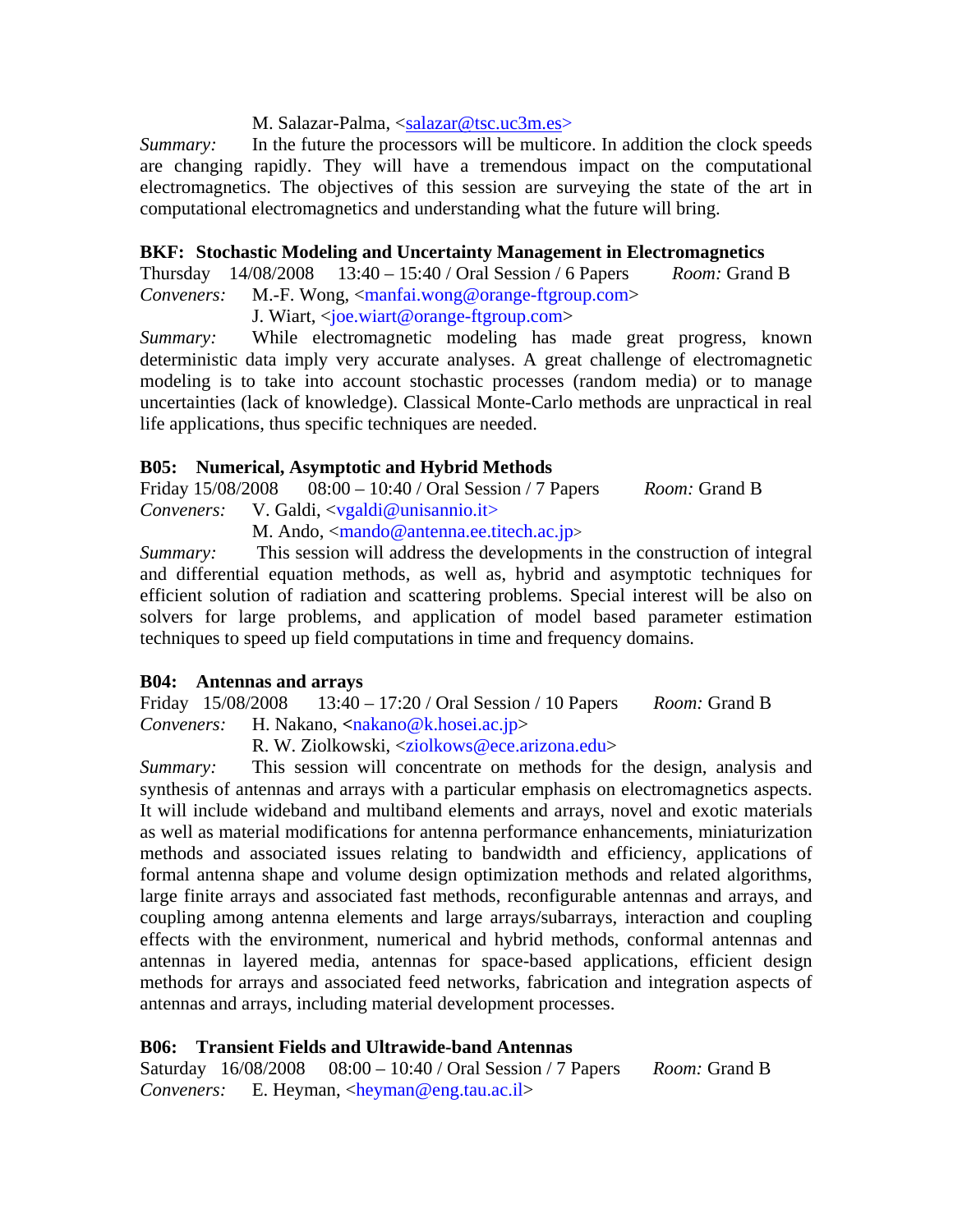#### M. Salazar-Palma, <salazar@tsc.uc3m.es>

*Summary:* In the future the processors will be multicore. In addition the clock speeds are changing rapidly. They will have a tremendous impact on the computational electromagnetics. The objectives of this session are surveying the state of the art in computational electromagnetics and understanding what the future will bring.

#### **BKF: Stochastic Modeling and Uncertainty Management in Electromagnetics**

Thursday 14/08/2008 13:40 – 15:40 / Oral Session / 6 Papers *Room:* Grand B *Conveners:* M.-F. Wong, <manfai.wong@orange-ftgroup.com>

J. Wiart, <joe.wiart@orange-ftgroup.com>

*Summary:* While electromagnetic modeling has made great progress, known deterministic data imply very accurate analyses. A great challenge of electromagnetic modeling is to take into account stochastic processes (random media) or to manage uncertainties (lack of knowledge). Classical Monte-Carlo methods are unpractical in real life applications, thus specific techniques are needed.

#### **B05: Numerical, Asymptotic and Hybrid Methods**

Friday 15/08/2008 08:00 – 10:40 / Oral Session / 7 Papers *Room:* Grand B *Conveners:* V. Galdi, <vgaldi@unisannio.it>

M. Ando,  $\langle$ mando@antenna.ee.titech.ac.jp>

*Summary:* This session will address the developments in the construction of integral and differential equation methods, as well as, hybrid and asymptotic techniques for efficient solution of radiation and scattering problems. Special interest will be also on solvers for large problems, and application of model based parameter estimation techniques to speed up field computations in time and frequency domains.

#### **B04: Antennas and arrays**

Friday 15/08/2008 13:40 – 17:20 / Oral Session / 10 Papers *Room:* Grand B *Conveners:* H. Nakano, **<**nakano@k.hosei.ac.jp>

R. W. Ziolkowski, <ziolkows@ece.arizona.edu>

*Summary:* This session will concentrate on methods for the design, analysis and synthesis of antennas and arrays with a particular emphasis on electromagnetics aspects. It will include wideband and multiband elements and arrays, novel and exotic materials as well as material modifications for antenna performance enhancements, miniaturization methods and associated issues relating to bandwidth and efficiency, applications of formal antenna shape and volume design optimization methods and related algorithms, large finite arrays and associated fast methods, reconfigurable antennas and arrays, and coupling among antenna elements and large arrays/subarrays, interaction and coupling effects with the environment, numerical and hybrid methods, conformal antennas and antennas in layered media, antennas for space-based applications, efficient design methods for arrays and associated feed networks, fabrication and integration aspects of antennas and arrays, including material development processes.

#### **B06: Transient Fields and Ultrawide-band Antennas**

Saturday 16/08/2008 08:00 – 10:40 / Oral Session / 7 Papers *Room:* Grand B *Conveners:* E. Heyman, <heyman@eng.tau.ac.il>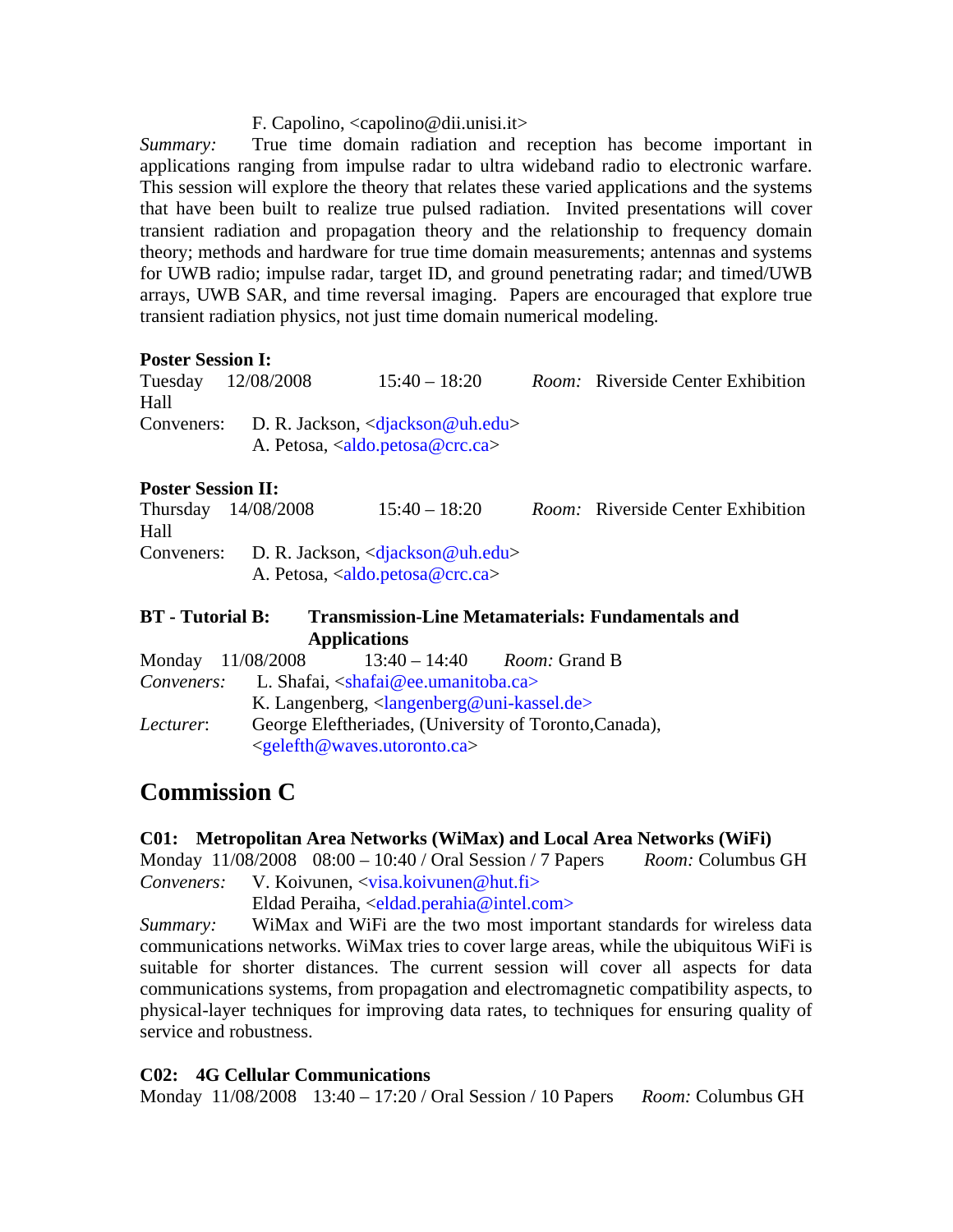#### F. Capolino, <capolino@dii.unisi.it>

*Summary:* True time domain radiation and reception has become important in applications ranging from impulse radar to ultra wideband radio to electronic warfare. This session will explore the theory that relates these varied applications and the systems that have been built to realize true pulsed radiation. Invited presentations will cover transient radiation and propagation theory and the relationship to frequency domain theory; methods and hardware for true time domain measurements; antennas and systems for UWB radio; impulse radar, target ID, and ground penetrating radar; and timed/UWB arrays, UWB SAR, and time reversal imaging. Papers are encouraged that explore true transient radiation physics, not just time domain numerical modeling.

#### **Poster Session I:**

Tuesday 12/08/2008 15:40 – 18:20 *Room:* Riverside Center Exhibition Hall Conveners: D. R. Jackson, <diackson@uh.edu> A. Petosa, <aldo.petosa@crc.ca>

#### **Poster Session II:**

Thursday 14/08/2008 15:40 – 18:20 *Room:* Riverside Center Exhibition Hall Conveners: D. R. Jackson, <djackson@uh.edu> A. Petosa, <aldo.petosa@crc.ca>

# **BT - Tutorial B: Transmission-Line Metamaterials: Fundamentals and Applications**

|            | Monday 11/08/2008 |                                                                                    | $13:40 - 14:40$ <i>Room:</i> Grand B |  |  |
|------------|-------------------|------------------------------------------------------------------------------------|--------------------------------------|--|--|
| Conveners: |                   | L. Shafai, $\langle$ shafai@ee.umanitoba.ca>                                       |                                      |  |  |
|            |                   | K. Langenberg, $\langle \text{language} \rangle$ and $\langle \text{line} \rangle$ |                                      |  |  |
| Lecturer:  |                   | George Eleftheriades, (University of Toronto, Canada),                             |                                      |  |  |
|            |                   | $\leq$ gelefth@waves.utoronto.ca>                                                  |                                      |  |  |

# **Commission C**

### **C01: Metropolitan Area Networks (WiMax) and Local Area Networks (WiFi)**

Monday 11/08/2008 08:00 – 10:40 / Oral Session / 7 Papers *Room:* Columbus GH *Conveners:* V. Koivunen, <visa.koivunen@hut.fi>

Eldad Peraiha, <eldad.perahia@intel.com>

*Summary:* WiMax and WiFi are the two most important standards for wireless data communications networks. WiMax tries to cover large areas, while the ubiquitous WiFi is suitable for shorter distances. The current session will cover all aspects for data communications systems, from propagation and electromagnetic compatibility aspects, to physical-layer techniques for improving data rates, to techniques for ensuring quality of service and robustness.

### **C02: 4G Cellular Communications**

Monday 11/08/2008 13:40 – 17:20 / Oral Session / 10 Papers *Room:* Columbus GH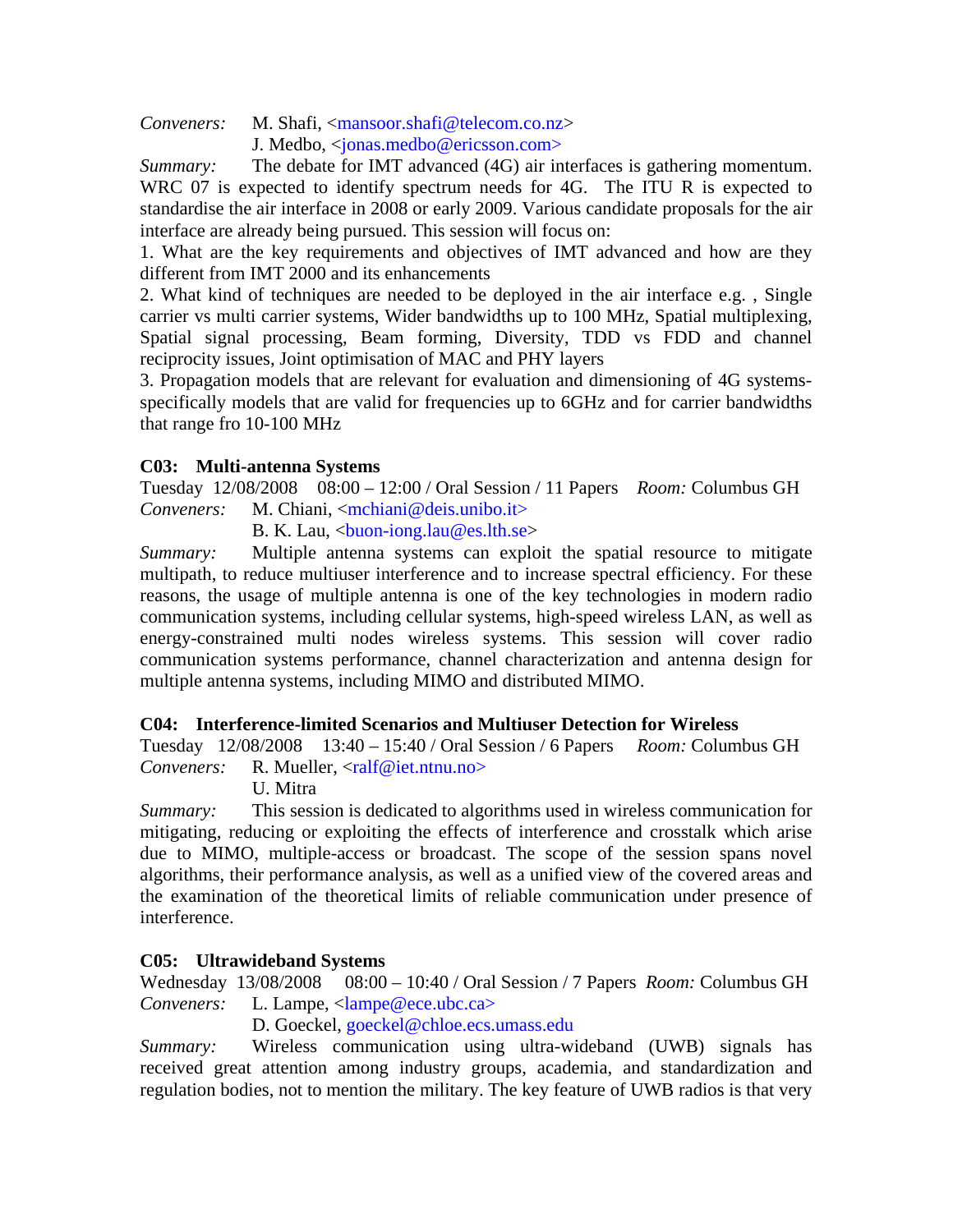*Conveners:* M. Shafi, <mansoor.shafi@telecom.co.nz> J. Medbo, <jonas.medbo@ericsson.com>

*Summary:* The debate for IMT advanced (4G) air interfaces is gathering momentum. WRC 07 is expected to identify spectrum needs for 4G. The ITU R is expected to standardise the air interface in 2008 or early 2009. Various candidate proposals for the air interface are already being pursued. This session will focus on:

1. What are the key requirements and objectives of IMT advanced and how are they different from IMT 2000 and its enhancements

2. What kind of techniques are needed to be deployed in the air interface e.g. , Single carrier vs multi carrier systems, Wider bandwidths up to 100 MHz, Spatial multiplexing, Spatial signal processing, Beam forming, Diversity, TDD vs FDD and channel reciprocity issues, Joint optimisation of MAC and PHY layers

3. Propagation models that are relevant for evaluation and dimensioning of 4G systemsspecifically models that are valid for frequencies up to 6GHz and for carrier bandwidths that range fro 10-100 MHz

# **C03: Multi-antenna Systems**

Tuesday 12/08/2008 08:00 – 12:00 / Oral Session / 11 Papers *Room:* Columbus GH *Conveners:* M. Chiani, <mchiani@deis.unibo.it>

B. K. Lau,  $\langle$ buon-iong.lau@es.lth.se $>$ 

*Summary:* Multiple antenna systems can exploit the spatial resource to mitigate multipath, to reduce multiuser interference and to increase spectral efficiency. For these reasons, the usage of multiple antenna is one of the key technologies in modern radio communication systems, including cellular systems, high-speed wireless LAN, as well as energy-constrained multi nodes wireless systems. This session will cover radio communication systems performance, channel characterization and antenna design for multiple antenna systems, including MIMO and distributed MIMO.

### **C04: Interference-limited Scenarios and Multiuser Detection for Wireless**

Tuesday 12/08/2008 13:40 – 15:40 / Oral Session / 6 Papers *Room:* Columbus GH *Conveners:* R. Mueller, <ralf@iet.ntnu.no>

U. Mitra

*Summary:* This session is dedicated to algorithms used in wireless communication for mitigating, reducing or exploiting the effects of interference and crosstalk which arise due to MIMO, multiple-access or broadcast. The scope of the session spans novel algorithms, their performance analysis, as well as a unified view of the covered areas and the examination of the theoretical limits of reliable communication under presence of interference.

### **C05: Ultrawideband Systems**

Wednesday 13/08/2008 08:00 – 10:40 / Oral Session / 7 Papers *Room:* Columbus GH *Conveners:* L. Lampe, <lampe@ece.ubc.ca>

D. Goeckel, goeckel@chloe.ecs.umass.edu

*Summary:* Wireless communication using ultra-wideband (UWB) signals has received great attention among industry groups, academia, and standardization and regulation bodies, not to mention the military. The key feature of UWB radios is that very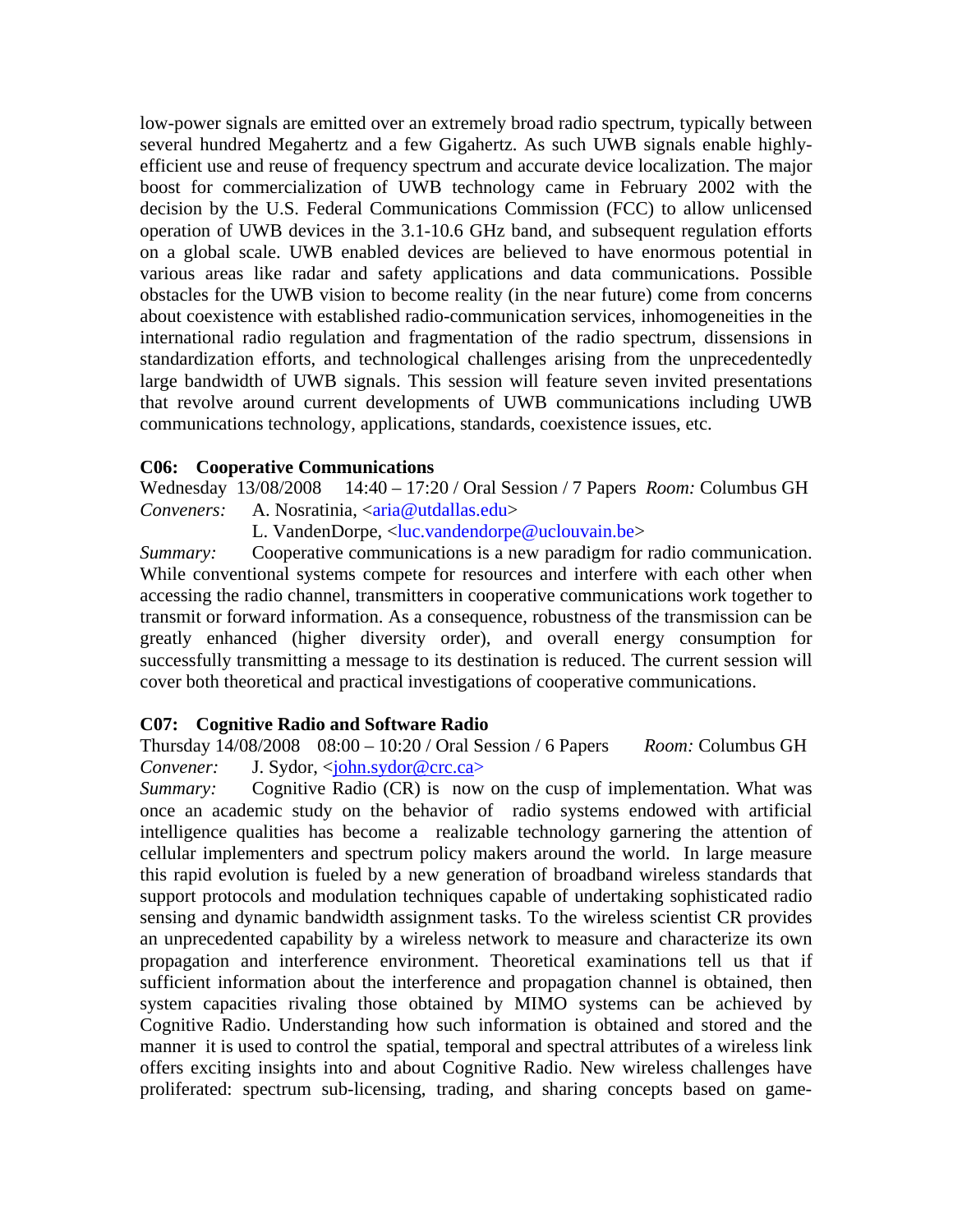low-power signals are emitted over an extremely broad radio spectrum, typically between several hundred Megahertz and a few Gigahertz. As such UWB signals enable highlyefficient use and reuse of frequency spectrum and accurate device localization. The major boost for commercialization of UWB technology came in February 2002 with the decision by the U.S. Federal Communications Commission (FCC) to allow unlicensed operation of UWB devices in the 3.1-10.6 GHz band, and subsequent regulation efforts on a global scale. UWB enabled devices are believed to have enormous potential in various areas like radar and safety applications and data communications. Possible obstacles for the UWB vision to become reality (in the near future) come from concerns about coexistence with established radio-communication services, inhomogeneities in the international radio regulation and fragmentation of the radio spectrum, dissensions in standardization efforts, and technological challenges arising from the unprecedentedly large bandwidth of UWB signals. This session will feature seven invited presentations that revolve around current developments of UWB communications including UWB communications technology, applications, standards, coexistence issues, etc.

#### **C06: Cooperative Communications**

Wednesday 13/08/2008 14:40 – 17:20 / Oral Session / 7 Papers *Room:* Columbus GH *Conveners:* A. Nosratinia, <aria@utdallas.edu>

L. VandenDorpe, <luc.vandendorpe@uclouvain.be>

*Summary:* Cooperative communications is a new paradigm for radio communication. While conventional systems compete for resources and interfere with each other when accessing the radio channel, transmitters in cooperative communications work together to transmit or forward information. As a consequence, robustness of the transmission can be greatly enhanced (higher diversity order), and overall energy consumption for successfully transmitting a message to its destination is reduced. The current session will cover both theoretical and practical investigations of cooperative communications.

#### **C07: Cognitive Radio and Software Radio**

Thursday 14/08/2008 08:00 – 10:20 / Oral Session / 6 Papers *Room:* Columbus GH *Convener:* J. Sydor, <*john.sydor@crc.ca>* 

*Summary:* Cognitive Radio (CR) is now on the cusp of implementation. What was once an academic study on the behavior of radio systems endowed with artificial intelligence qualities has become a realizable technology garnering the attention of cellular implementers and spectrum policy makers around the world. In large measure this rapid evolution is fueled by a new generation of broadband wireless standards that support protocols and modulation techniques capable of undertaking sophisticated radio sensing and dynamic bandwidth assignment tasks. To the wireless scientist CR provides an unprecedented capability by a wireless network to measure and characterize its own propagation and interference environment. Theoretical examinations tell us that if sufficient information about the interference and propagation channel is obtained, then system capacities rivaling those obtained by MIMO systems can be achieved by Cognitive Radio. Understanding how such information is obtained and stored and the manner it is used to control the spatial, temporal and spectral attributes of a wireless link offers exciting insights into and about Cognitive Radio. New wireless challenges have proliferated: spectrum sub-licensing, trading, and sharing concepts based on game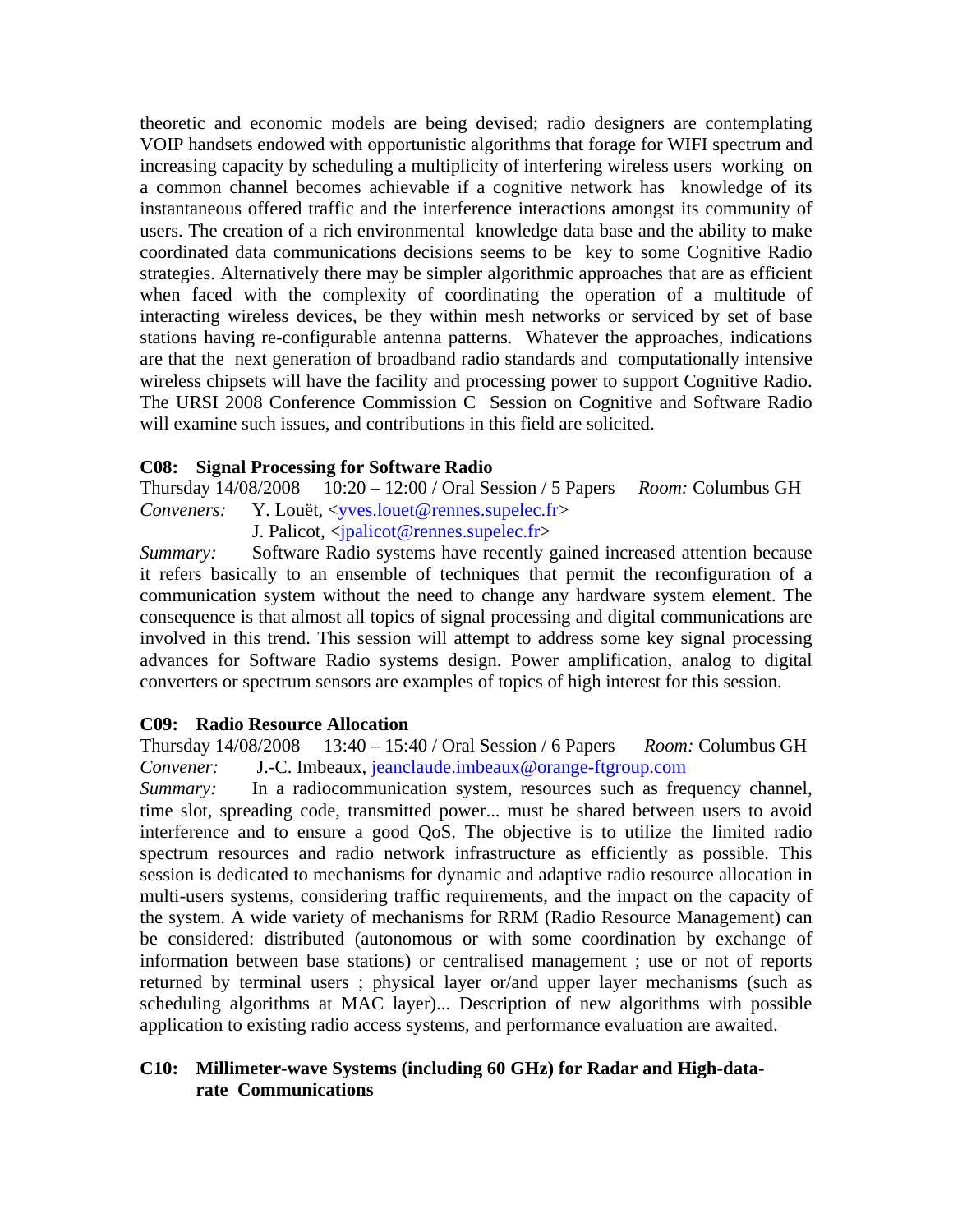theoretic and economic models are being devised; radio designers are contemplating VOIP handsets endowed with opportunistic algorithms that forage for WIFI spectrum and increasing capacity by scheduling a multiplicity of interfering wireless users working on a common channel becomes achievable if a cognitive network has knowledge of its instantaneous offered traffic and the interference interactions amongst its community of users. The creation of a rich environmental knowledge data base and the ability to make coordinated data communications decisions seems to be key to some Cognitive Radio strategies. Alternatively there may be simpler algorithmic approaches that are as efficient when faced with the complexity of coordinating the operation of a multitude of interacting wireless devices, be they within mesh networks or serviced by set of base stations having re-configurable antenna patterns. Whatever the approaches, indications are that the next generation of broadband radio standards and computationally intensive wireless chipsets will have the facility and processing power to support Cognitive Radio. The URSI 2008 Conference Commission C Session on Cognitive and Software Radio will examine such issues, and contributions in this field are solicited.

#### **C08: Signal Processing for Software Radio**

Thursday 14/08/2008 10:20 – 12:00 / Oral Session / 5 Papers *Room:* Columbus GH *Conveners:* Y. Louët, <yves.louet@rennes.supelec.fr>

J. Palicot, <jpalicot@rennes.supelec.fr>

*Summary:* Software Radio systems have recently gained increased attention because it refers basically to an ensemble of techniques that permit the reconfiguration of a communication system without the need to change any hardware system element. The consequence is that almost all topics of signal processing and digital communications are involved in this trend. This session will attempt to address some key signal processing advances for Software Radio systems design. Power amplification, analog to digital converters or spectrum sensors are examples of topics of high interest for this session.

#### **C09: Radio Resource Allocation**

Thursday 14/08/2008 13:40 – 15:40 / Oral Session / 6 Papers *Room:* Columbus GH *Convener:* J.-C. Imbeaux, jeanclaude.imbeaux@orange-ftgroup.com

*Summary:* In a radiocommunication system, resources such as frequency channel, time slot, spreading code, transmitted power... must be shared between users to avoid interference and to ensure a good QoS. The objective is to utilize the limited radio spectrum resources and radio network infrastructure as efficiently as possible. This session is dedicated to mechanisms for dynamic and adaptive radio resource allocation in multi-users systems, considering traffic requirements, and the impact on the capacity of the system. A wide variety of mechanisms for RRM (Radio Resource Management) can be considered: distributed (autonomous or with some coordination by exchange of information between base stations) or centralised management ; use or not of reports returned by terminal users ; physical layer or/and upper layer mechanisms (such as scheduling algorithms at MAC layer)... Description of new algorithms with possible application to existing radio access systems, and performance evaluation are awaited.

#### **C10: Millimeter-wave Systems (including 60 GHz) for Radar and High-datarate Communications**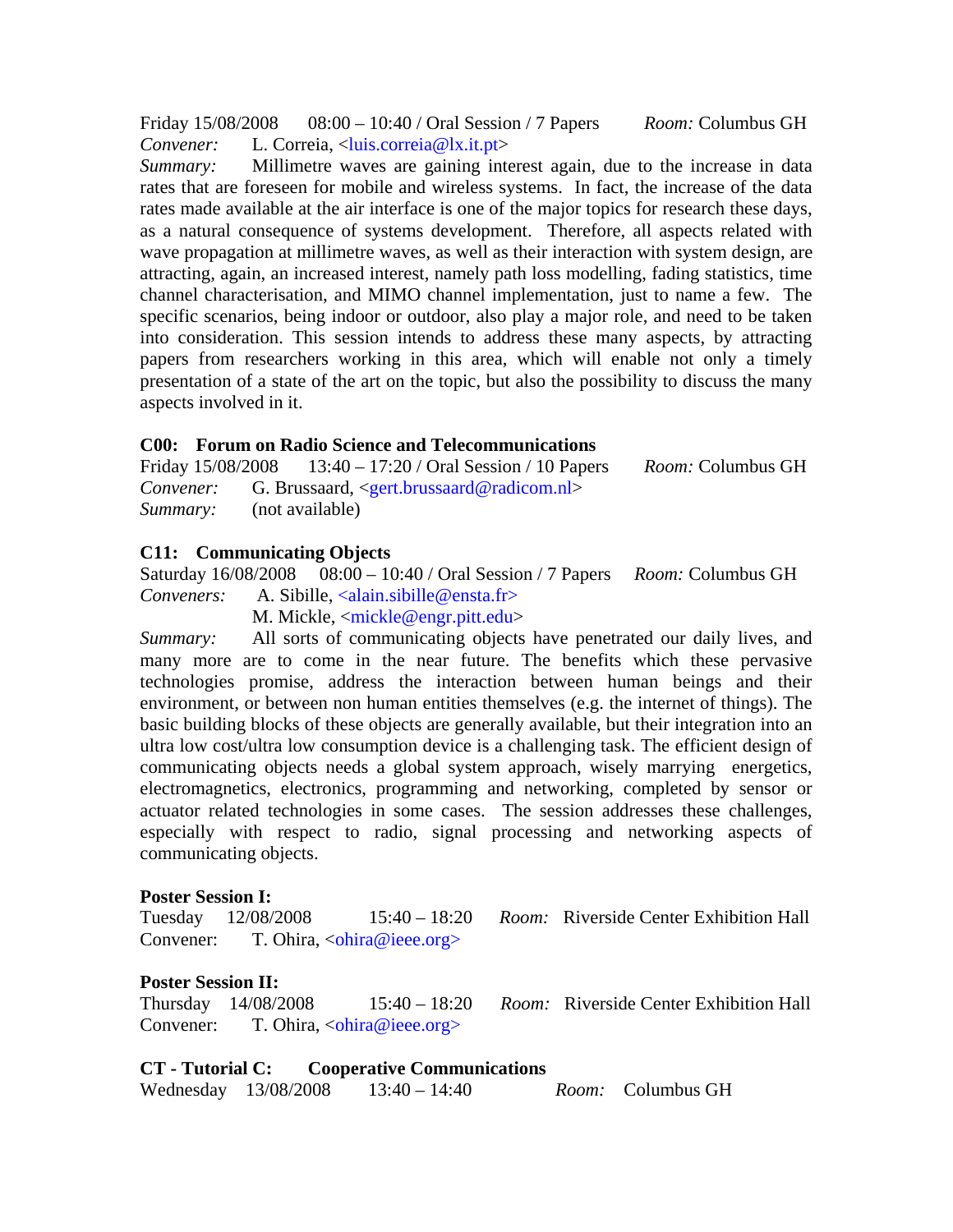Friday 15/08/2008 08:00 – 10:40 / Oral Session / 7 Papers *Room:* Columbus GH *Convener:* L. Correia, <luis.correia@lx.it.pt>

*Summary:* Millimetre waves are gaining interest again, due to the increase in data rates that are foreseen for mobile and wireless systems. In fact, the increase of the data rates made available at the air interface is one of the major topics for research these days, as a natural consequence of systems development. Therefore, all aspects related with wave propagation at millimetre waves, as well as their interaction with system design, are attracting, again, an increased interest, namely path loss modelling, fading statistics, time channel characterisation, and MIMO channel implementation, just to name a few. The specific scenarios, being indoor or outdoor, also play a major role, and need to be taken into consideration. This session intends to address these many aspects, by attracting papers from researchers working in this area, which will enable not only a timely presentation of a state of the art on the topic, but also the possibility to discuss the many aspects involved in it.

#### **C00: Forum on Radio Science and Telecommunications**

Friday 15/08/2008 13:40 – 17:20 / Oral Session / 10 Papers *Room:* Columbus GH *Convener:* G. Brussaard, <gert.brussaard@radicom.nl> *Summary:* (not available)

#### **C11: Communicating Objects**

Saturday 16/08/2008 08:00 – 10:40 / Oral Session / 7 Papers *Room:* Columbus GH *Conveners:* A. Sibille, <alain.sibille@ensta.fr>

M. Mickle, <mickle@engr.pitt.edu>

*Summary:* All sorts of communicating objects have penetrated our daily lives, and many more are to come in the near future. The benefits which these pervasive technologies promise, address the interaction between human beings and their environment, or between non human entities themselves (e.g. the internet of things). The basic building blocks of these objects are generally available, but their integration into an ultra low cost/ultra low consumption device is a challenging task. The efficient design of communicating objects needs a global system approach, wisely marrying energetics, electromagnetics, electronics, programming and networking, completed by sensor or actuator related technologies in some cases. The session addresses these challenges, especially with respect to radio, signal processing and networking aspects of communicating objects.

#### **Poster Session I:**

Tuesday 12/08/2008 15:40 – 18:20 *Room:* Riverside Center Exhibition Hall Convener: T. Ohira, <ohira@ieee.org>

#### **Poster Session II:**

Thursday 14/08/2008 15:40 – 18:20 *Room:* Riverside Center Exhibition Hall Convener: T. Ohira, <ohira@ieee.org>

# **CT - Tutorial C: Cooperative Communications**

Wednesday 13/08/2008 13:40 – 14:40 *Room:* Columbus GH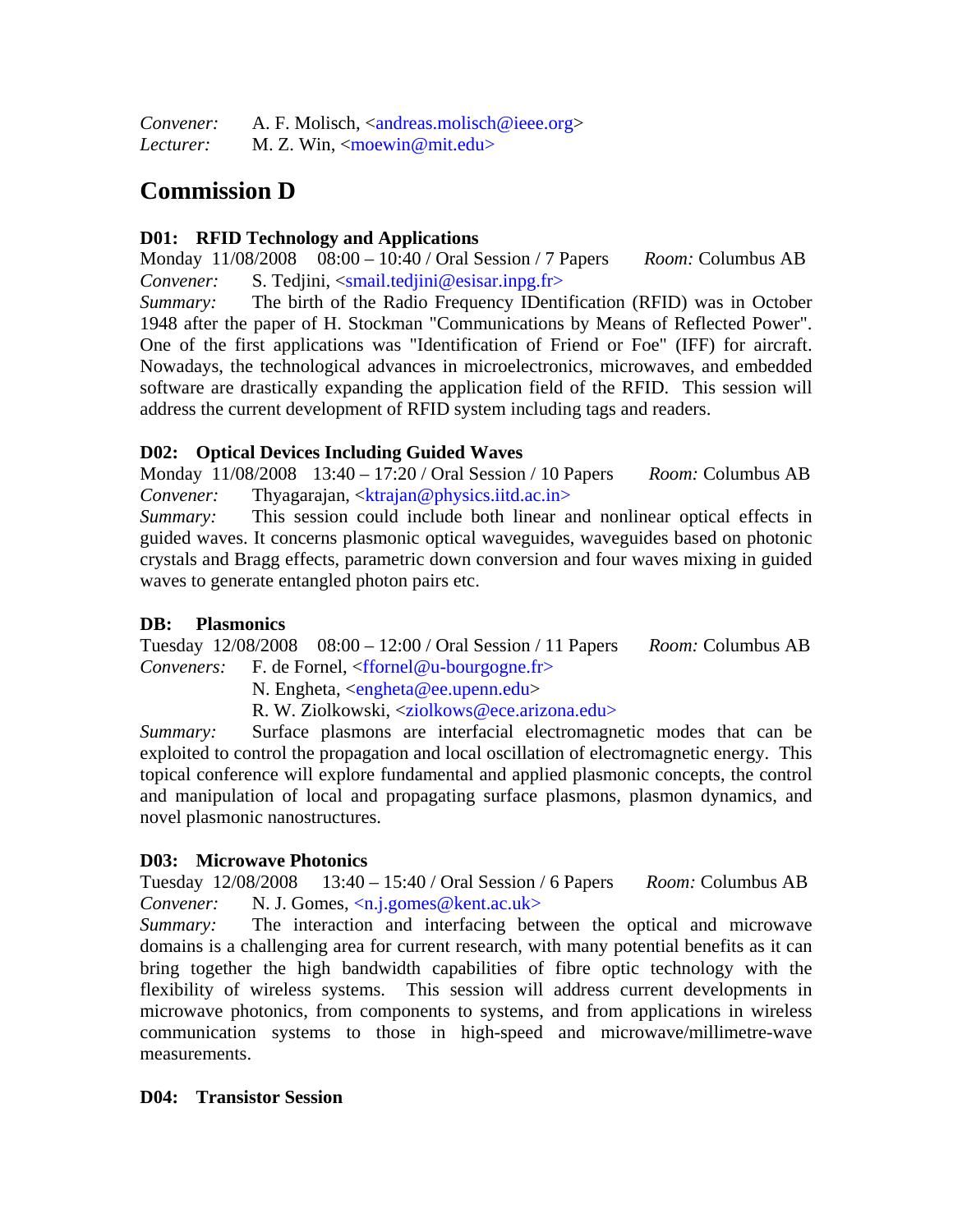*Convener:* A. F. Molisch, <andreas.molisch@ieee.org> *Lecturer:* M. Z. Win, <moewin@mit.edu>

# **Commission D**

## **D01: RFID Technology and Applications**

Monday 11/08/2008 08:00 – 10:40 / Oral Session / 7 Papers *Room:* Columbus AB *Convener:* S. Tedjini, <smail.tedjini@esisar.inpg.fr>

*Summary:* The birth of the Radio Frequency IDentification (RFID) was in October 1948 after the paper of H. Stockman "Communications by Means of Reflected Power". One of the first applications was "Identification of Friend or Foe" (IFF) for aircraft. Nowadays, the technological advances in microelectronics, microwaves, and embedded software are drastically expanding the application field of the RFID. This session will address the current development of RFID system including tags and readers.

# **D02: Optical Devices Including Guided Waves**

Monday 11/08/2008 13:40 – 17:20 / Oral Session / 10 Papers *Room:* Columbus AB *Convener:* Thyagarajan, <ktrajan@physics.iitd.ac.in>

*Summary:* This session could include both linear and nonlinear optical effects in guided waves. It concerns plasmonic optical waveguides, waveguides based on photonic crystals and Bragg effects, parametric down conversion and four waves mixing in guided waves to generate entangled photon pairs etc.

## **DB: Plasmonics**

Tuesday 12/08/2008 08:00 – 12:00 / Oral Session / 11 Papers *Room:* Columbus AB *Conveners:* F. de Fornel, <ffornel@u-bourgogne.fr>

N. Engheta, <engheta@ee.upenn.edu>

R. W. Ziolkowski, <ziolkows@ece.arizona.edu>

*Summary:* Surface plasmons are interfacial electromagnetic modes that can be exploited to control the propagation and local oscillation of electromagnetic energy. This topical conference will explore fundamental and applied plasmonic concepts, the control and manipulation of local and propagating surface plasmons, plasmon dynamics, and novel plasmonic nanostructures.

### **D03: Microwave Photonics**

Tuesday 12/08/2008 13:40 – 15:40 / Oral Session / 6 Papers *Room:* Columbus AB *Convener:* N. J. Gomes, <n.j.gomes@kent.ac.uk>

*Summary:* The interaction and interfacing between the optical and microwave domains is a challenging area for current research, with many potential benefits as it can bring together the high bandwidth capabilities of fibre optic technology with the flexibility of wireless systems. This session will address current developments in microwave photonics, from components to systems, and from applications in wireless communication systems to those in high-speed and microwave/millimetre-wave measurements.

### **D04: Transistor Session**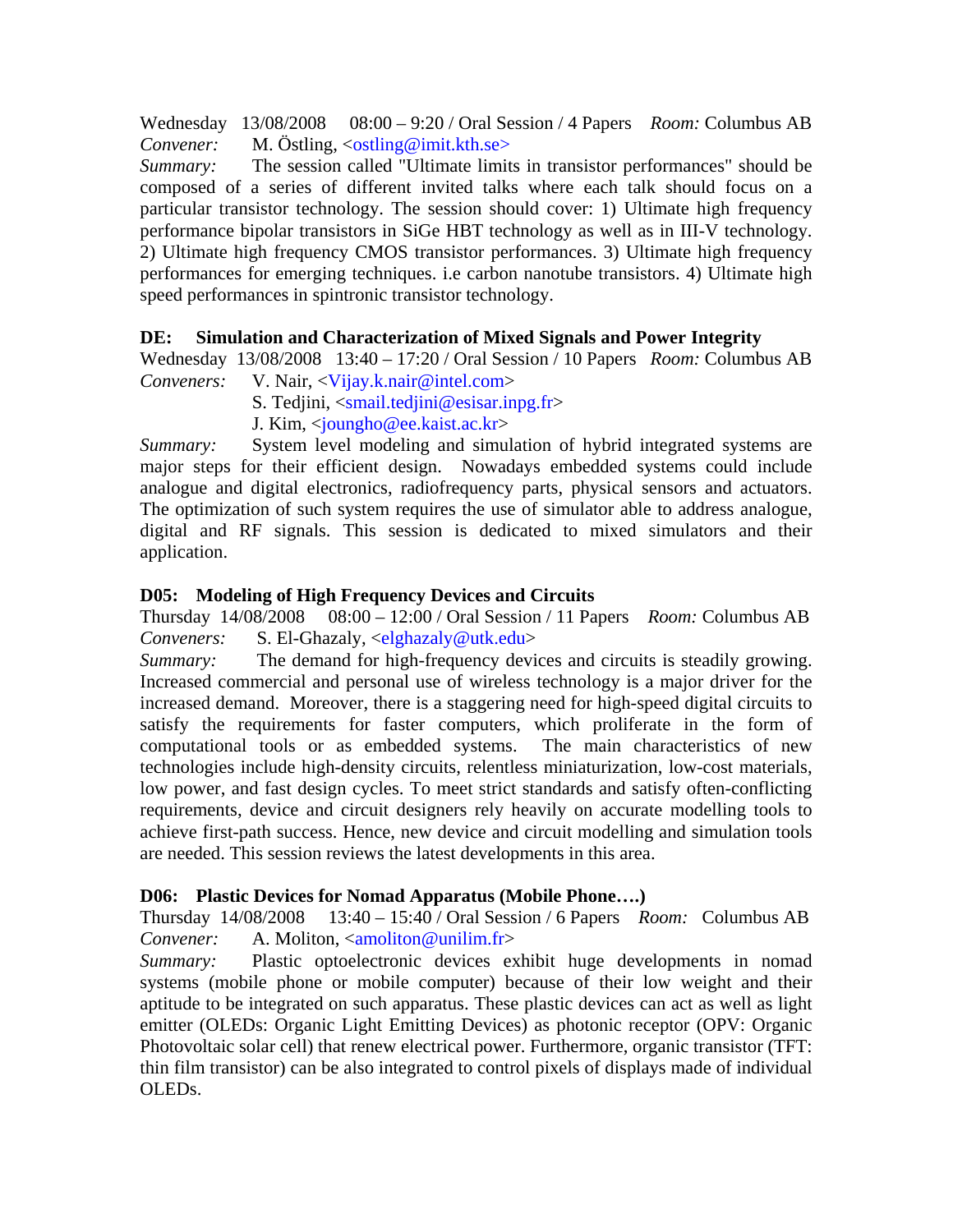Wednesday 13/08/2008 08:00 – 9:20 / Oral Session / 4 Papers *Room:* Columbus AB *Convener:* M. Östling, <ostling@imit.kth.se>

*Summary:* The session called "Ultimate limits in transistor performances" should be composed of a series of different invited talks where each talk should focus on a particular transistor technology. The session should cover: 1) Ultimate high frequency performance bipolar transistors in SiGe HBT technology as well as in III-V technology. 2) Ultimate high frequency CMOS transistor performances. 3) Ultimate high frequency performances for emerging techniques. i.e carbon nanotube transistors. 4) Ultimate high speed performances in spintronic transistor technology.

### **DE: Simulation and Characterization of Mixed Signals and Power Integrity**

Wednesday 13/08/2008 13:40 – 17:20 / Oral Session / 10 Papers *Room:* Columbus AB *Conveners:* V. Nair, <Vijay.k.nair@intel.com>

- S. Tedjini, <smail.tedjini@esisar.inpg.fr>
- J. Kim, <joungho@ee.kaist.ac.kr>

*Summary:* System level modeling and simulation of hybrid integrated systems are major steps for their efficient design. Nowadays embedded systems could include analogue and digital electronics, radiofrequency parts, physical sensors and actuators. The optimization of such system requires the use of simulator able to address analogue, digital and RF signals. This session is dedicated to mixed simulators and their application.

### **D05: Modeling of High Frequency Devices and Circuits**

Thursday 14/08/2008 08:00 – 12:00 / Oral Session / 11 Papers *Room:* Columbus AB *Conveners:* S. El-Ghazaly, <elghazaly@utk.edu>

*Summary:* The demand for high-frequency devices and circuits is steadily growing. Increased commercial and personal use of wireless technology is a major driver for the increased demand. Moreover, there is a staggering need for high-speed digital circuits to satisfy the requirements for faster computers, which proliferate in the form of computational tools or as embedded systems. The main characteristics of new technologies include high-density circuits, relentless miniaturization, low-cost materials, low power, and fast design cycles. To meet strict standards and satisfy often-conflicting requirements, device and circuit designers rely heavily on accurate modelling tools to achieve first-path success. Hence, new device and circuit modelling and simulation tools are needed. This session reviews the latest developments in this area.

#### **D06: Plastic Devices for Nomad Apparatus (Mobile Phone….)**

Thursday 14/08/2008 13:40 – 15:40 / Oral Session / 6 Papers *Room:* Columbus AB *Convener:* A. Moliton, <amoliton@unilim.fr>

*Summary:* Plastic optoelectronic devices exhibit huge developments in nomad systems (mobile phone or mobile computer) because of their low weight and their aptitude to be integrated on such apparatus. These plastic devices can act as well as light emitter (OLEDs: Organic Light Emitting Devices) as photonic receptor (OPV: Organic Photovoltaic solar cell) that renew electrical power. Furthermore, organic transistor (TFT: thin film transistor) can be also integrated to control pixels of displays made of individual OLEDs.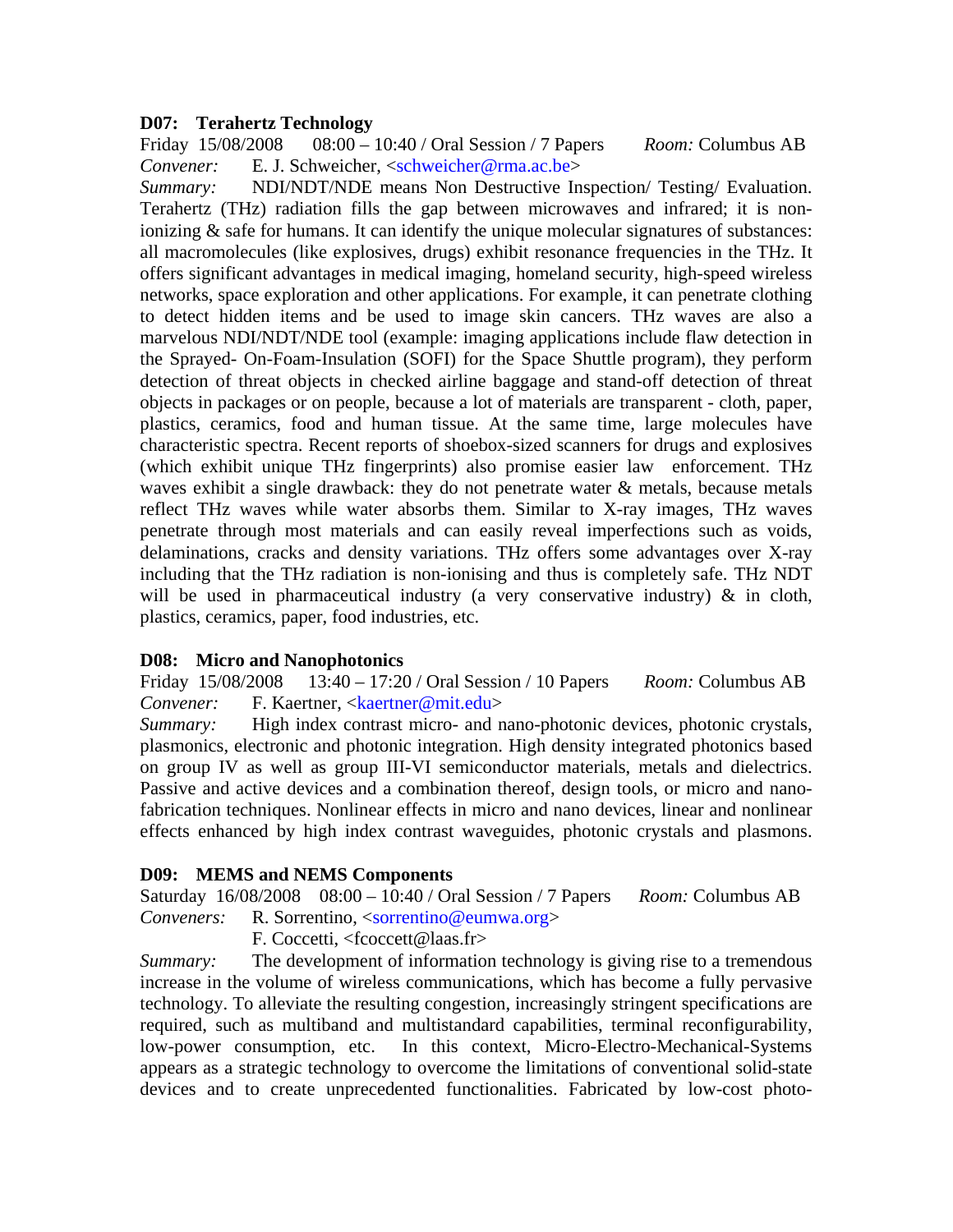#### **D07: Terahertz Technology**

Friday 15/08/2008 08:00 – 10:40 / Oral Session / 7 Papers *Room:* Columbus AB *Convener:* E. J. Schweicher, <schweicher@rma.ac.be>

*Summary:* NDI/NDT/NDE means Non Destructive Inspection/ Testing/ Evaluation. Terahertz (THz) radiation fills the gap between microwaves and infrared; it is nonionizing & safe for humans. It can identify the unique molecular signatures of substances: all macromolecules (like explosives, drugs) exhibit resonance frequencies in the THz. It offers significant advantages in medical imaging, homeland security, high-speed wireless networks, space exploration and other applications. For example, it can penetrate clothing to detect hidden items and be used to image skin cancers. THz waves are also a marvelous NDI/NDT/NDE tool (example: imaging applications include flaw detection in the Sprayed- On-Foam-Insulation (SOFI) for the Space Shuttle program), they perform detection of threat objects in checked airline baggage and stand-off detection of threat objects in packages or on people, because a lot of materials are transparent - cloth, paper, plastics, ceramics, food and human tissue. At the same time, large molecules have characteristic spectra. Recent reports of shoebox-sized scanners for drugs and explosives (which exhibit unique THz fingerprints) also promise easier law enforcement. THz waves exhibit a single drawback: they do not penetrate water  $\&$  metals, because metals reflect THz waves while water absorbs them. Similar to X-ray images, THz waves penetrate through most materials and can easily reveal imperfections such as voids, delaminations, cracks and density variations. THz offers some advantages over X-ray including that the THz radiation is non-ionising and thus is completely safe. THz NDT will be used in pharmaceutical industry (a very conservative industry)  $\&$  in cloth, plastics, ceramics, paper, food industries, etc.

#### **D08: Micro and Nanophotonics**

Friday 15/08/2008 13:40 – 17:20 / Oral Session / 10 Papers *Room:* Columbus AB *Convener:* F. Kaertner, <kaertner@mit.edu>

*Summary:* High index contrast micro- and nano-photonic devices, photonic crystals, plasmonics, electronic and photonic integration. High density integrated photonics based on group IV as well as group III-VI semiconductor materials, metals and dielectrics. Passive and active devices and a combination thereof, design tools, or micro and nanofabrication techniques. Nonlinear effects in micro and nano devices, linear and nonlinear effects enhanced by high index contrast waveguides, photonic crystals and plasmons.

#### **D09: MEMS and NEMS Components**

Saturday 16/08/2008 08:00 – 10:40 / Oral Session / 7 Papers *Room:* Columbus AB *Conveners:* R. Sorrentino, <sorrentino@eumwa.org>

F. Coccetti, <fcoccett@laas.fr>

*Summary:* The development of information technology is giving rise to a tremendous increase in the volume of wireless communications, which has become a fully pervasive technology. To alleviate the resulting congestion, increasingly stringent specifications are required, such as multiband and multistandard capabilities, terminal reconfigurability, low-power consumption, etc. In this context, Micro-Electro-Mechanical-Systems appears as a strategic technology to overcome the limitations of conventional solid-state devices and to create unprecedented functionalities. Fabricated by low-cost photo-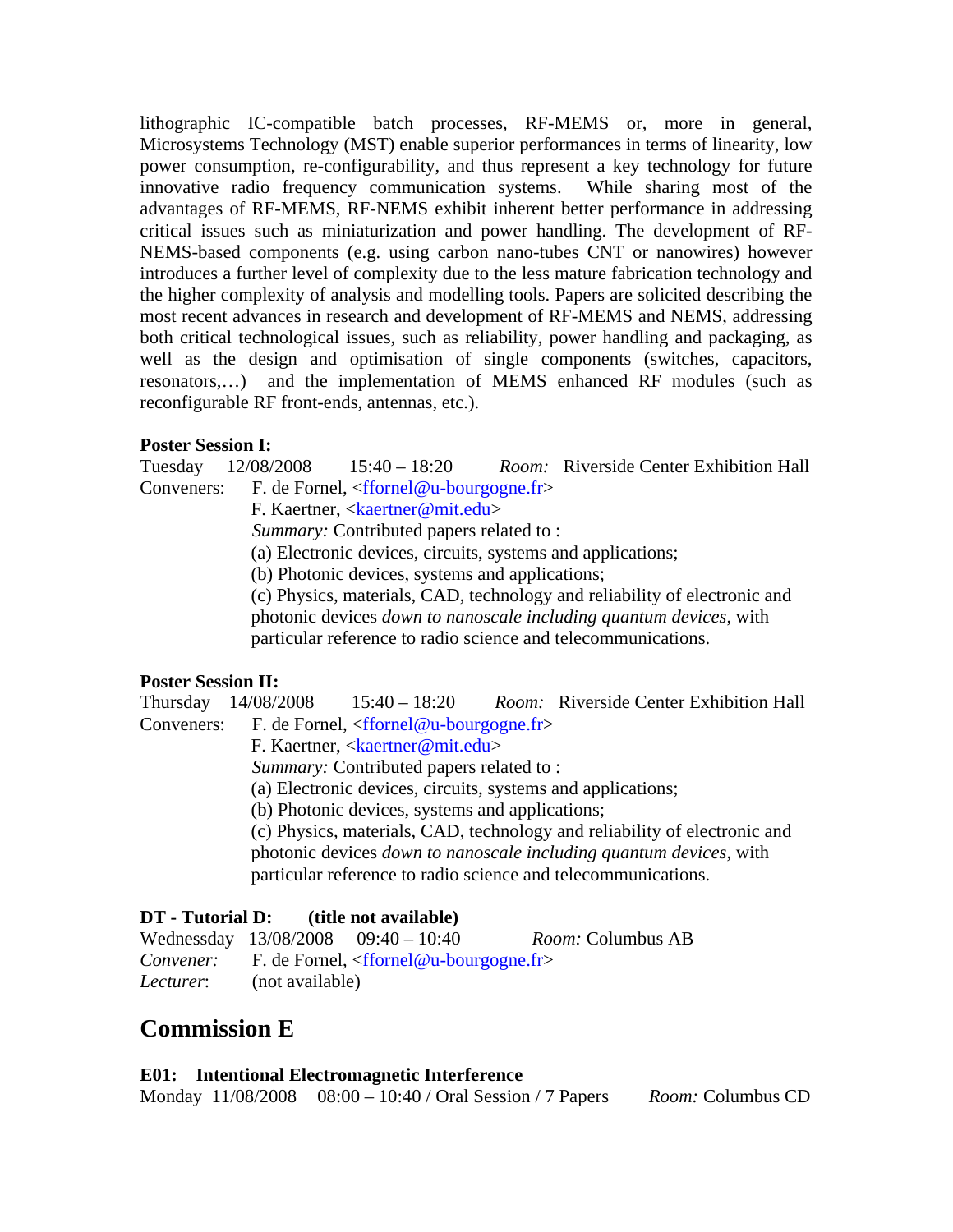lithographic IC-compatible batch processes, RF-MEMS or, more in general, Microsystems Technology (MST) enable superior performances in terms of linearity, low power consumption, re-configurability, and thus represent a key technology for future innovative radio frequency communication systems. While sharing most of the advantages of RF-MEMS, RF-NEMS exhibit inherent better performance in addressing critical issues such as miniaturization and power handling. The development of RF-NEMS-based components (e.g. using carbon nano-tubes CNT or nanowires) however introduces a further level of complexity due to the less mature fabrication technology and the higher complexity of analysis and modelling tools. Papers are solicited describing the most recent advances in research and development of RF-MEMS and NEMS, addressing both critical technological issues, such as reliability, power handling and packaging, as well as the design and optimisation of single components (switches, capacitors, resonators,…) and the implementation of MEMS enhanced RF modules (such as reconfigurable RF front-ends, antennas, etc.).

#### **Poster Session I:**

Tuesday 12/08/2008 15:40 – 18:20 *Room:* Riverside Center Exhibition Hall Conveners: F. de Fornel, <ffornel@u-bourgogne.fr>

F. Kaertner, <kaertner@mit.edu>

*Summary:* Contributed papers related to :

(a) Electronic devices, circuits, systems and applications;

(b) Photonic devices, systems and applications;

(c) Physics, materials, CAD, technology and reliability of electronic and photonic devices *down to nanoscale including quantum devices*, with particular reference to radio science and telecommunications.

#### **Poster Session II:**

Thursday 14/08/2008 15:40 – 18:20 *Room:* Riverside Center Exhibition Hall Conveners: F. de Fornel, <ffornel@u-bourgogne.fr>

F. Kaertner, <kaertner@mit.edu>

*Summary:* Contributed papers related to :

(a) Electronic devices, circuits, systems and applications;

(b) Photonic devices, systems and applications;

(c) Physics, materials, CAD, technology and reliability of electronic and photonic devices *down to nanoscale including quantum devices*, with particular reference to radio science and telecommunications.

# **DT - Tutorial D: (title not available)**

|           |                 | Wednessday $13/08/2008$ 09:40 - 10:40                            | <i>Room:</i> Columbus AB |
|-----------|-----------------|------------------------------------------------------------------|--------------------------|
|           |                 | <i>Convener:</i> F. de Fornel, $\langle$ ffornel@u-bourgogne.fr> |                          |
| Lecturer: | (not available) |                                                                  |                          |

# **Commission E**

# **E01: Intentional Electromagnetic Interference**

Monday 11/08/2008 08:00 – 10:40 / Oral Session / 7 Papers *Room:* Columbus CD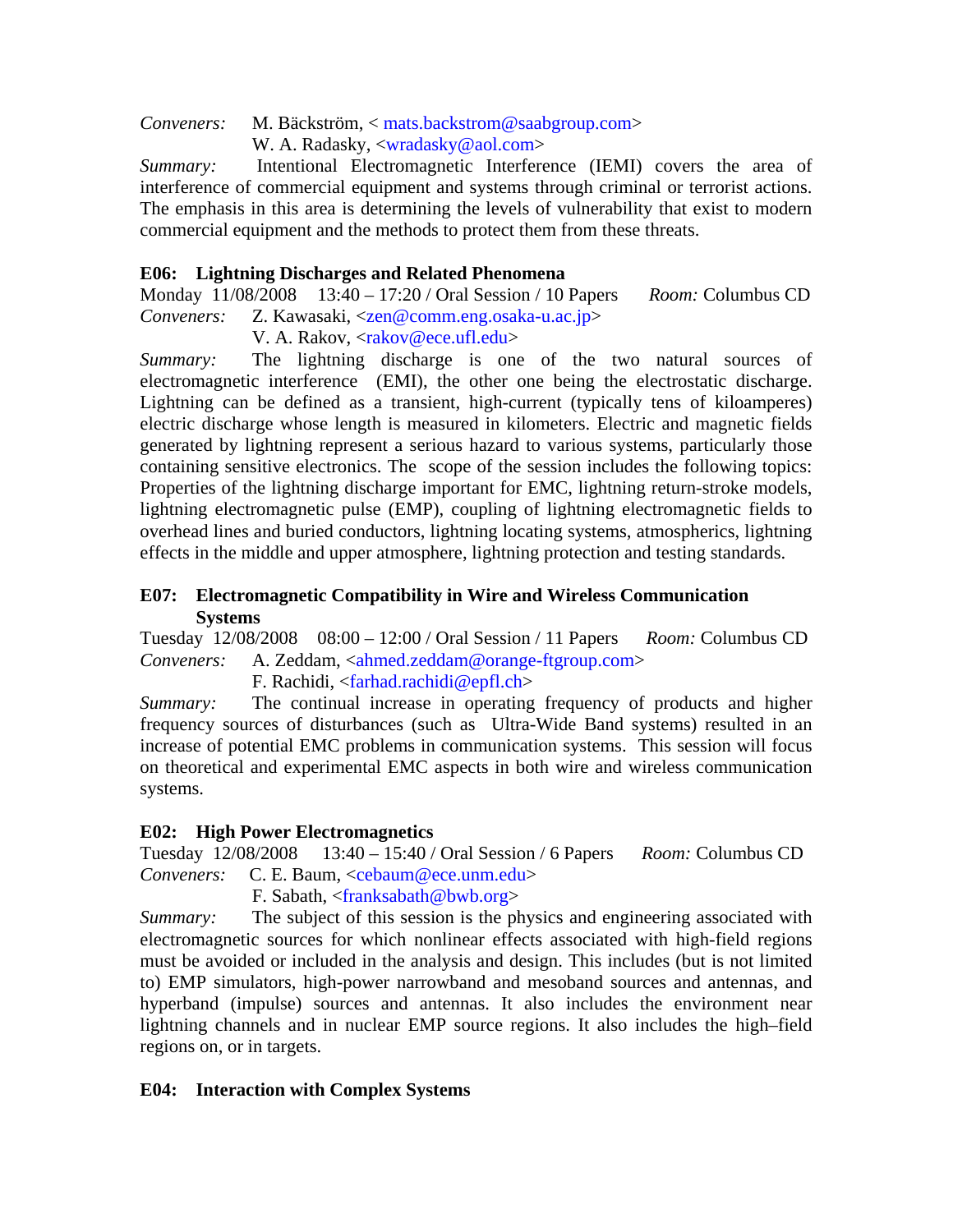*Conveners:* M. Bäckström, < mats.backstrom@saabgroup.com>

W. A. Radasky, <wradasky@aol.com>

*Summary:* Intentional Electromagnetic Interference (IEMI) covers the area of interference of commercial equipment and systems through criminal or terrorist actions. The emphasis in this area is determining the levels of vulnerability that exist to modern commercial equipment and the methods to protect them from these threats.

# **E06: Lightning Discharges and Related Phenomena**

Monday 11/08/2008 13:40 – 17:20 / Oral Session / 10 Papers *Room:* Columbus CD *Conveners:* Z. Kawasaki, <zen@comm.eng.osaka-u.ac.jp>

V. A. Rakov, <rakov@ece.ufl.edu>

*Summary:* The lightning discharge is one of the two natural sources of electromagnetic interference (EMI), the other one being the electrostatic discharge. Lightning can be defined as a transient, high-current (typically tens of kiloamperes) electric discharge whose length is measured in kilometers. Electric and magnetic fields generated by lightning represent a serious hazard to various systems, particularly those containing sensitive electronics. The scope of the session includes the following topics: Properties of the lightning discharge important for EMC, lightning return-stroke models, lightning electromagnetic pulse (EMP), coupling of lightning electromagnetic fields to overhead lines and buried conductors, lightning locating systems, atmospherics, lightning effects in the middle and upper atmosphere, lightning protection and testing standards.

### **E07: Electromagnetic Compatibility in Wire and Wireless Communication Systems**

Tuesday 12/08/2008 08:00 – 12:00 / Oral Session / 11 Papers *Room:* Columbus CD *Conveners:* A. Zeddam, <ahmed.zeddam@orange-ftgroup.com>

F. Rachidi, <farhad.rachidi@epfl.ch>

*Summary:* The continual increase in operating frequency of products and higher frequency sources of disturbances (such as Ultra-Wide Band systems) resulted in an increase of potential EMC problems in communication systems. This session will focus on theoretical and experimental EMC aspects in both wire and wireless communication systems.

# **E02: High Power Electromagnetics**

Tuesday 12/08/2008 13:40 – 15:40 / Oral Session / 6 Papers *Room:* Columbus CD *Conveners:* C. E. Baum, <cebaum@ece.unm.edu>

F. Sabath, <franksabath@bwb.org>

*Summary:* The subject of this session is the physics and engineering associated with electromagnetic sources for which nonlinear effects associated with high-field regions must be avoided or included in the analysis and design. This includes (but is not limited to) EMP simulators, high-power narrowband and mesoband sources and antennas, and hyperband (impulse) sources and antennas. It also includes the environment near lightning channels and in nuclear EMP source regions. It also includes the high–field regions on, or in targets.

# **E04: Interaction with Complex Systems**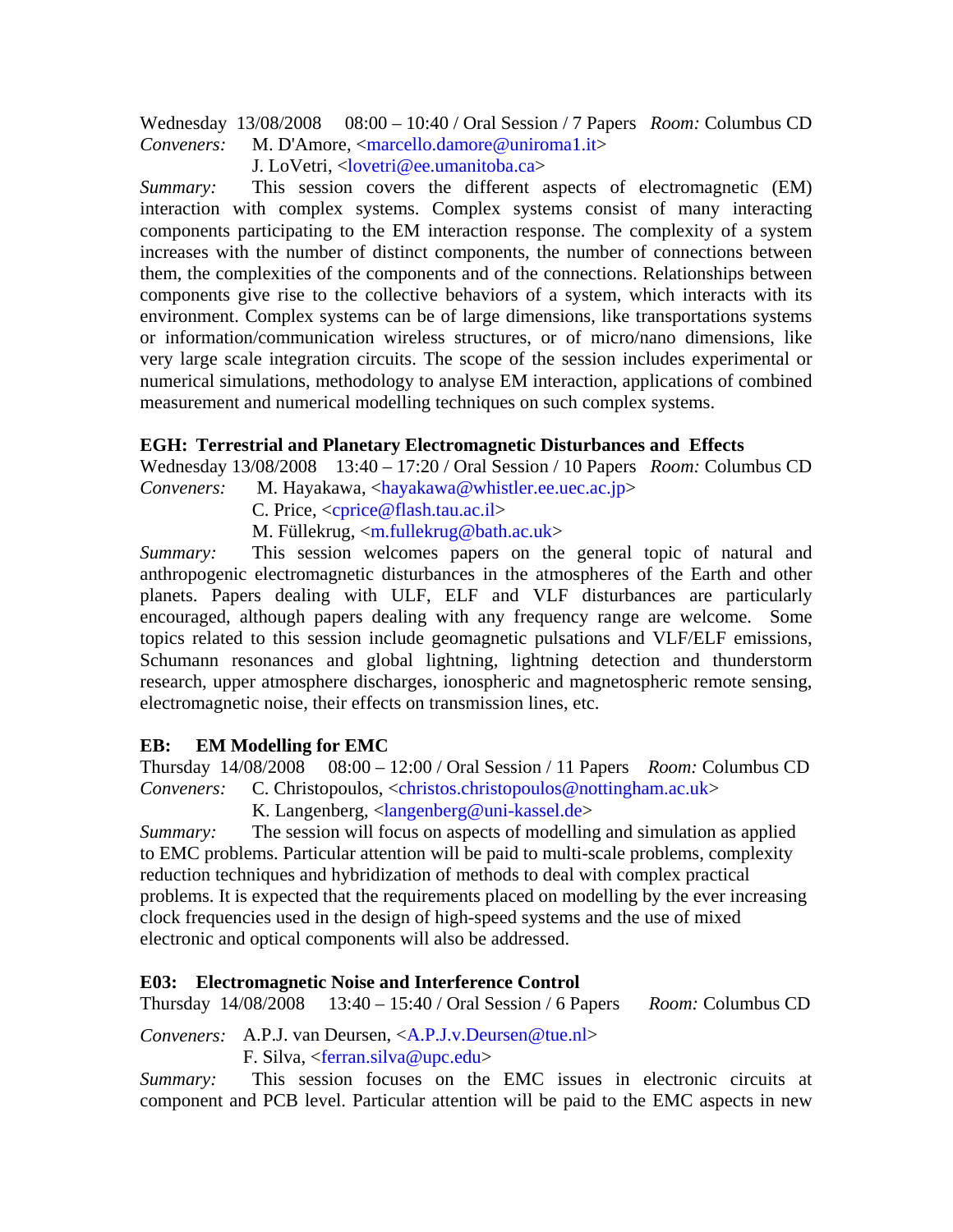Wednesday 13/08/2008 08:00 – 10:40 / Oral Session / 7 Papers *Room:* Columbus CD *Conveners:* M. D'Amore, <marcello.damore@uniroma1.it>

J. LoVetri, <lovetri@ee.umanitoba.ca>

*Summary:* This session covers the different aspects of electromagnetic (EM) interaction with complex systems. Complex systems consist of many interacting components participating to the EM interaction response. The complexity of a system increases with the number of distinct components, the number of connections between them, the complexities of the components and of the connections. Relationships between components give rise to the collective behaviors of a system, which interacts with its environment. Complex systems can be of large dimensions, like transportations systems or information/communication wireless structures, or of micro/nano dimensions, like very large scale integration circuits. The scope of the session includes experimental or numerical simulations, methodology to analyse EM interaction, applications of combined measurement and numerical modelling techniques on such complex systems.

### **EGH: Terrestrial and Planetary Electromagnetic Disturbances and Effects**

Wednesday 13/08/2008 13:40 – 17:20 / Oral Session / 10 Papers *Room:* Columbus CD

*Conveners:* M. Hayakawa, <hayakawa@whistler.ee.uec.ac.jp>

C. Price, <cprice@flash.tau.ac.il>

M. Füllekrug, <m.fullekrug@bath.ac.uk>

*Summary:* This session welcomes papers on the general topic of natural and anthropogenic electromagnetic disturbances in the atmospheres of the Earth and other planets. Papers dealing with ULF, ELF and VLF disturbances are particularly encouraged, although papers dealing with any frequency range are welcome. Some topics related to this session include geomagnetic pulsations and VLF/ELF emissions, Schumann resonances and global lightning, lightning detection and thunderstorm research, upper atmosphere discharges, ionospheric and magnetospheric remote sensing, electromagnetic noise, their effects on transmission lines, etc.

### **EB: EM Modelling for EMC**

Thursday 14/08/2008 08:00 – 12:00 / Oral Session / 11 Papers *Room:* Columbus CD *Conveners:* C. Christopoulos, <christos.christopoulos@nottingham.ac.uk>

K. Langenberg, <langenberg@uni-kassel.de>

*Summary:* The session will focus on aspects of modelling and simulation as applied to EMC problems. Particular attention will be paid to multi-scale problems, complexity reduction techniques and hybridization of methods to deal with complex practical problems. It is expected that the requirements placed on modelling by the ever increasing clock frequencies used in the design of high-speed systems and the use of mixed electronic and optical components will also be addressed.

### **E03: Electromagnetic Noise and Interference Control**

Thursday 14/08/2008 13:40 – 15:40 / Oral Session / 6 Papers *Room:* Columbus CD

*Conveners:* A.P.J. van Deursen, <A.P.J.v.Deursen@tue.nl> F. Silva, <ferran.silva@upc.edu>

*Summary:* This session focuses on the EMC issues in electronic circuits at component and PCB level. Particular attention will be paid to the EMC aspects in new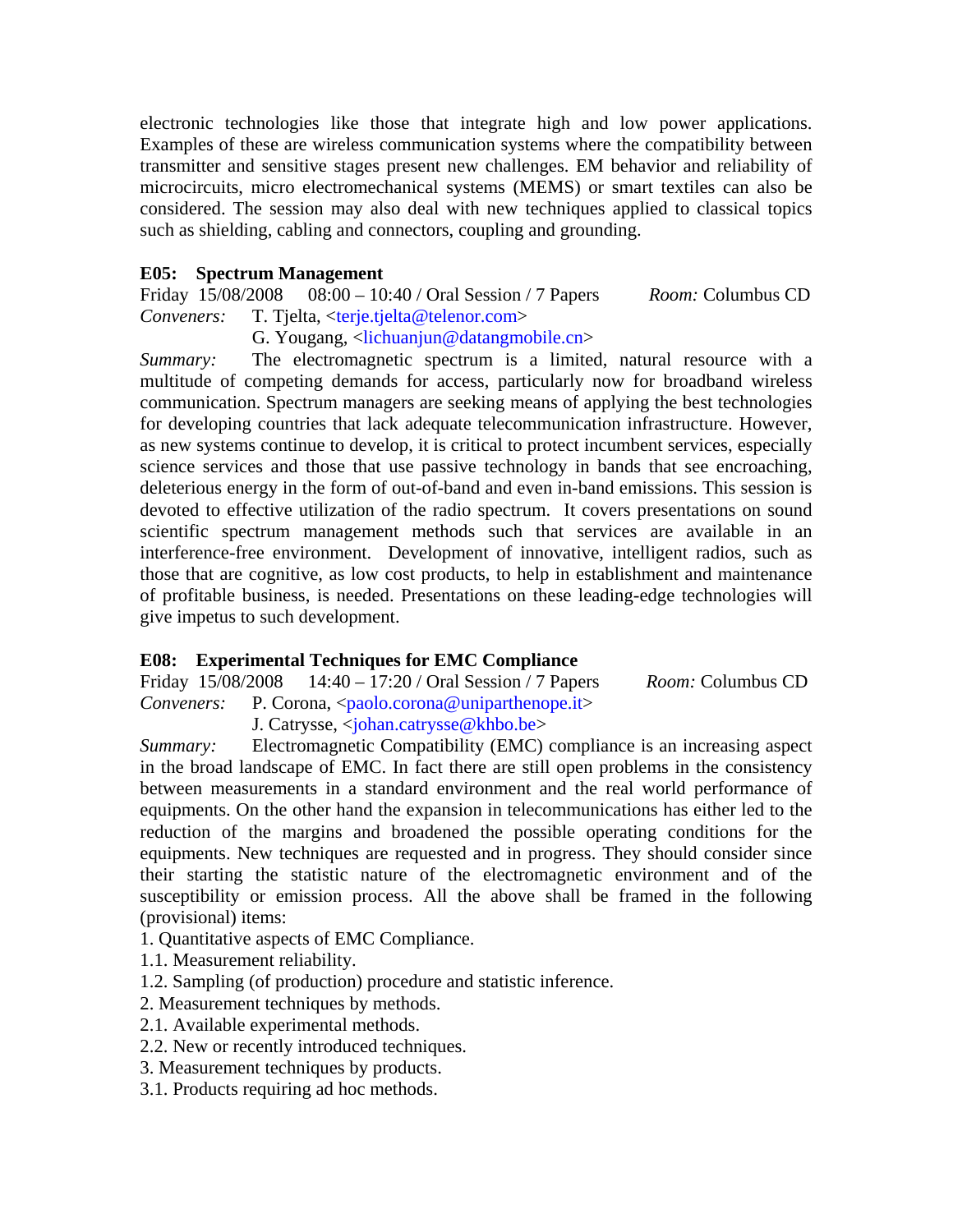electronic technologies like those that integrate high and low power applications. Examples of these are wireless communication systems where the compatibility between transmitter and sensitive stages present new challenges. EM behavior and reliability of microcircuits, micro electromechanical systems (MEMS) or smart textiles can also be considered. The session may also deal with new techniques applied to classical topics such as shielding, cabling and connectors, coupling and grounding.

**E05:** Spectrum Management<br>Friday 15/08/2008 08:00 – 10 08:00 – 10:40 / Oral Session / 7 Papers *Room:* Columbus CD *Conveners:* T. Tjelta, <terje.tjelta@telenor.com>

# G. Yougang, <lichuanjun@datangmobile.cn>

*Summary:* The electromagnetic spectrum is a limited, natural resource with a multitude of competing demands for access, particularly now for broadband wireless communication. Spectrum managers are seeking means of applying the best technologies for developing countries that lack adequate telecommunication infrastructure. However, as new systems continue to develop, it is critical to protect incumbent services, especially science services and those that use passive technology in bands that see encroaching, deleterious energy in the form of out-of-band and even in-band emissions. This session is devoted to effective utilization of the radio spectrum. It covers presentations on sound scientific spectrum management methods such that services are available in an interference-free environment. Development of innovative, intelligent radios, such as those that are cognitive, as low cost products, to help in establishment and maintenance of profitable business, is needed. Presentations on these leading-edge technologies will give impetus to such development.

### **E08: Experimental Techniques for EMC Compliance**

Friday 15/08/2008 14:40 – 17:20 / Oral Session / 7 Papers *Room:* Columbus CD *Conveners:* P. Corona, <paolo.corona@uniparthenope.it> J. Catrysse, <johan.catrysse@khbo.be>

*Summary:* Electromagnetic Compatibility (EMC) compliance is an increasing aspect in the broad landscape of EMC. In fact there are still open problems in the consistency between measurements in a standard environment and the real world performance of equipments. On the other hand the expansion in telecommunications has either led to the reduction of the margins and broadened the possible operating conditions for the equipments. New techniques are requested and in progress. They should consider since their starting the statistic nature of the electromagnetic environment and of the susceptibility or emission process. All the above shall be framed in the following (provisional) items:

- 1. Quantitative aspects of EMC Compliance.
- 1.1. Measurement reliability.
- 1.2. Sampling (of production) procedure and statistic inference.
- 2. Measurement techniques by methods.
- 2.1. Available experimental methods.
- 2.2. New or recently introduced techniques.
- 3. Measurement techniques by products.
- 3.1. Products requiring ad hoc methods.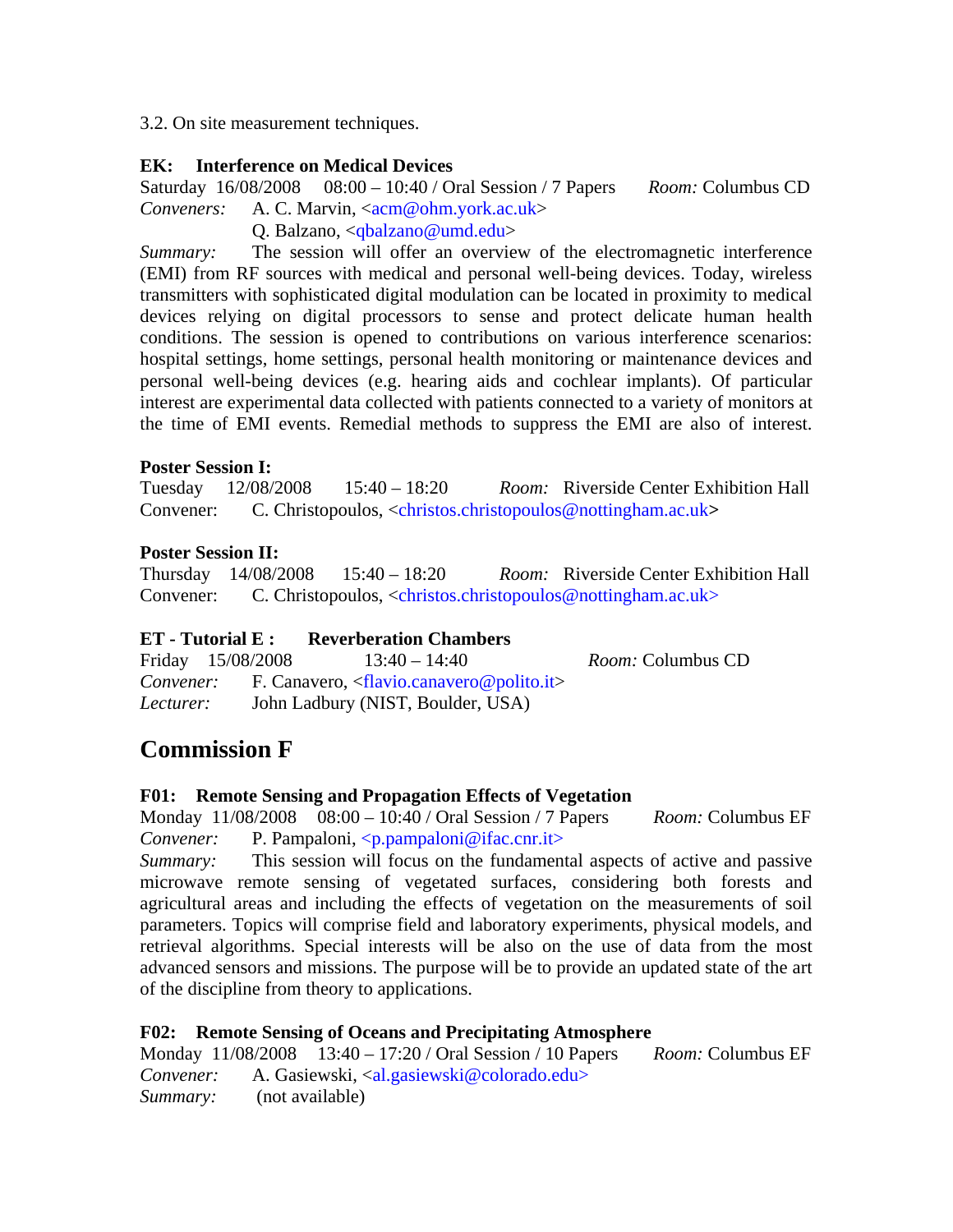3.2. On site measurement techniques.

### **EK: Interference on Medical Devices**

Saturday 16/08/2008 08:00 – 10:40 / Oral Session / 7 Papers *Room:* Columbus CD *Conveners:* A. C. Marvin, <acm@ohm.york.ac.uk>

Q. Balzano, <qbalzano@umd.edu>

*Summary:* The session will offer an overview of the electromagnetic interference (EMI) from RF sources with medical and personal well-being devices. Today, wireless transmitters with sophisticated digital modulation can be located in proximity to medical devices relying on digital processors to sense and protect delicate human health conditions. The session is opened to contributions on various interference scenarios: hospital settings, home settings, personal health monitoring or maintenance devices and personal well-being devices (e.g. hearing aids and cochlear implants). Of particular interest are experimental data collected with patients connected to a variety of monitors at the time of EMI events. Remedial methods to suppress the EMI are also of interest.

#### **Poster Session I:**

Tuesday 12/08/2008 15:40 – 18:20 *Room:* Riverside Center Exhibition Hall Convener:C. Christopoulos, <christos.christopoulos@nottingham.ac.uk**>**

### **Poster Session II:**

Thursday 14/08/2008 15:40 – 18:20 *Room:* Riverside Center Exhibition Hall Convener:C. Christopoulos, <christos.christopoulos@nottingham.ac.uk>

### **ET - Tutorial E : Reverberation Chambers**

Friday 15/08/2008 13:40 – 14:40 *Room:* Columbus CD *Convener:* F. Canavero, <flavio.canavero@polito.it> *Lecturer:* John Ladbury (NIST, Boulder, USA)

# **Commission F**

### **F01: Remote Sensing and Propagation Effects of Vegetation**

Monday 11/08/2008 08:00 – 10:40 / Oral Session / 7 Papers *Room:* Columbus EF *Convener:* P. Pampaloni, <p.pampaloni@ifac.cnr.it>

*Summary:* This session will focus on the fundamental aspects of active and passive microwave remote sensing of vegetated surfaces, considering both forests and agricultural areas and including the effects of vegetation on the measurements of soil parameters. Topics will comprise field and laboratory experiments, physical models, and retrieval algorithms. Special interests will be also on the use of data from the most advanced sensors and missions. The purpose will be to provide an updated state of the art of the discipline from theory to applications.

### **F02: Remote Sensing of Oceans and Precipitating Atmosphere**

Monday 11/08/2008 13:40 – 17:20 / Oral Session / 10 Papers *Room:* Columbus EF Convener: A. Gasiewski, <al.gasiewski@colorado.edu> *Summary:* (not available)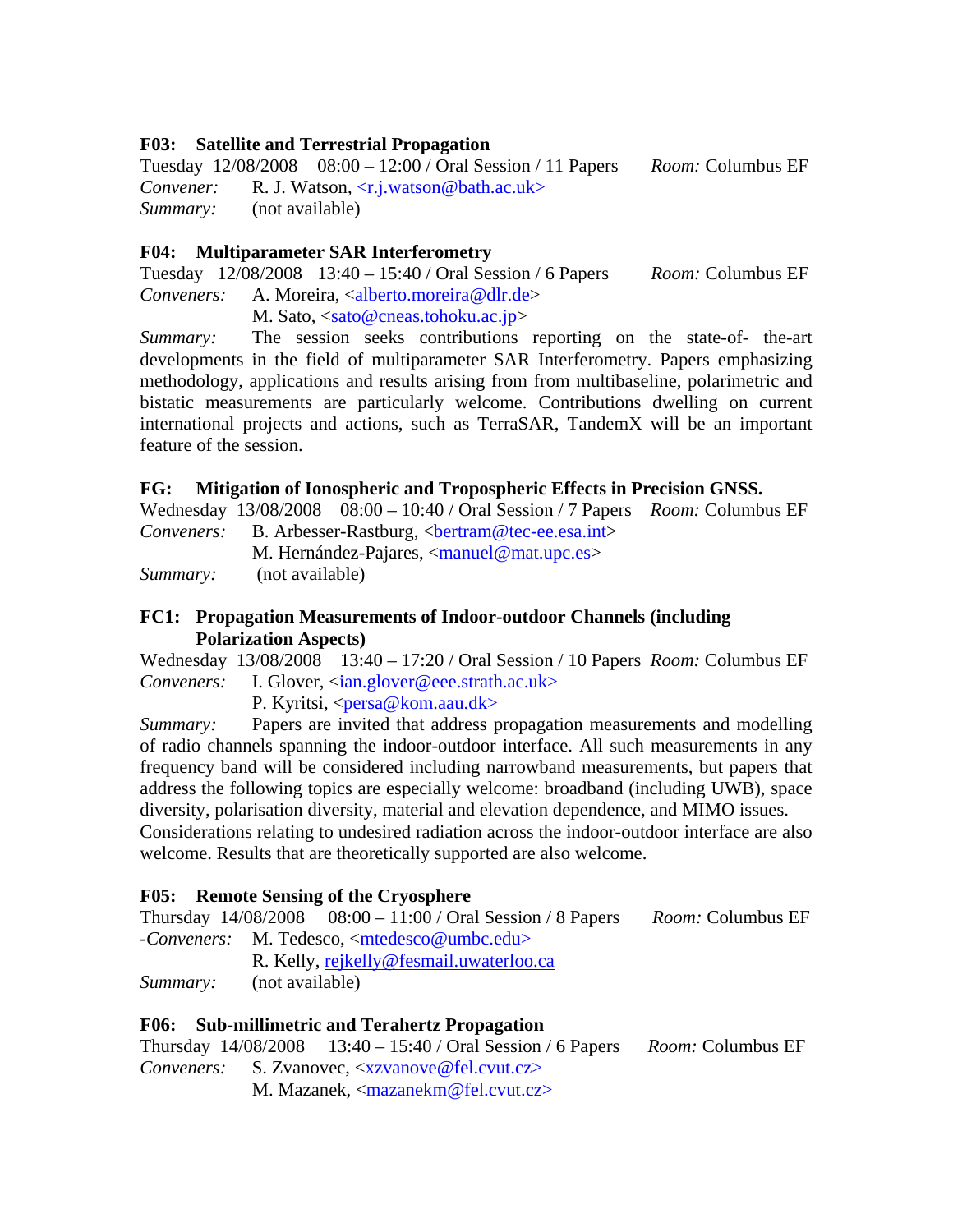#### **F03: Satellite and Terrestrial Propagation**

Tuesday 12/08/2008 08:00 – 12:00 / Oral Session / 11 Papers *Room:* Columbus EF *Convener:* R. J. Watson, <r.j.watson@bath.ac.uk> *Summary:* (not available)

#### **F04: Multiparameter SAR Interferometry**

Tuesday 12/08/2008 13:40 – 15:40 / Oral Session / 6 Papers *Room:* Columbus EF *Conveners:* A. Moreira, <alberto.moreira@dlr.de>

M. Sato, <sato@cneas.tohoku.ac.jp>

*Summary:* The session seeks contributions reporting on the state-of- the-art developments in the field of multiparameter SAR Interferometry. Papers emphasizing methodology, applications and results arising from from multibaseline, polarimetric and bistatic measurements are particularly welcome. Contributions dwelling on current international projects and actions, such as TerraSAR, TandemX will be an important feature of the session.

#### **FG: Mitigation of Ionospheric and Tropospheric Effects in Precision GNSS.**

Wednesday 13/08/2008 08:00 – 10:40 / Oral Session / 7 Papers *Room:* Columbus EF *Conveners:* B. Arbesser-Rastburg, <br/>bertram@tec-ee.esa.int>

M. Hernández-Pajares, <manuel@mat.upc.es>

*Summary:* (not available)

#### **FC1: Propagation Measurements of Indoor-outdoor Channels (including Polarization Aspects)**

Wednesday 13/08/2008 13:40 – 17:20 / Oral Session / 10 Papers *Room:* Columbus EF *Conveners:* I. Glover, <ian.glover@eee.strath.ac.uk>

P. Kyritsi, <persa@kom.aau.dk>

*Summary:* Papers are invited that address propagation measurements and modelling of radio channels spanning the indoor-outdoor interface. All such measurements in any frequency band will be considered including narrowband measurements, but papers that address the following topics are especially welcome: broadband (including UWB), space diversity, polarisation diversity, material and elevation dependence, and MIMO issues. Considerations relating to undesired radiation across the indoor-outdoor interface are also welcome. Results that are theoretically supported are also welcome.

### **F05: Remote Sensing of the Cryosphere**

Thursday 14/08/2008 08:00 – 11:00 / Oral Session / 8 Papers *Room:* Columbus EF *-Conveners:* M. Tedesco, <mtedesco@umbc.edu> R. Kelly, rejkelly@fesmail.uwaterloo.ca

*Summary:* (not available)

### **F06: Sub-millimetric and Terahertz Propagation**

Thursday 14/08/2008 13:40 – 15:40 / Oral Session / 6 Papers *Room:* Columbus EF *Conveners:* S. Zvanovec, <xzvanove@fel.cvut.cz> M. Mazanek, <mazanekm@fel.cvut.cz>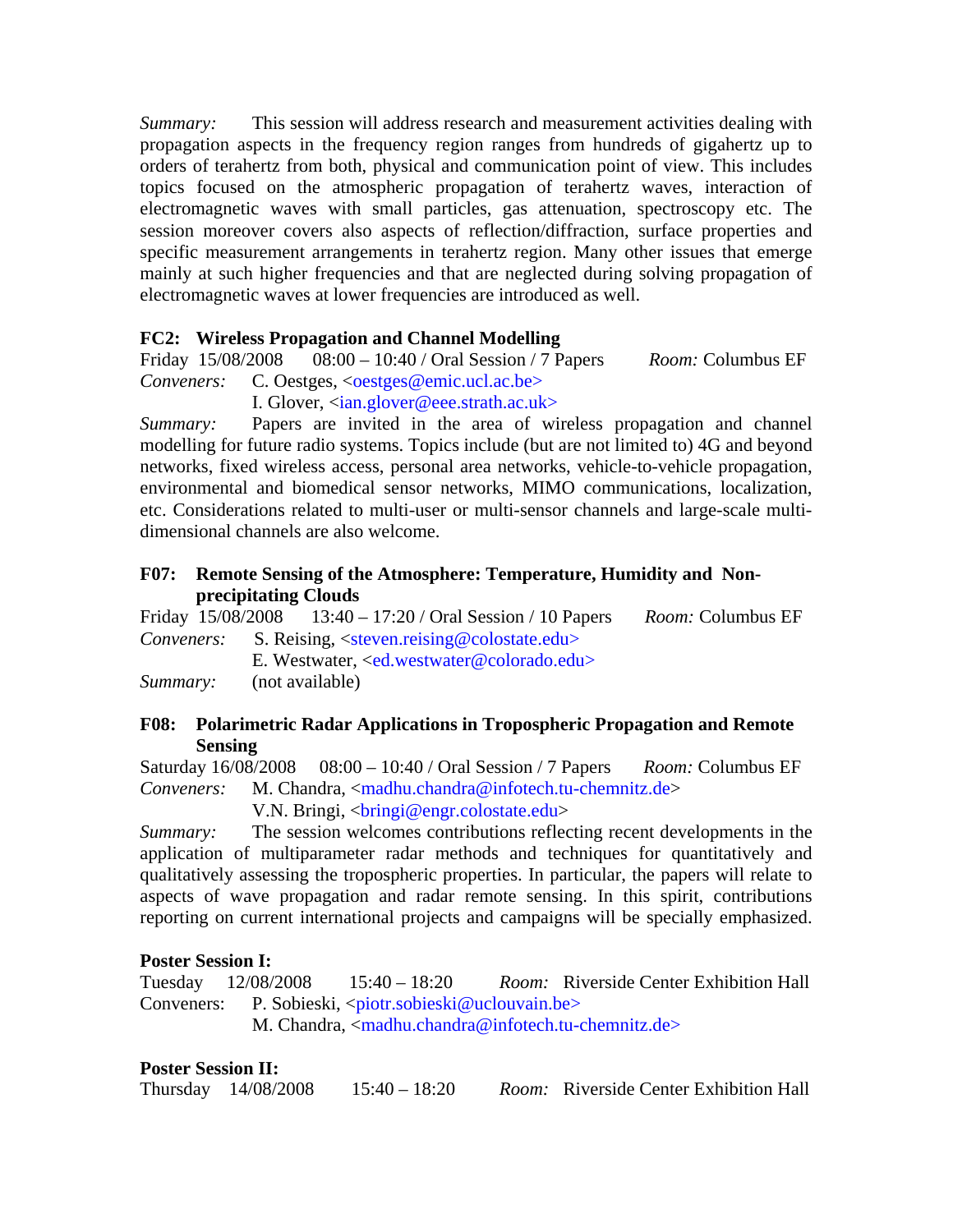*Summary:* This session will address research and measurement activities dealing with propagation aspects in the frequency region ranges from hundreds of gigahertz up to orders of terahertz from both, physical and communication point of view. This includes topics focused on the atmospheric propagation of terahertz waves, interaction of electromagnetic waves with small particles, gas attenuation, spectroscopy etc. The session moreover covers also aspects of reflection/diffraction, surface properties and specific measurement arrangements in terahertz region. Many other issues that emerge mainly at such higher frequencies and that are neglected during solving propagation of electromagnetic waves at lower frequencies are introduced as well.

### **FC2: Wireless Propagation and Channel Modelling**

Friday 15/08/2008 08:00 – 10:40 / Oral Session / 7 Papers *Room:* Columbus EF *Conveners:* C. Oestges, <**oestges@emic.ucl.ac.be>** 

I. Glover, <ian.glover@eee.strath.ac.uk>

*Summary:* Papers are invited in the area of wireless propagation and channel modelling for future radio systems. Topics include (but are not limited to) 4G and beyond networks, fixed wireless access, personal area networks, vehicle-to-vehicle propagation, environmental and biomedical sensor networks, MIMO communications, localization, etc. Considerations related to multi-user or multi-sensor channels and large-scale multidimensional channels are also welcome.

#### **F07: Remote Sensing of the Atmosphere: Temperature, Humidity and Nonprecipitating Clouds**

Friday 15/08/2008 13:40 – 17:20 / Oral Session / 10 Papers *Room:* Columbus EF *Conveners:* S. Reising, <steven.reising@colostate.edu>

E. Westwater, <ed.westwater@colorado.edu>

*Summary:* (not available)

### **F08: Polarimetric Radar Applications in Tropospheric Propagation and Remote Sensing**

Saturday 16/08/2008 08:00 – 10:40 / Oral Session / 7 Papers *Room:* Columbus EF *Conveners:* M. Chandra, <madhu.chandra@infotech.tu-chemnitz.de>

V.N. Bringi, <bringi@engr.colostate.edu>

*Summary:* The session welcomes contributions reflecting recent developments in the application of multiparameter radar methods and techniques for quantitatively and qualitatively assessing the tropospheric properties. In particular, the papers will relate to aspects of wave propagation and radar remote sensing. In this spirit, contributions reporting on current international projects and campaigns will be specially emphasized.

### **Poster Session I:**

Tuesday 12/08/2008 15:40 – 18:20 *Room:* Riverside Center Exhibition Hall Conveners: P. Sobieski, <piotr.sobieski@uclouvain.be> M. Chandra, <madhu.chandra@infotech.tu-chemnitz.de>

### **Poster Session II:**

Thursday 14/08/2008 15:40 – 18:20 *Room:* Riverside Center Exhibition Hall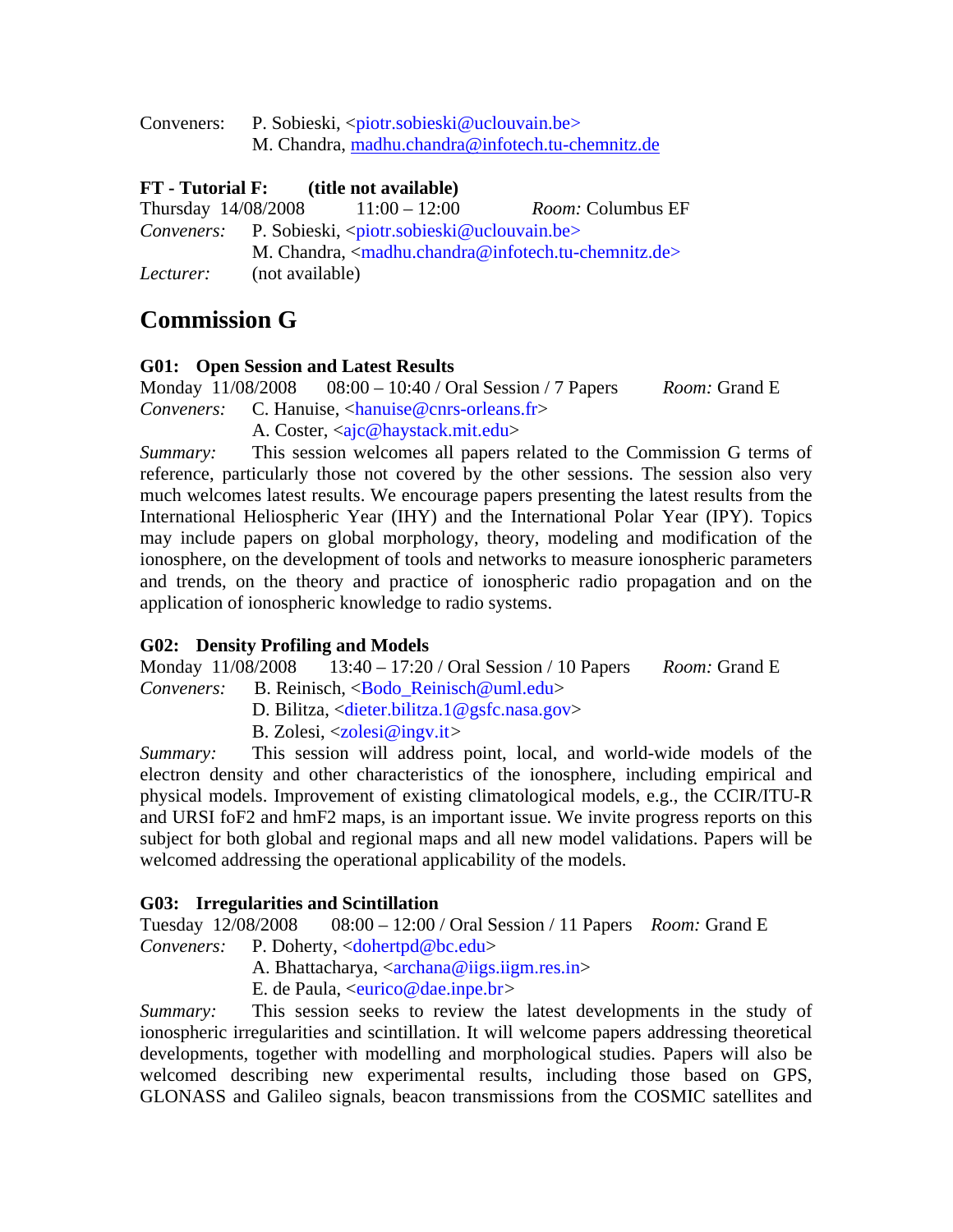| Conveners: | P. Sobieski, <piotr.sobieski@uclouvain.be></piotr.sobieski@uclouvain.be> |  |  |
|------------|--------------------------------------------------------------------------|--|--|
|            | M. Chandra, madhu.chandra@infotech.tu-chemnitz.de                        |  |  |

## **FT - Tutorial F: (title not available)**

| Thursday 14/08/2008 |                 | $11:00 - 12:00$                                                          | <i>Room:</i> Columbus EF                                     |
|---------------------|-----------------|--------------------------------------------------------------------------|--------------------------------------------------------------|
| Conveners:          |                 | P. Sobieski, <piotr.sobieski@uclouvain.be></piotr.sobieski@uclouvain.be> |                                                              |
|                     |                 |                                                                          | M. Chandra, $\langle$ madhu.chandra@infotech.tu-chemnitz.de> |
| Lecturer:           | (not available) |                                                                          |                                                              |

# **Commission G**

### **G01: Open Session and Latest Results**

Monday 11/08/2008 08:00 – 10:40 / Oral Session / 7 Papers *Room:* Grand E *Conveners:* C. Hanuise, <hanuise@cnrs-orleans.fr>

A. Coster, <aic@haystack.mit.edu>

*Summary:* This session welcomes all papers related to the Commission G terms of reference, particularly those not covered by the other sessions. The session also very much welcomes latest results. We encourage papers presenting the latest results from the International Heliospheric Year (IHY) and the International Polar Year (IPY). Topics may include papers on global morphology, theory, modeling and modification of the ionosphere, on the development of tools and networks to measure ionospheric parameters and trends, on the theory and practice of ionospheric radio propagation and on the application of ionospheric knowledge to radio systems.

# **G02: Density Profiling and Models**

Monday 11/08/2008 13:40 – 17:20 / Oral Session / 10 Papers *Room:* Grand E *Conveners:* B. Reinisch, <Bodo\_Reinisch@uml.edu>

D. Bilitza, <dieter.bilitza.1@gsfc.nasa.gov>

B. Zolesi, <zolesi@ingv.it*>* 

*Summary:* This session will address point, local, and world-wide models of the electron density and other characteristics of the ionosphere, including empirical and physical models. Improvement of existing climatological models, e.g., the CCIR/ITU-R and URSI foF2 and hmF2 maps, is an important issue. We invite progress reports on this subject for both global and regional maps and all new model validations. Papers will be welcomed addressing the operational applicability of the models.

# **G03: Irregularities and Scintillation**

Tuesday 12/08/2008 08:00 – 12:00 / Oral Session / 11 Papers *Room:* Grand E Conveners: P. Doherty, <dohertpd@bc.edu>

A. Bhattacharya,  $\langle \arctan \theta \rangle$  iigs.iigm.res.in E. de Paula, <eurico@dae.inpe.br*>* 

*Summary:* This session seeks to review the latest developments in the study of ionospheric irregularities and scintillation. It will welcome papers addressing theoretical developments, together with modelling and morphological studies. Papers will also be welcomed describing new experimental results, including those based on GPS, GLONASS and Galileo signals, beacon transmissions from the COSMIC satellites and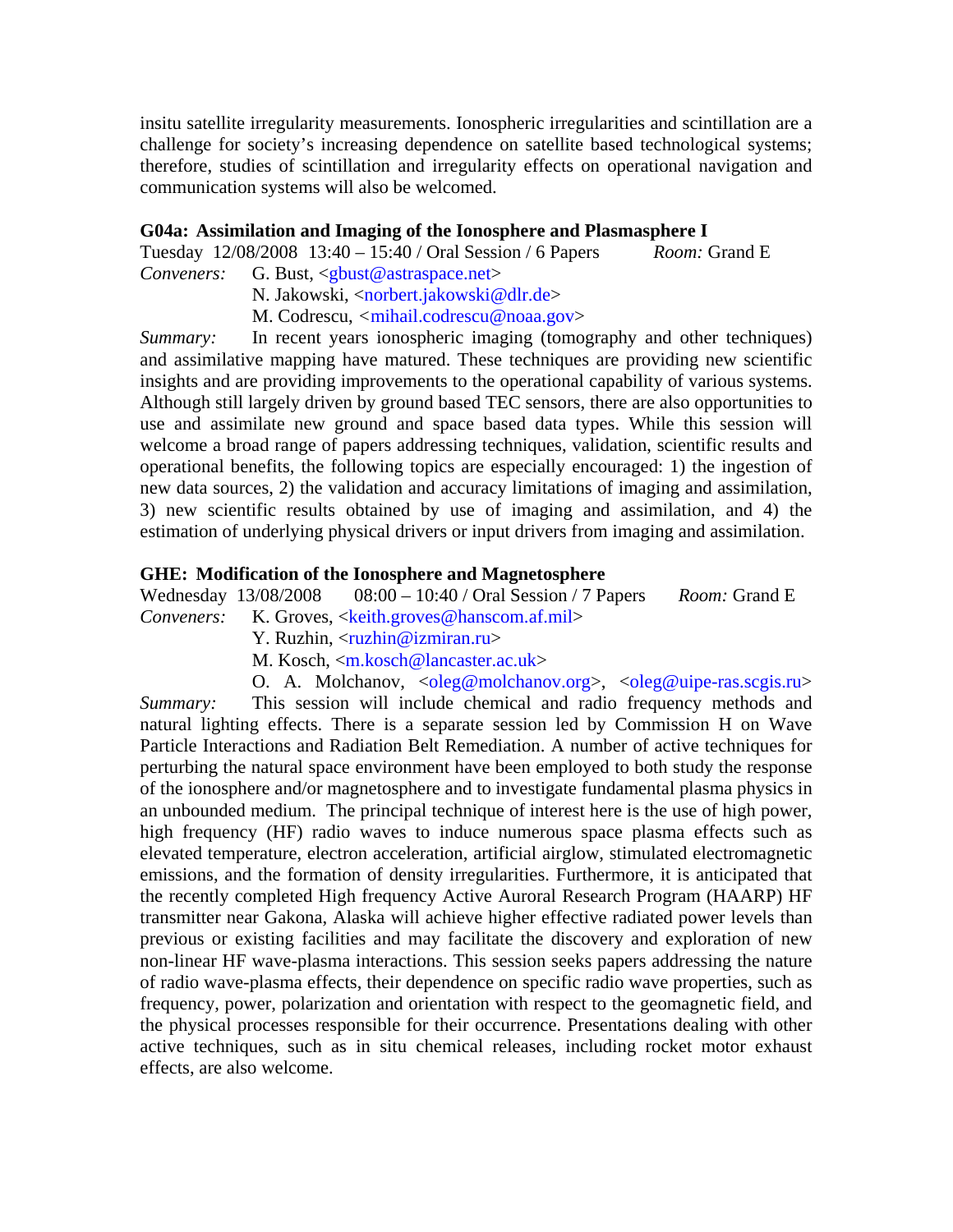insitu satellite irregularity measurements. Ionospheric irregularities and scintillation are a challenge for society's increasing dependence on satellite based technological systems; therefore, studies of scintillation and irregularity effects on operational navigation and communication systems will also be welcomed.

#### **G04a: Assimilation and Imaging of the Ionosphere and Plasmasphere I**

Tuesday 12/08/2008 13:40 – 15:40 / Oral Session / 6 Papers *Room:* Grand E *Conveners:* G. Bust, <gbust@astraspace.net>

N. Jakowski, <norbert.jakowski@dlr.de>

M. Codrescu, *<*mihail.codrescu@noaa.gov>

*Summary:* In recent years ionospheric imaging (tomography and other techniques) and assimilative mapping have matured. These techniques are providing new scientific insights and are providing improvements to the operational capability of various systems. Although still largely driven by ground based TEC sensors, there are also opportunities to use and assimilate new ground and space based data types. While this session will welcome a broad range of papers addressing techniques, validation, scientific results and operational benefits, the following topics are especially encouraged: 1) the ingestion of new data sources, 2) the validation and accuracy limitations of imaging and assimilation, 3) new scientific results obtained by use of imaging and assimilation, and 4) the estimation of underlying physical drivers or input drivers from imaging and assimilation.

#### **GHE: Modification of the Ionosphere and Magnetosphere**

Wednesday 13/08/2008 08:00 – 10:40 / Oral Session / 7 Papers *Room:* Grand E *Conveners:* K. Groves, <keith.groves@hanscom.af.mil>

Y. Ruzhin, <ruzhin@izmiran.ru>

- M. Kosch, <m.kosch@lancaster.ac.uk>
- O. A. Molchanov,  $\langle \text{oleg@mol}$ chanov.org $\rangle$ ,  $\langle \text{oleg@uipe-ras.scgis.ru}\rangle$

*Summary:* This session will include chemical and radio frequency methods and natural lighting effects. There is a separate session led by Commission H on Wave Particle Interactions and Radiation Belt Remediation. A number of active techniques for perturbing the natural space environment have been employed to both study the response of the ionosphere and/or magnetosphere and to investigate fundamental plasma physics in an unbounded medium. The principal technique of interest here is the use of high power, high frequency (HF) radio waves to induce numerous space plasma effects such as elevated temperature, electron acceleration, artificial airglow, stimulated electromagnetic emissions, and the formation of density irregularities. Furthermore, it is anticipated that the recently completed High frequency Active Auroral Research Program (HAARP) HF transmitter near Gakona, Alaska will achieve higher effective radiated power levels than previous or existing facilities and may facilitate the discovery and exploration of new non-linear HF wave-plasma interactions. This session seeks papers addressing the nature of radio wave-plasma effects, their dependence on specific radio wave properties, such as frequency, power, polarization and orientation with respect to the geomagnetic field, and the physical processes responsible for their occurrence. Presentations dealing with other active techniques, such as in situ chemical releases, including rocket motor exhaust effects, are also welcome.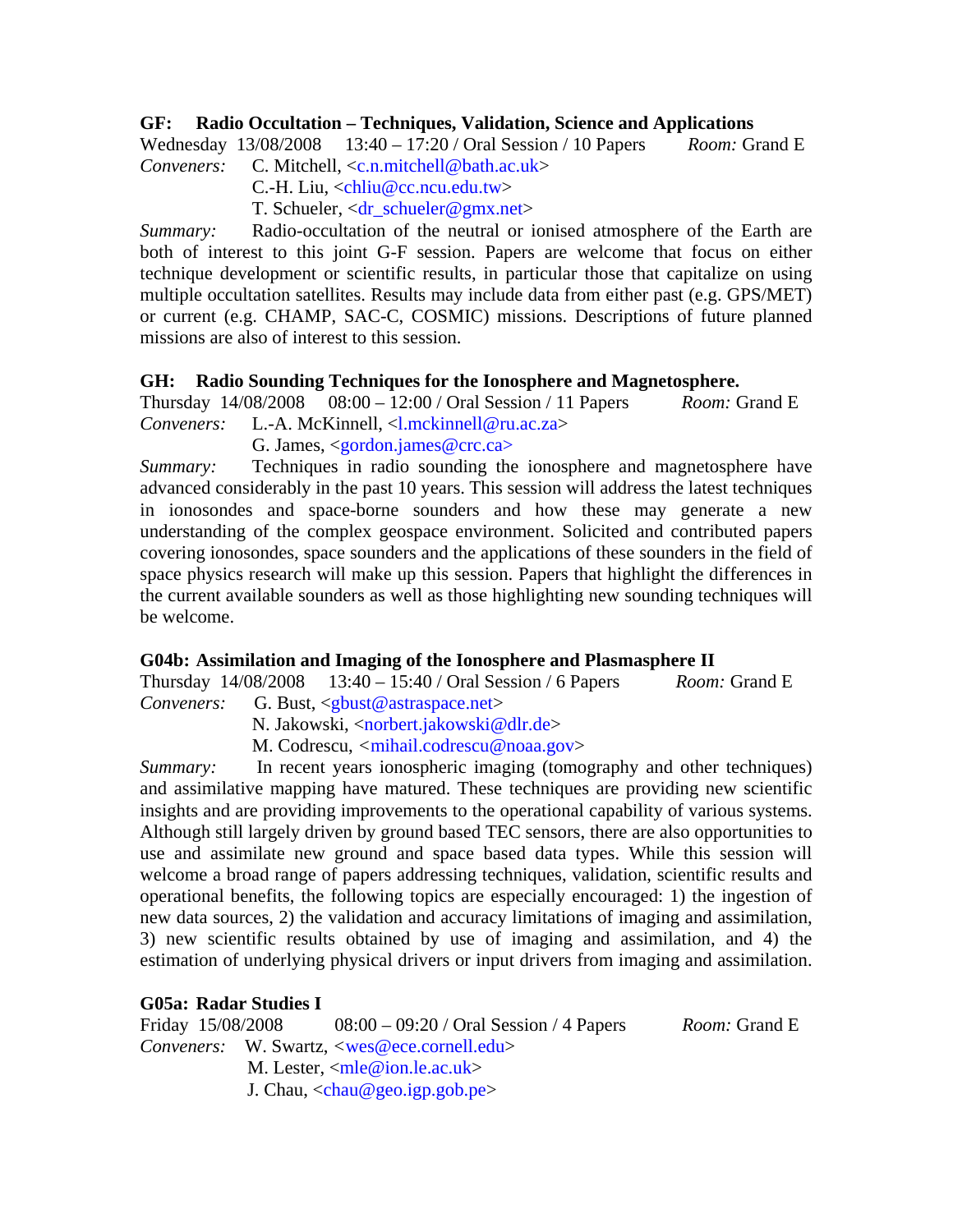#### **GF: Radio Occultation – Techniques, Validation, Science and Applications**

Wednesday 13/08/2008 13:40 – 17:20 / Oral Session / 10 Papers *Room:* Grand E *Conveners:* C. Mitchell, <c.n.mitchell@bath.ac.uk>

C.-H. Liu, <chliu@cc.ncu.edu.tw>

T. Schueler, <dr\_schueler@gmx.net>

*Summary:* Radio-occultation of the neutral or ionised atmosphere of the Earth are both of interest to this joint G-F session. Papers are welcome that focus on either technique development or scientific results, in particular those that capitalize on using multiple occultation satellites. Results may include data from either past (e.g. GPS/MET) or current (e.g. CHAMP, SAC-C, COSMIC) missions. Descriptions of future planned missions are also of interest to this session.

### **GH: Radio Sounding Techniques for the Ionosphere and Magnetosphere.**

Thursday 14/08/2008 08:00 – 12:00 / Oral Session / 11 Papers *Room:* Grand E *Conveners:* L.-A. McKinnell, <l.mckinnell@ru.ac.za>

G. James,  $\langle$  gordon.james@crc.ca>

*Summary:* Techniques in radio sounding the ionosphere and magnetosphere have advanced considerably in the past 10 years. This session will address the latest techniques in ionosondes and space-borne sounders and how these may generate a new understanding of the complex geospace environment. Solicited and contributed papers covering ionosondes, space sounders and the applications of these sounders in the field of space physics research will make up this session. Papers that highlight the differences in the current available sounders as well as those highlighting new sounding techniques will be welcome.

### **G04b: Assimilation and Imaging of the Ionosphere and Plasmasphere II**

Thursday 14/08/2008 13:40 – 15:40 / Oral Session / 6 Papers *Room:* Grand E *Conveners:* G. Bust, <gbust@astraspace.net>

N. Jakowski, <norbert.jakowski@dlr.de>

M. Codrescu, *<*mihail.codrescu@noaa.gov>

*Summary:* In recent years ionospheric imaging (tomography and other techniques) and assimilative mapping have matured. These techniques are providing new scientific insights and are providing improvements to the operational capability of various systems. Although still largely driven by ground based TEC sensors, there are also opportunities to use and assimilate new ground and space based data types. While this session will welcome a broad range of papers addressing techniques, validation, scientific results and operational benefits, the following topics are especially encouraged: 1) the ingestion of new data sources, 2) the validation and accuracy limitations of imaging and assimilation, 3) new scientific results obtained by use of imaging and assimilation, and 4) the estimation of underlying physical drivers or input drivers from imaging and assimilation.

#### **G05a: Radar Studies I**

Friday 15/08/2008 08:00 – 09:20 / Oral Session / 4 Papers *Room:* Grand E *Conveners:* W. Swartz, *<*wes@ece.cornell.edu> M. Lester, <mle@ion.le.ac.uk> J. Chau,  $\langle$ chau@geo.igp.gob.pe $\rangle$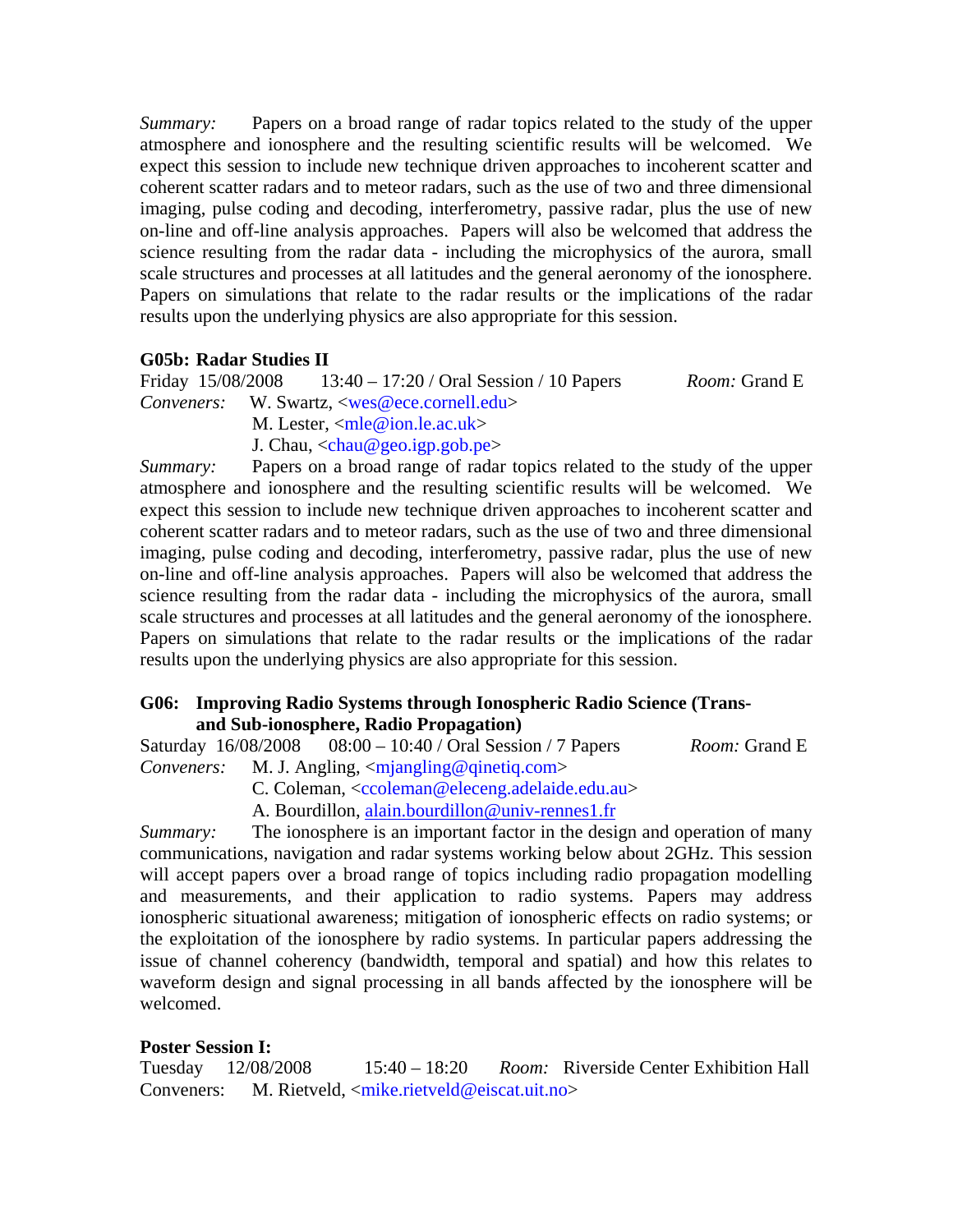*Summary:* Papers on a broad range of radar topics related to the study of the upper atmosphere and ionosphere and the resulting scientific results will be welcomed. We expect this session to include new technique driven approaches to incoherent scatter and coherent scatter radars and to meteor radars, such as the use of two and three dimensional imaging, pulse coding and decoding, interferometry, passive radar, plus the use of new on-line and off-line analysis approaches. Papers will also be welcomed that address the science resulting from the radar data - including the microphysics of the aurora, small scale structures and processes at all latitudes and the general aeronomy of the ionosphere. Papers on simulations that relate to the radar results or the implications of the radar results upon the underlying physics are also appropriate for this session.

#### **G05b: Radar Studies II**

Friday 15/08/2008 13:40 – 17:20 / Oral Session / 10 Papers *Room:* Grand E *Conveners:* W. Swartz, <wes@ece.cornell.edu>

M. Lester,  $\langle$ mle@ion.le.ac.uk $>$ 

J. Chau,  $\langle$ chau@geo.igp.gob.pe $\rangle$ 

*Summary:* Papers on a broad range of radar topics related to the study of the upper atmosphere and ionosphere and the resulting scientific results will be welcomed. We expect this session to include new technique driven approaches to incoherent scatter and coherent scatter radars and to meteor radars, such as the use of two and three dimensional imaging, pulse coding and decoding, interferometry, passive radar, plus the use of new on-line and off-line analysis approaches. Papers will also be welcomed that address the science resulting from the radar data - including the microphysics of the aurora, small scale structures and processes at all latitudes and the general aeronomy of the ionosphere. Papers on simulations that relate to the radar results or the implications of the radar results upon the underlying physics are also appropriate for this session.

#### **G06: Improving Radio Systems through Ionospheric Radio Science (Transand Sub-ionosphere, Radio Propagation)**

Saturday 16/08/2008 08:00 – 10:40 / Oral Session / 7 Papers *Room:* Grand E *Conveners:* M. J. Angling, <mjangling@qinetiq.com>

C. Coleman, <ccoleman@eleceng.adelaide.edu.au>

A. Bourdillon, alain.bourdillon@univ-rennes1.fr

*Summary:* The ionosphere is an important factor in the design and operation of many communications, navigation and radar systems working below about 2GHz. This session will accept papers over a broad range of topics including radio propagation modelling and measurements, and their application to radio systems. Papers may address ionospheric situational awareness; mitigation of ionospheric effects on radio systems; or the exploitation of the ionosphere by radio systems. In particular papers addressing the issue of channel coherency (bandwidth, temporal and spatial) and how this relates to waveform design and signal processing in all bands affected by the ionosphere will be welcomed.

#### **Poster Session I:**

Tuesday 12/08/2008 15:40 – 18:20 *Room:* Riverside Center Exhibition Hall Conveners:M. Rietveld, <mike.rietveld@eiscat.uit.no>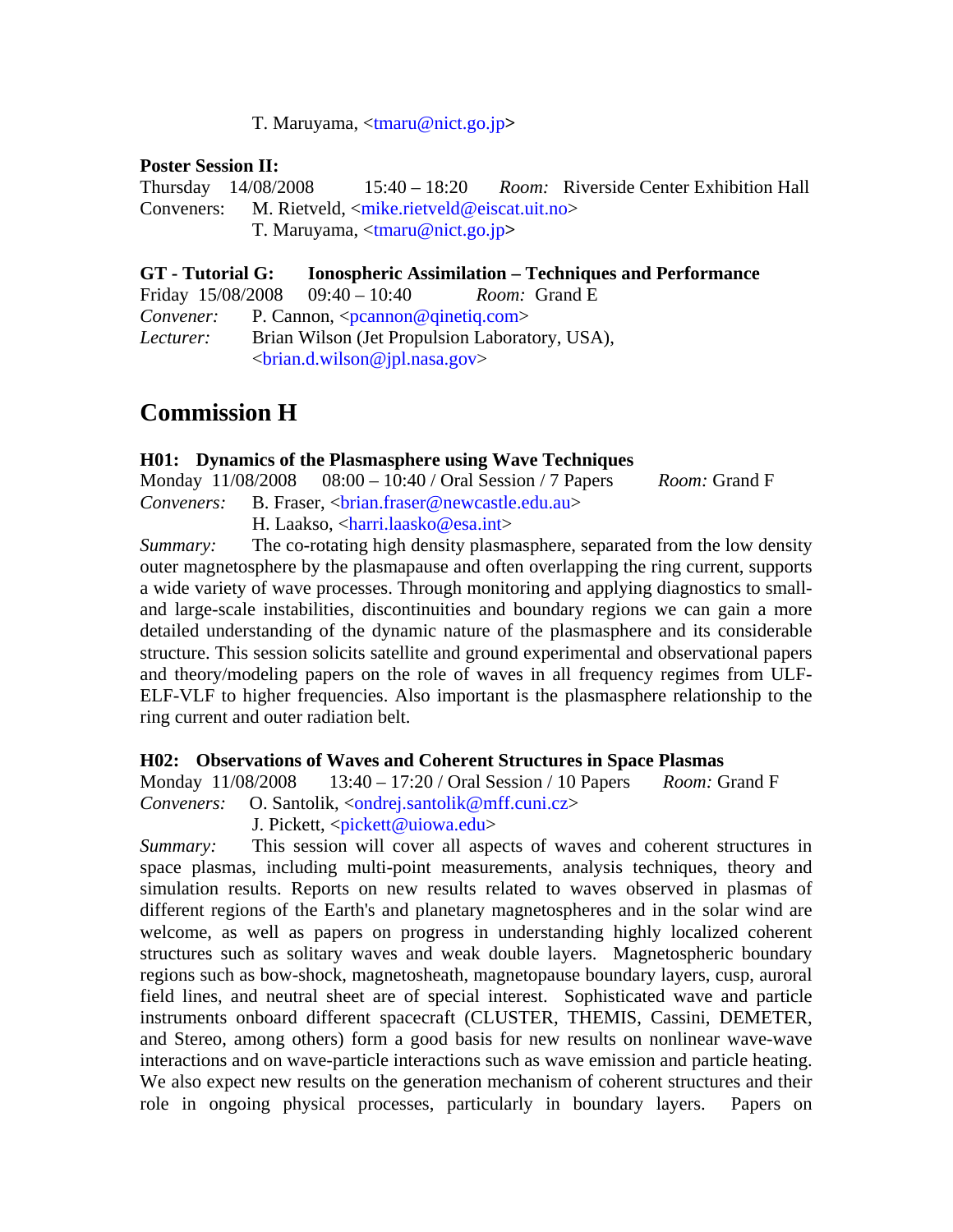#### T. Maruyama, <tmaru@nict.go.jp**>**

#### **Poster Session II:**

Thursday 14/08/2008 15:40 – 18:20 *Room:* Riverside Center Exhibition Hall Conveners: M. Rietveld, <mike.rietveld@eiscat.uit.no> T. Maruyama, <tmaru@nict.go.jp**>**

**GT - Tutorial G: Ionospheric Assimilation – Techniques and Performance**  Friday 15/08/2008 09:40 – 10:40 *Room:* Grand E *Convener:* P. Cannon, <pcannon@qinetiq.com> *Lecturer:* Brian Wilson (Jet Propulsion Laboratory, USA), <brian.d.wilson@jpl.nasa.gov>

# **Commission H**

#### **H01: Dynamics of the Plasmasphere using Wave Techniques**

|  | Monday $11/08/2008$ 08:00 – 10:40 / Oral Session / 7 Papers                                  | <i>Room:</i> Grand F |
|--|----------------------------------------------------------------------------------------------|----------------------|
|  | <i>Conveners:</i> B. Fraser, <brian.fraser@newcastle.edu.au></brian.fraser@newcastle.edu.au> |                      |
|  | H. Laakso, $\langle$ harri.laasko@esa.int>                                                   |                      |

*Summary:* The co-rotating high density plasmasphere, separated from the low density outer magnetosphere by the plasmapause and often overlapping the ring current, supports a wide variety of wave processes. Through monitoring and applying diagnostics to smalland large-scale instabilities, discontinuities and boundary regions we can gain a more detailed understanding of the dynamic nature of the plasmasphere and its considerable structure. This session solicits satellite and ground experimental and observational papers and theory/modeling papers on the role of waves in all frequency regimes from ULF-ELF-VLF to higher frequencies. Also important is the plasmasphere relationship to the ring current and outer radiation belt.

#### **H02: Observations of Waves and Coherent Structures in Space Plasmas**

Monday 11/08/2008 13:40 – 17:20 / Oral Session / 10 Papers *Room:* Grand F *Conveners:* O. Santolik, <ondrej.santolik@mff.cuni.cz>

J. Pickett, <pickett@uiowa.edu>

*Summary:* This session will cover all aspects of waves and coherent structures in space plasmas, including multi-point measurements, analysis techniques, theory and simulation results. Reports on new results related to waves observed in plasmas of different regions of the Earth's and planetary magnetospheres and in the solar wind are welcome, as well as papers on progress in understanding highly localized coherent structures such as solitary waves and weak double layers. Magnetospheric boundary regions such as bow-shock, magnetosheath, magnetopause boundary layers, cusp, auroral field lines, and neutral sheet are of special interest. Sophisticated wave and particle instruments onboard different spacecraft (CLUSTER, THEMIS, Cassini, DEMETER, and Stereo, among others) form a good basis for new results on nonlinear wave-wave interactions and on wave-particle interactions such as wave emission and particle heating. We also expect new results on the generation mechanism of coherent structures and their role in ongoing physical processes, particularly in boundary layers. Papers on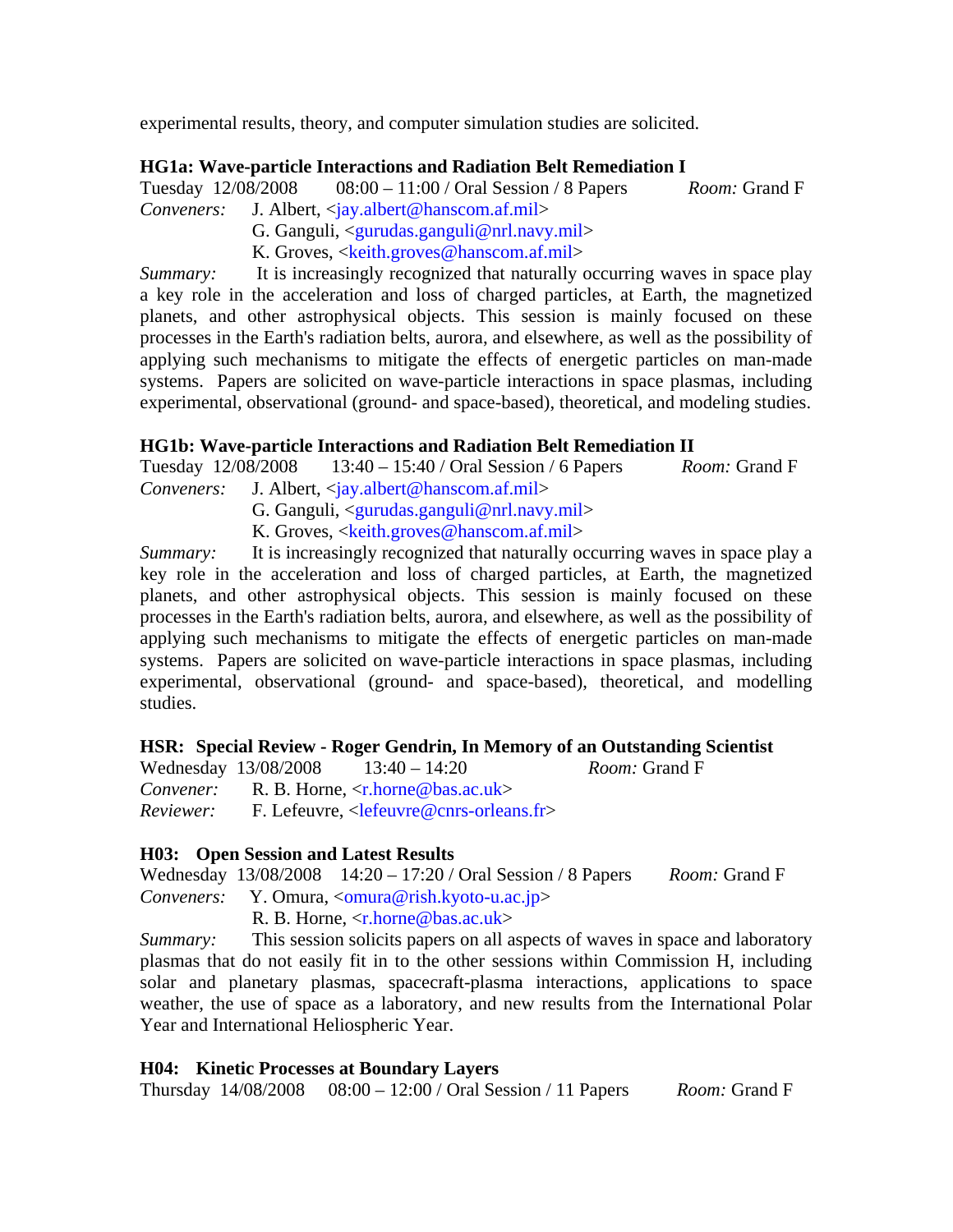experimental results, theory, and computer simulation studies are solicited.

## **HG1a: Wave-particle Interactions and Radiation Belt Remediation I**

Tuesday 12/08/2008 08:00 – 11:00 / Oral Session / 8 Papers *Room:* Grand F *Conveners:* J. Albert, <jay.albert@hanscom.af.mil>

- G. Ganguli, <gurudas.ganguli@nrl.navy.mil>
- K. Groves, <keith.groves@hanscom.af.mil>

*Summary:* It is increasingly recognized that naturally occurring waves in space play a key role in the acceleration and loss of charged particles, at Earth, the magnetized planets, and other astrophysical objects. This session is mainly focused on these processes in the Earth's radiation belts, aurora, and elsewhere, as well as the possibility of applying such mechanisms to mitigate the effects of energetic particles on man-made systems. Papers are solicited on wave-particle interactions in space plasmas, including experimental, observational (ground- and space-based), theoretical, and modeling studies.

### **HG1b: Wave-particle Interactions and Radiation Belt Remediation II**

| Tuesday 12/08/2008 | $13:40 - 15:40$ / Oral Session / 6 Papers                                   | <i>Room:</i> Grand F |
|--------------------|-----------------------------------------------------------------------------|----------------------|
|                    | <i>Conveners:</i> J. Albert, $\langle$ <b>jay.albert@hanscom.af.mil&gt;</b> |                      |
|                    | G. Ganguli, $\langle$ gurudas.ganguli@nrl.navy.mil>                         |                      |
|                    | K. Groves, $\langle$ keith.groves@hanscom.af.mil>                           |                      |

*Summary:* It is increasingly recognized that naturally occurring waves in space play a key role in the acceleration and loss of charged particles, at Earth, the magnetized planets, and other astrophysical objects. This session is mainly focused on these processes in the Earth's radiation belts, aurora, and elsewhere, as well as the possibility of applying such mechanisms to mitigate the effects of energetic particles on man-made systems. Papers are solicited on wave-particle interactions in space plasmas, including experimental, observational (ground- and space-based), theoretical, and modelling studies.

#### **HSR: Special Review - Roger Gendrin, In Memory of an Outstanding Scientist**  Room: Grand F

|                  | Wednesday 13/08/2008 | $13:40 - 14:20$                                                                                                |
|------------------|----------------------|----------------------------------------------------------------------------------------------------------------|
|                  |                      | <i>Convener:</i> R. B. Horne, $\langle r \cdot h \cdot \rangle$ R. B. Horne, $\langle r \cdot h \cdot \rangle$ |
| <i>Reviewer:</i> |                      | F. Lefeuvre, $\langle$ lefeuvre@cnrs-orleans.fr>                                                               |

### **H03: Open Session and Latest Results**

Wednesday 13/08/2008 14:20 – 17:20 / Oral Session / 8 Papers *Room:* Grand F *Conveners:* Y. Omura, <<u>omura@rish.kyoto-u.ac.jp</u>>

R. B. Horne,  $\langle r \cdot \text{horne} \mathcal{Q} \rangle$  bas.ac.uk

*Summary:* This session solicits papers on all aspects of waves in space and laboratory plasmas that do not easily fit in to the other sessions within Commission H, including solar and planetary plasmas, spacecraft-plasma interactions, applications to space weather, the use of space as a laboratory, and new results from the International Polar Year and International Heliospheric Year.

#### **H04: Kinetic Processes at Boundary Layers**

Thursday 14/08/2008 08:00 – 12:00 / Oral Session / 11 Papers *Room:* Grand F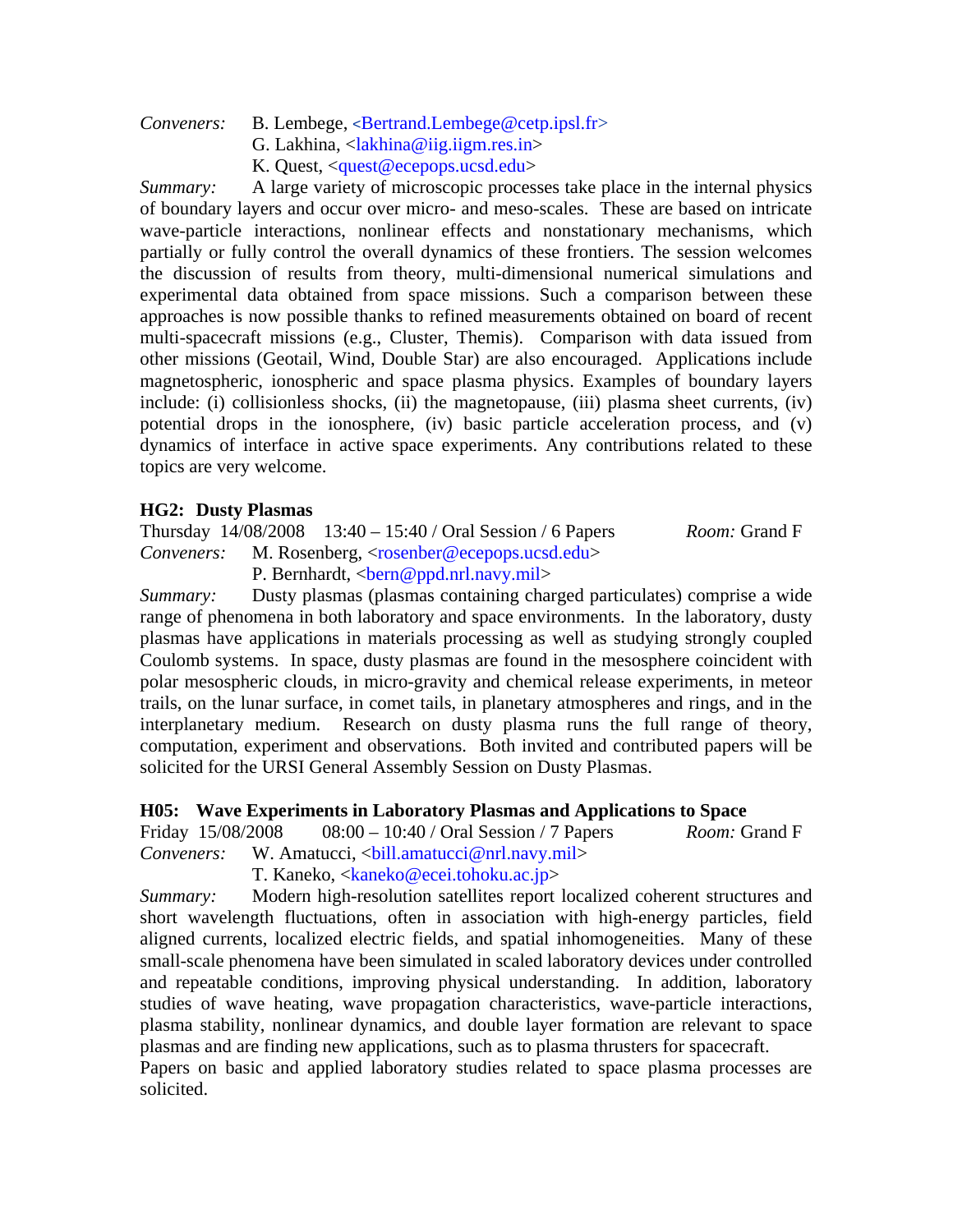### *Conveners:* B. Lembege, <Bertrand.Lembege@cetp.ipsl.fr>

- G. Lakhina, <lakhina@iig.iigm.res.in>
- K. Quest, <quest@ecepops.ucsd.edu>

*Summary:* A large variety of microscopic processes take place in the internal physics of boundary layers and occur over micro- and meso-scales. These are based on intricate wave-particle interactions, nonlinear effects and nonstationary mechanisms, which partially or fully control the overall dynamics of these frontiers. The session welcomes the discussion of results from theory, multi-dimensional numerical simulations and experimental data obtained from space missions. Such a comparison between these approaches is now possible thanks to refined measurements obtained on board of recent multi-spacecraft missions (e.g., Cluster, Themis). Comparison with data issued from other missions (Geotail, Wind, Double Star) are also encouraged. Applications include magnetospheric, ionospheric and space plasma physics. Examples of boundary layers include: (i) collisionless shocks, (ii) the magnetopause, (iii) plasma sheet currents, (iv) potential drops in the ionosphere, (iv) basic particle acceleration process, and (v) dynamics of interface in active space experiments. Any contributions related to these topics are very welcome.

#### **HG2: Dusty Plasmas**

Thursday 14/08/2008 13:40 – 15:40 / Oral Session / 6 Papers *Room:* Grand F *Conveners:* M. Rosenberg, <rosenber@ecepops.ucsd.edu> P. Bernhardt, <br/>bern@ppd.nrl.navy.mil>

*Summary:* Dusty plasmas (plasmas containing charged particulates) comprise a wide range of phenomena in both laboratory and space environments. In the laboratory, dusty plasmas have applications in materials processing as well as studying strongly coupled Coulomb systems. In space, dusty plasmas are found in the mesosphere coincident with polar mesospheric clouds, in micro-gravity and chemical release experiments, in meteor trails, on the lunar surface, in comet tails, in planetary atmospheres and rings, and in the interplanetary medium. Research on dusty plasma runs the full range of theory, computation, experiment and observations. Both invited and contributed papers will be solicited for the URSI General Assembly Session on Dusty Plasmas.

#### **H05: Wave Experiments in Laboratory Plasmas and Applications to Space**

Friday 15/08/2008 08:00 – 10:40 / Oral Session / 7 Papers *Room:* Grand F *Conveners:* W. Amatucci, <ball.amatucci@nrl.navy.mil>

T. Kaneko, <kaneko@ecei.tohoku.ac.jp>

*Summary:* Modern high-resolution satellites report localized coherent structures and short wavelength fluctuations, often in association with high-energy particles, field aligned currents, localized electric fields, and spatial inhomogeneities. Many of these small-scale phenomena have been simulated in scaled laboratory devices under controlled and repeatable conditions, improving physical understanding. In addition, laboratory studies of wave heating, wave propagation characteristics, wave-particle interactions, plasma stability, nonlinear dynamics, and double layer formation are relevant to space plasmas and are finding new applications, such as to plasma thrusters for spacecraft.

Papers on basic and applied laboratory studies related to space plasma processes are solicited.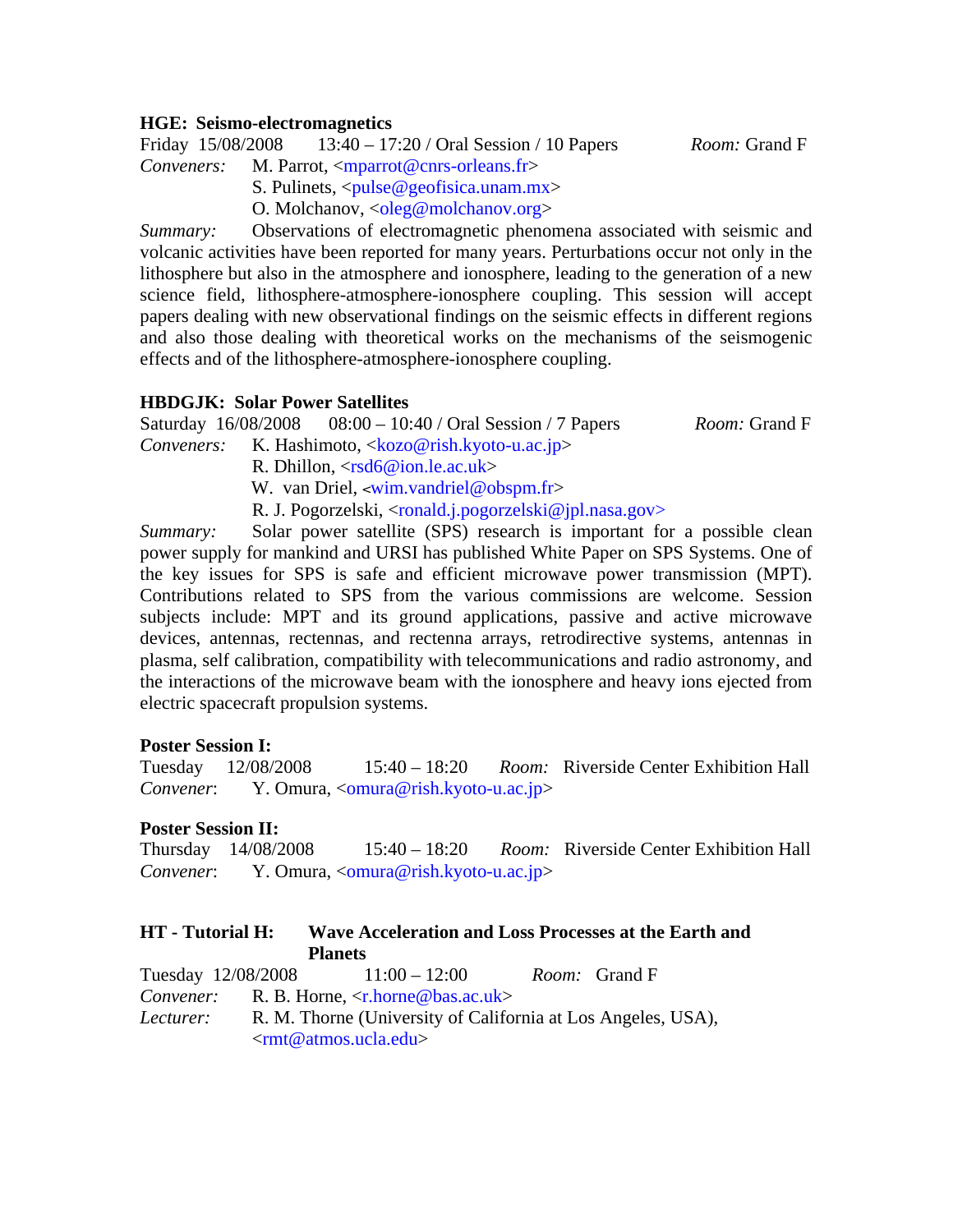#### **HGE: Seismo-electromagnetics**

Friday 15/08/2008 13:40 – 17:20 / Oral Session / 10 Papers *Room:* Grand F

*Conveners:* M. Parrot, <mparrot@cnrs-orleans.fr>

S. Pulinets,  $\langle \text{pulse} @ \text{geofisica}$ .unam.mx $\rangle$ 

O. Molchanov, <oleg@molchanov.org>

*Summary:* Observations of electromagnetic phenomena associated with seismic and volcanic activities have been reported for many years. Perturbations occur not only in the lithosphere but also in the atmosphere and ionosphere, leading to the generation of a new science field, lithosphere-atmosphere-ionosphere coupling. This session will accept papers dealing with new observational findings on the seismic effects in different regions and also those dealing with theoretical works on the mechanisms of the seismogenic effects and of the lithosphere-atmosphere-ionosphere coupling.

#### **HBDGJK: Solar Power Satellites**

Saturday 16/08/2008 08:00 – 10:40 / Oral Session / 7 Papers *Room:* Grand F *Conveners:* K. Hashimoto, <kozo@rish.kyoto-u.ac.jp> R. Dhillon, <rsd6@ion.le.ac.uk> W. van Driel, <wim.vandriel@obspm.fr>

R. J. Pogorzelski, <ronald.j.pogorzelski@jpl.nasa.gov>

*Summary:* Solar power satellite (SPS) research is important for a possible clean power supply for mankind and URSI has published White Paper on SPS Systems. One of the key issues for SPS is safe and efficient microwave power transmission (MPT). Contributions related to SPS from the various commissions are welcome. Session subjects include: MPT and its ground applications, passive and active microwave devices, antennas, rectennas, and rectenna arrays, retrodirective systems, antennas in plasma, self calibration, compatibility with telecommunications and radio astronomy, and the interactions of the microwave beam with the ionosphere and heavy ions ejected from electric spacecraft propulsion systems.

#### **Poster Session I:**

Tuesday 12/08/2008 15:40 – 18:20 *Room:* Riverside Center Exhibition Hall *Convener*:Y. Omura, <omura@rish.kyoto-u.ac.jp>

#### **Poster Session II:**

Thursday 14/08/2008 15:40 – 18:20 *Room:* Riverside Center Exhibition Hall *Convener*: Y. Omura, <omura@rish.kyoto-u.ac.jp>

| <b>HT</b> - Tutorial <b>H</b> : | Wave Acceleration and Loss Processes at the Earth and                                                                          |                      |
|---------------------------------|--------------------------------------------------------------------------------------------------------------------------------|----------------------|
|                                 | <b>Planets</b>                                                                                                                 |                      |
|                                 | Tuesday $12/08/2008$ $11:00-12:00$                                                                                             | <i>Room:</i> Grand F |
|                                 | <i>Convener:</i> R. B. Horne, $\langle r \cdot \text{horne} \otimes \text{bas.ac.uk} \rangle$                                  |                      |
| Lecturer:                       | R. M. Thorne (University of California at Los Angeles, USA),<br>$\langle \text{rmt} \mathcal{Q} \text{atmos.ucla.edu} \rangle$ |                      |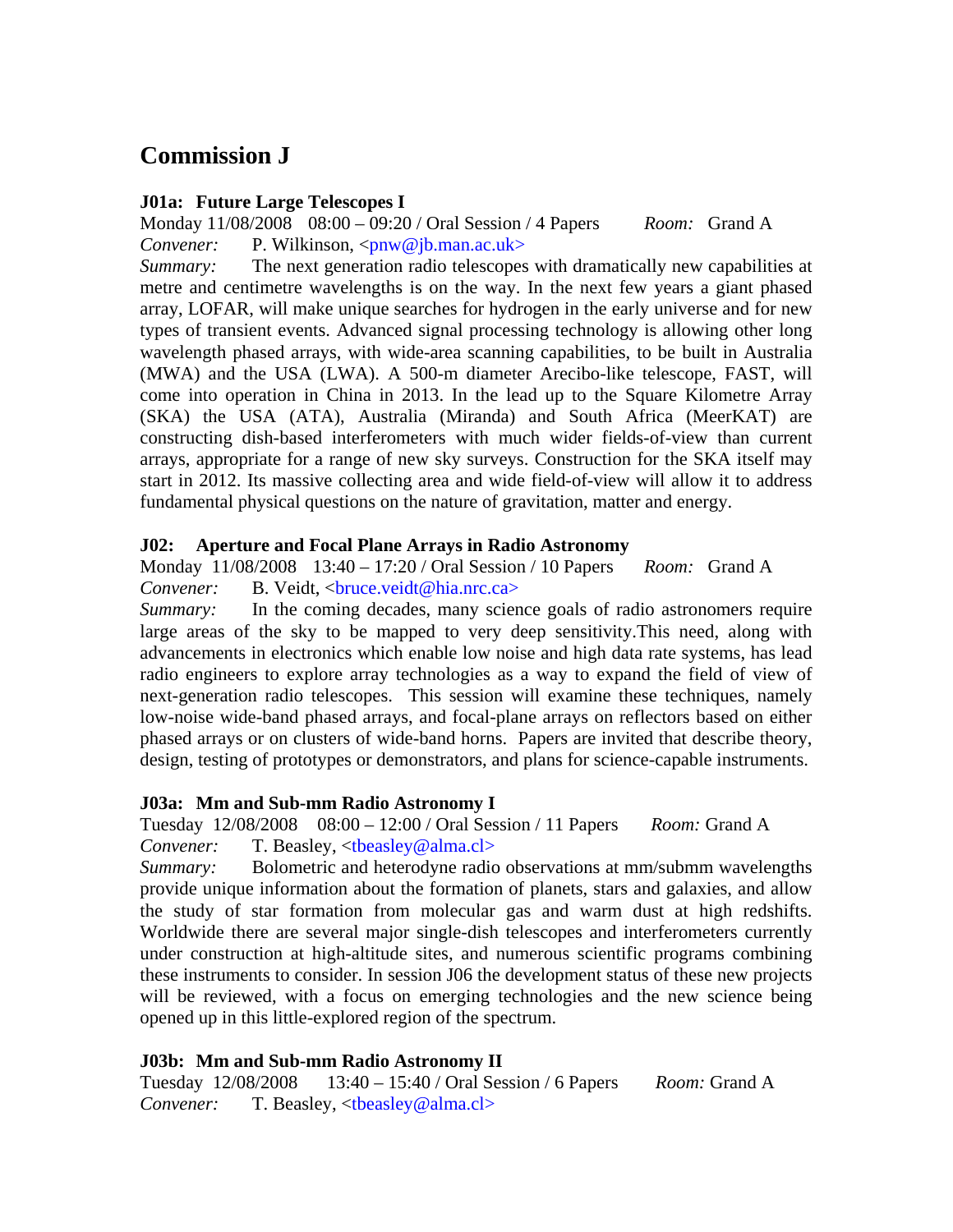# **Commission J**

#### **J01a: Future Large Telescopes I**

Monday 11/08/2008 08:00 – 09:20 / Oral Session / 4 Papers *Room:* Grand A *Convener:* P. Wilkinson, <pnw@jb.man.ac.uk>

*Summary:* The next generation radio telescopes with dramatically new capabilities at metre and centimetre wavelengths is on the way. In the next few years a giant phased array, LOFAR, will make unique searches for hydrogen in the early universe and for new types of transient events. Advanced signal processing technology is allowing other long wavelength phased arrays, with wide-area scanning capabilities, to be built in Australia (MWA) and the USA (LWA). A 500-m diameter Arecibo-like telescope, FAST, will come into operation in China in 2013. In the lead up to the Square Kilometre Array (SKA) the USA (ATA), Australia (Miranda) and South Africa (MeerKAT) are constructing dish-based interferometers with much wider fields-of-view than current arrays, appropriate for a range of new sky surveys. Construction for the SKA itself may start in 2012. Its massive collecting area and wide field-of-view will allow it to address fundamental physical questions on the nature of gravitation, matter and energy.

#### **J02: Aperture and Focal Plane Arrays in Radio Astronomy**

Monday 11/08/2008 13:40 – 17:20 / Oral Session / 10 Papers *Room:* Grand A

*Convener:* B. Veidt, <bruce.veidt@hia.nrc.ca>

*Summary:* In the coming decades, many science goals of radio astronomers require large areas of the sky to be mapped to very deep sensitivity.This need, along with advancements in electronics which enable low noise and high data rate systems, has lead radio engineers to explore array technologies as a way to expand the field of view of next-generation radio telescopes. This session will examine these techniques, namely low-noise wide-band phased arrays, and focal-plane arrays on reflectors based on either phased arrays or on clusters of wide-band horns. Papers are invited that describe theory, design, testing of prototypes or demonstrators, and plans for science-capable instruments.

#### **J03a: Mm and Sub-mm Radio Astronomy I**

Tuesday 12/08/2008 08:00 – 12:00 / Oral Session / 11 Papers *Room:* Grand A *Convener:* T. Beasley, <tbeasley@alma.cl>

*Summary:* Bolometric and heterodyne radio observations at mm/submm wavelengths provide unique information about the formation of planets, stars and galaxies, and allow the study of star formation from molecular gas and warm dust at high redshifts. Worldwide there are several major single-dish telescopes and interferometers currently under construction at high-altitude sites, and numerous scientific programs combining these instruments to consider. In session J06 the development status of these new projects will be reviewed, with a focus on emerging technologies and the new science being opened up in this little-explored region of the spectrum.

### **J03b: Mm and Sub-mm Radio Astronomy II**

Tuesday 12/08/2008 13:40 – 15:40 / Oral Session / 6 Papers *Room:* Grand A *Convener:* T. Beasley, <tbeasley@alma.cl>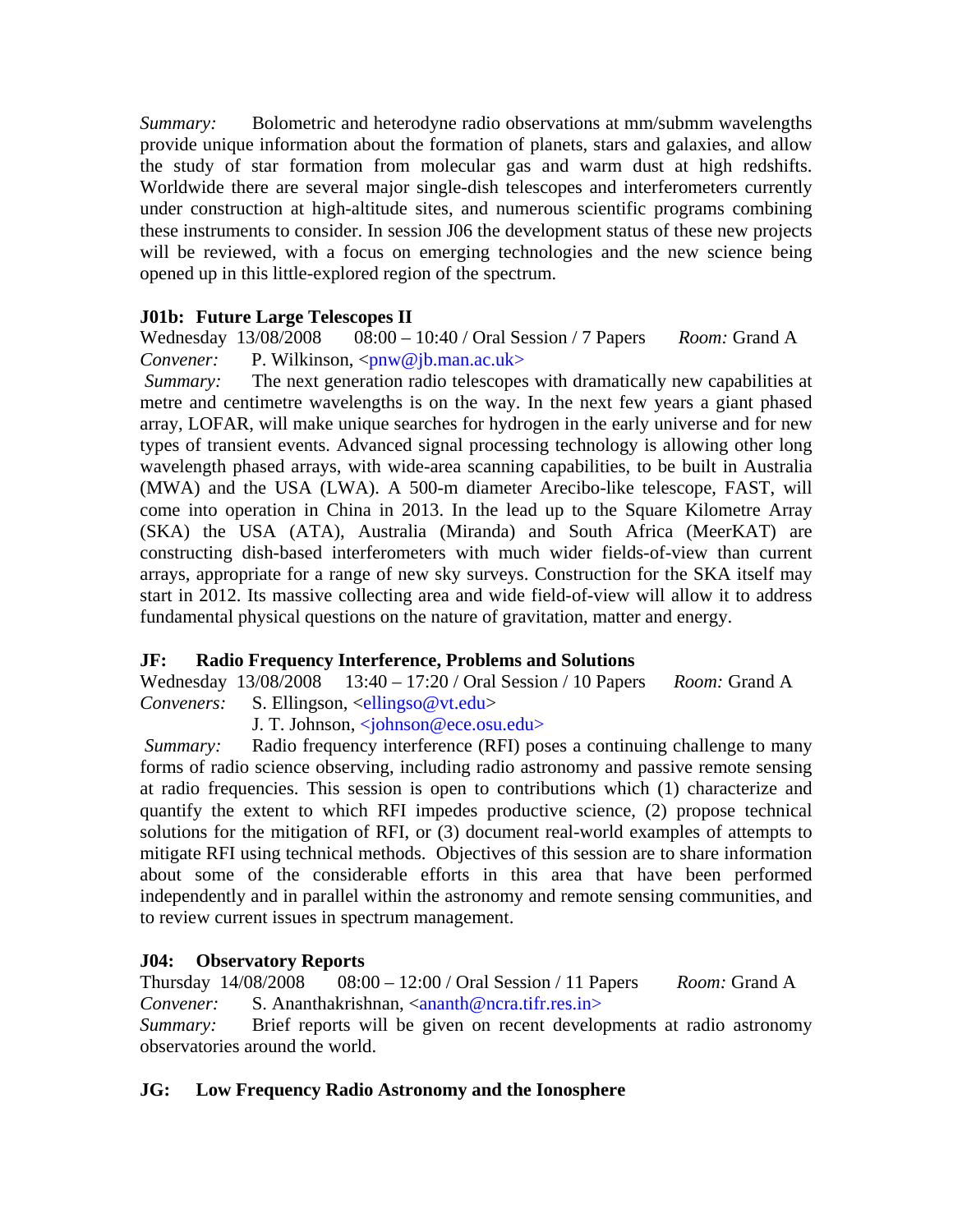*Summary:* Bolometric and heterodyne radio observations at mm/submm wavelengths provide unique information about the formation of planets, stars and galaxies, and allow the study of star formation from molecular gas and warm dust at high redshifts. Worldwide there are several major single-dish telescopes and interferometers currently under construction at high-altitude sites, and numerous scientific programs combining these instruments to consider. In session J06 the development status of these new projects will be reviewed, with a focus on emerging technologies and the new science being opened up in this little-explored region of the spectrum.

# **J01b: Future Large Telescopes II**

Wednesday 13/08/2008 08:00 – 10:40 / Oral Session / 7 Papers *Room:* Grand A *Convener:* P. Wilkinson, <pnw@jb.man.ac.uk>

*Summary:* The next generation radio telescopes with dramatically new capabilities at metre and centimetre wavelengths is on the way. In the next few years a giant phased array, LOFAR, will make unique searches for hydrogen in the early universe and for new types of transient events. Advanced signal processing technology is allowing other long wavelength phased arrays, with wide-area scanning capabilities, to be built in Australia (MWA) and the USA (LWA). A 500-m diameter Arecibo-like telescope, FAST, will come into operation in China in 2013. In the lead up to the Square Kilometre Array (SKA) the USA (ATA), Australia (Miranda) and South Africa (MeerKAT) are constructing dish-based interferometers with much wider fields-of-view than current arrays, appropriate for a range of new sky surveys. Construction for the SKA itself may start in 2012. Its massive collecting area and wide field-of-view will allow it to address fundamental physical questions on the nature of gravitation, matter and energy.

### **JF: Radio Frequency Interference, Problems and Solutions**

Wednesday 13/08/2008 13:40 – 17:20 / Oral Session / 10 Papers *Room:* Grand A *Conveners:* S. Ellingson, <ellingso@vt.edu>

J. T. Johnson, <johnson@ece.osu.edu>

*Summary:* Radio frequency interference (RFI) poses a continuing challenge to many forms of radio science observing, including radio astronomy and passive remote sensing at radio frequencies. This session is open to contributions which (1) characterize and quantify the extent to which RFI impedes productive science, (2) propose technical solutions for the mitigation of RFI, or (3) document real-world examples of attempts to mitigate RFI using technical methods. Objectives of this session are to share information about some of the considerable efforts in this area that have been performed independently and in parallel within the astronomy and remote sensing communities, and to review current issues in spectrum management.

### **J04: Observatory Reports**

Thursday 14/08/2008 08:00 – 12:00 / Oral Session / 11 Papers *Room:* Grand A *Convener:* S. Ananthakrishnan, <ananth@ncra.tifr.res.in>

*Summary:* Brief reports will be given on recent developments at radio astronomy observatories around the world.

# **JG: Low Frequency Radio Astronomy and the Ionosphere**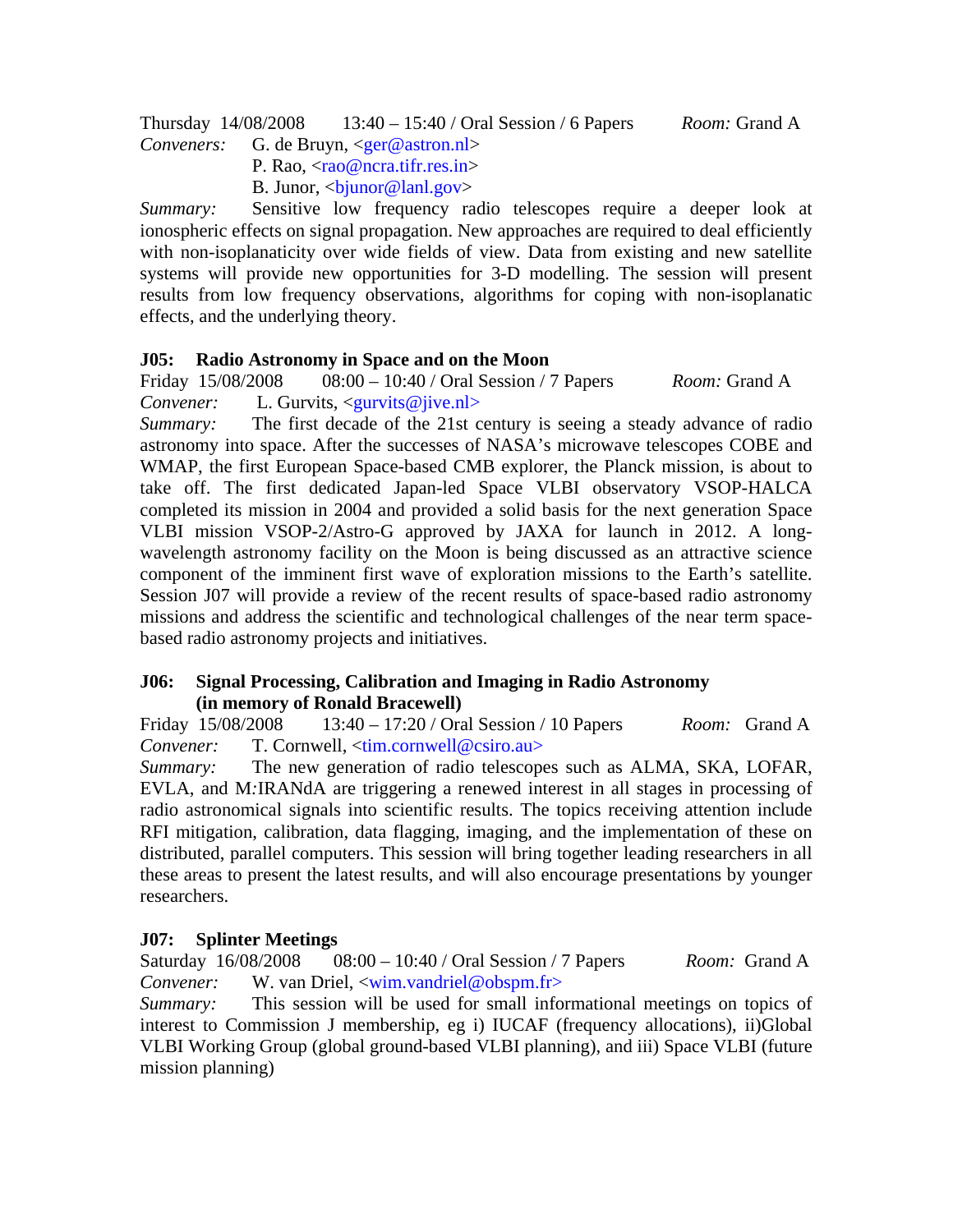Thursday 14/08/2008 13:40 – 15:40 / Oral Session / 6 Papers *Room:* Grand A *Conveners:* G. de Bruyn, <ger@astron.nl>

- P. Rao,  $\langle rao@nca.tifr,res.in\rangle$
- B. Junor,  $\langle$ bjunor@lanl.gov>

*Summary:* Sensitive low frequency radio telescopes require a deeper look at ionospheric effects on signal propagation. New approaches are required to deal efficiently with non-isoplanaticity over wide fields of view. Data from existing and new satellite systems will provide new opportunities for 3-D modelling. The session will present results from low frequency observations, algorithms for coping with non-isoplanatic effects, and the underlying theory.

#### **J05: Radio Astronomy in Space and on the Moon**

Friday 15/08/2008 08:00 – 10:40 / Oral Session / 7 Papers *Room:* Grand A *Convener:* L. Gurvits, <gurvits@jive.nl>

*Summary:* The first decade of the 21st century is seeing a steady advance of radio astronomy into space. After the successes of NASA's microwave telescopes COBE and WMAP, the first European Space-based CMB explorer, the Planck mission, is about to take off. The first dedicated Japan-led Space VLBI observatory VSOP-HALCA completed its mission in 2004 and provided a solid basis for the next generation Space VLBI mission VSOP-2/Astro-G approved by JAXA for launch in 2012. A longwavelength astronomy facility on the Moon is being discussed as an attractive science component of the imminent first wave of exploration missions to the Earth's satellite. Session J07 will provide a review of the recent results of space-based radio astronomy missions and address the scientific and technological challenges of the near term spacebased radio astronomy projects and initiatives.

#### **J06: Signal Processing, Calibration and Imaging in Radio Astronomy (in memory of Ronald Bracewell)**

Friday 15/08/2008 13:40 – 17:20 / Oral Session / 10 Papers *Room:* Grand A *Convener:* T. Cornwell, <tim.cornwell@csiro.au>

*Summary:* The new generation of radio telescopes such as ALMA, SKA, LOFAR, EVLA, and M*:*IRANdA are triggering a renewed interest in all stages in processing of radio astronomical signals into scientific results. The topics receiving attention include RFI mitigation, calibration, data flagging, imaging, and the implementation of these on distributed, parallel computers. This session will bring together leading researchers in all these areas to present the latest results, and will also encourage presentations by younger researchers.

### **J07: Splinter Meetings**

Saturday 16/08/2008 08:00 – 10:40 / Oral Session / 7 Papers *Room:* Grand A *Convener:* W. van Driel, <wim.vandriel@obspm.fr>

*Summary:* This session will be used for small informational meetings on topics of interest to Commission J membership, eg i) IUCAF (frequency allocations), ii)Global VLBI Working Group (global ground-based VLBI planning), and iii) Space VLBI (future mission planning)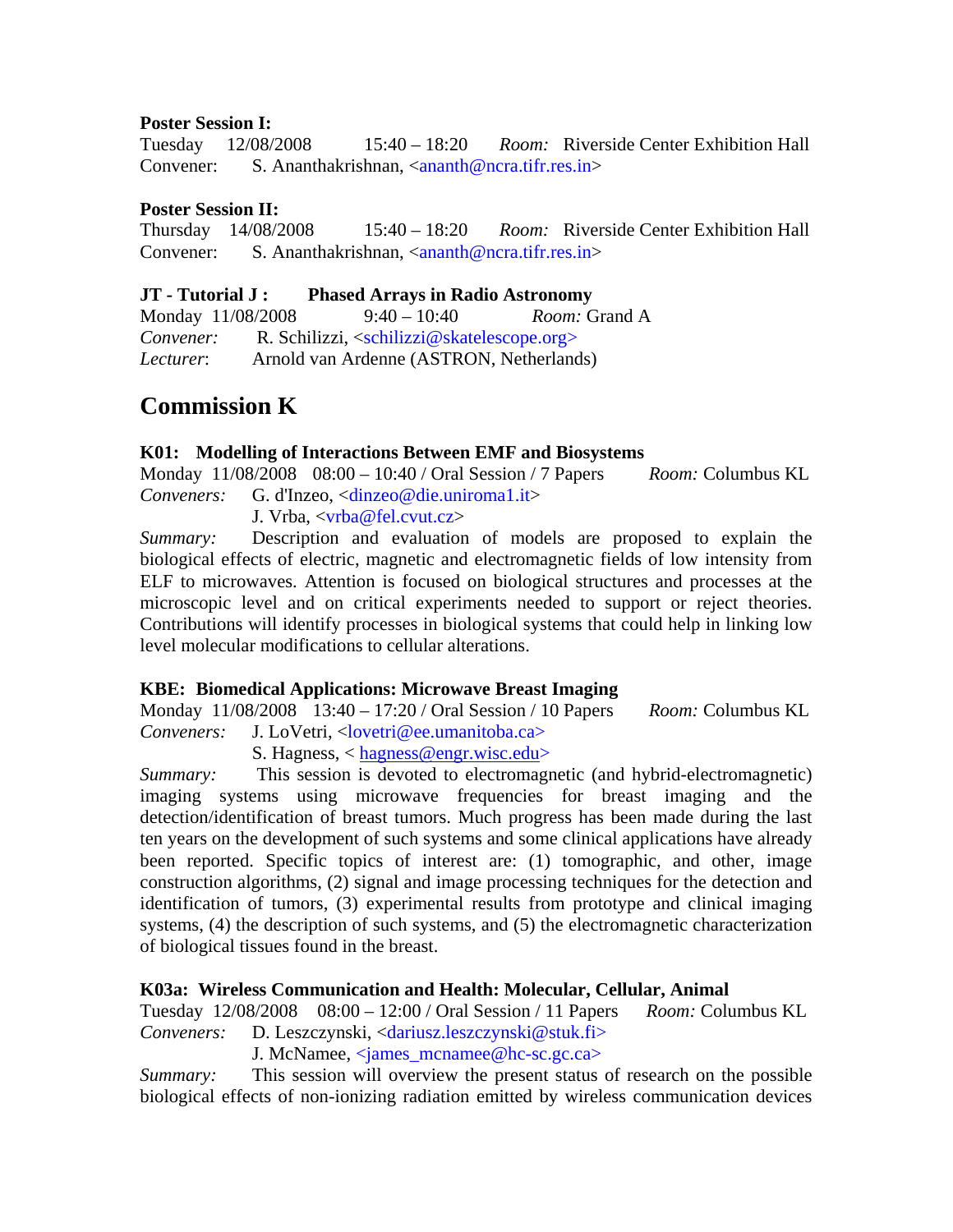#### **Poster Session I:**

Tuesday 12/08/2008 15:40 – 18:20 *Room:* Riverside Center Exhibition Hall Convener: **S. Ananthakrishnan, <ananth@ncra.tifr.res.in>** 

#### **Poster Session II:**

Thursday 14/08/2008 15:40 – 18:20 *Room:* Riverside Center Exhibition Hall Convener: **S. Ananthakrishnan, <ananth@ncra.tifr.res.in>** 

#### **JT - Tutorial J : Phased Arrays in Radio Astronomy**

Monday 11/08/2008 9:40 – 10:40 *Room:* Grand A *Convener:* R. Schilizzi, <schilizzi@skatelescope.org> *Lecturer*: Arnold van Ardenne (ASTRON, Netherlands)

# **Commission K**

#### **K01: Modelling of Interactions Between EMF and Biosystems**

Monday 11/08/2008 08:00 – 10:40 / Oral Session / 7 Papers *Room:* Columbus KL *Conveners:* G. d'Inzeo, <dinzeo@die.uniroma1.it> J. Vrba, <vrba@fel.cvut.cz>

*Summary:* Description and evaluation of models are proposed to explain the biological effects of electric, magnetic and electromagnetic fields of low intensity from ELF to microwaves. Attention is focused on biological structures and processes at the microscopic level and on critical experiments needed to support or reject theories. Contributions will identify processes in biological systems that could help in linking low level molecular modifications to cellular alterations.

### **KBE: Biomedical Applications: Microwave Breast Imaging**

Monday 11/08/2008 13:40 – 17:20 / Oral Session / 10 Papers *Room:* Columbus KL *Conveners:* J. LoVetri, <lovetri@ee.umanitoba.ca>

S. Hagness, < hagness@engr.wisc.edu>

*Summary:* This session is devoted to electromagnetic (and hybrid-electromagnetic) imaging systems using microwave frequencies for breast imaging and the detection/identification of breast tumors. Much progress has been made during the last ten years on the development of such systems and some clinical applications have already been reported. Specific topics of interest are: (1) tomographic, and other, image construction algorithms, (2) signal and image processing techniques for the detection and identification of tumors, (3) experimental results from prototype and clinical imaging systems, (4) the description of such systems, and (5) the electromagnetic characterization of biological tissues found in the breast.

#### **K03a: Wireless Communication and Health: Molecular, Cellular, Animal**

Tuesday 12/08/2008 08:00 – 12:00 / Oral Session / 11 Papers *Room:* Columbus KL *Conveners:* D. Leszczynski, <dariusz.leszczynski@stuk.fi>

J. McNamee,  $\langle$ james mcnamee@hc-sc.gc.ca>

*Summary:* This session will overview the present status of research on the possible biological effects of non-ionizing radiation emitted by wireless communication devices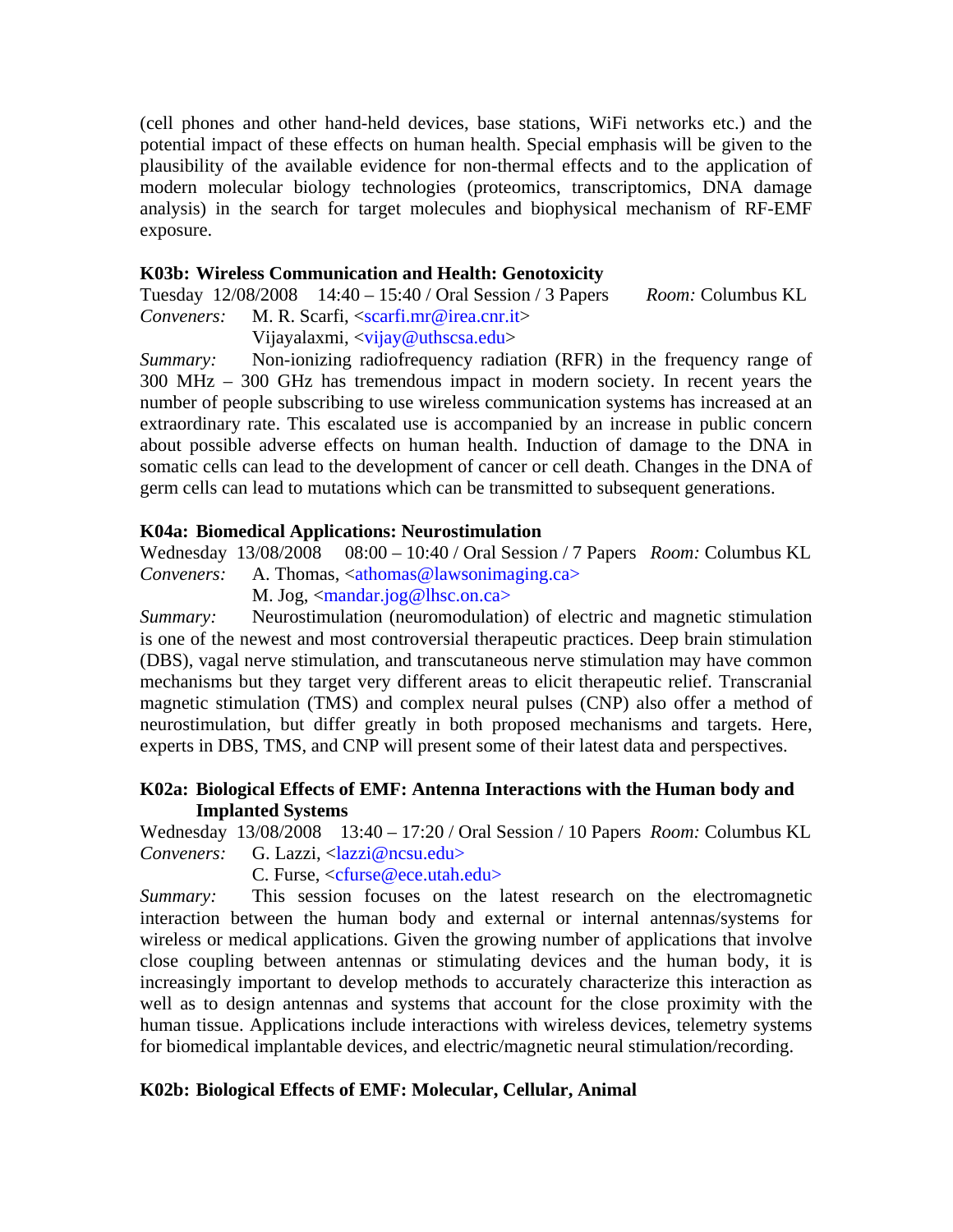(cell phones and other hand-held devices, base stations, WiFi networks etc.) and the potential impact of these effects on human health. Special emphasis will be given to the plausibility of the available evidence for non-thermal effects and to the application of modern molecular biology technologies (proteomics, transcriptomics, DNA damage analysis) in the search for target molecules and biophysical mechanism of RF-EMF exposure.

#### **K03b: Wireless Communication and Health: Genotoxicity**

Tuesday 12/08/2008 14:40 – 15:40 / Oral Session / 3 Papers *Room:* Columbus KL *Conveners:* M. R. Scarfi, <scarfi.mr@irea.cnr.it> Vijayalaxmi, <vijay@uthscsa.edu>

*Summary:* Non-ionizing radiofrequency radiation (RFR) in the frequency range of 300 MHz – 300 GHz has tremendous impact in modern society. In recent years the number of people subscribing to use wireless communication systems has increased at an extraordinary rate. This escalated use is accompanied by an increase in public concern about possible adverse effects on human health. Induction of damage to the DNA in somatic cells can lead to the development of cancer or cell death. Changes in the DNA of germ cells can lead to mutations which can be transmitted to subsequent generations.

#### **K04a: Biomedical Applications: Neurostimulation**

Wednesday 13/08/2008 08:00 – 10:40 / Oral Session / 7 Papers *Room:* Columbus KL *Conveners:* A. Thomas, <athomas@lawsonimaging.ca>

M. Jog, <mandar.jog@lhsc.on.ca>

*Summary:* Neurostimulation (neuromodulation) of electric and magnetic stimulation is one of the newest and most controversial therapeutic practices. Deep brain stimulation (DBS), vagal nerve stimulation, and transcutaneous nerve stimulation may have common mechanisms but they target very different areas to elicit therapeutic relief. Transcranial magnetic stimulation (TMS) and complex neural pulses (CNP) also offer a method of neurostimulation, but differ greatly in both proposed mechanisms and targets. Here, experts in DBS, TMS, and CNP will present some of their latest data and perspectives.

#### **K02a: Biological Effects of EMF: Antenna Interactions with the Human body and Implanted Systems**

Wednesday 13/08/2008 13:40 – 17:20 / Oral Session / 10 Papers *Room:* Columbus KL *Conveners:* G. Lazzi, <*lazzi@ncsu.edu>* 

C. Furse, <cfurse@ece.utah.edu>

*Summary:* This session focuses on the latest research on the electromagnetic interaction between the human body and external or internal antennas/systems for wireless or medical applications. Given the growing number of applications that involve close coupling between antennas or stimulating devices and the human body, it is increasingly important to develop methods to accurately characterize this interaction as well as to design antennas and systems that account for the close proximity with the human tissue. Applications include interactions with wireless devices, telemetry systems for biomedical implantable devices, and electric/magnetic neural stimulation/recording.

#### **K02b: Biological Effects of EMF: Molecular, Cellular, Animal**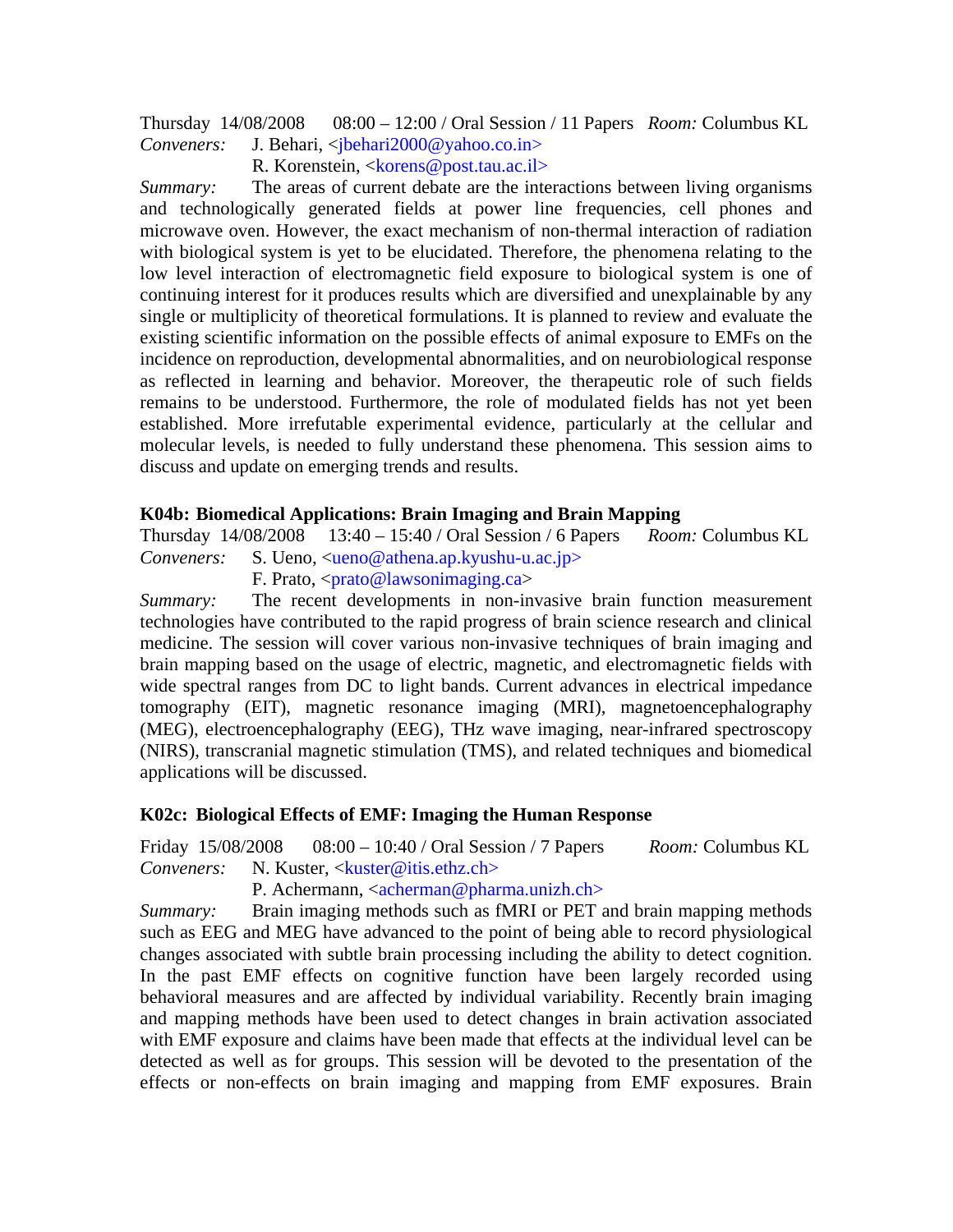Thursday 14/08/2008 08:00 – 12:00 / Oral Session / 11 Papers *Room:* Columbus KL *Conveners:* J. Behari, <*jbehari2000@yahoo.co.in>* 

R. Korenstein, <korens@post.tau.ac.il>

*Summary:* The areas of current debate are the interactions between living organisms and technologically generated fields at power line frequencies, cell phones and microwave oven. However, the exact mechanism of non-thermal interaction of radiation with biological system is yet to be elucidated. Therefore, the phenomena relating to the low level interaction of electromagnetic field exposure to biological system is one of continuing interest for it produces results which are diversified and unexplainable by any single or multiplicity of theoretical formulations. It is planned to review and evaluate the existing scientific information on the possible effects of animal exposure to EMFs on the incidence on reproduction, developmental abnormalities, and on neurobiological response as reflected in learning and behavior. Moreover, the therapeutic role of such fields remains to be understood. Furthermore, the role of modulated fields has not yet been established. More irrefutable experimental evidence, particularly at the cellular and molecular levels, is needed to fully understand these phenomena. This session aims to discuss and update on emerging trends and results.

#### **K04b: Biomedical Applications: Brain Imaging and Brain Mapping**

Thursday 14/08/2008 13:40 – 15:40 / Oral Session / 6 Papers *Room:* Columbus KL *Conveners:* S. Ueno, <ueno@athena.ap.kyushu-u.ac.jp>

F. Prato,  $\langle \text{prato@lawsonimaging.ca} \rangle$ 

*Summary:* The recent developments in non-invasive brain function measurement technologies have contributed to the rapid progress of brain science research and clinical medicine. The session will cover various non-invasive techniques of brain imaging and brain mapping based on the usage of electric, magnetic, and electromagnetic fields with wide spectral ranges from DC to light bands. Current advances in electrical impedance tomography (EIT), magnetic resonance imaging (MRI), magnetoencephalography (MEG), electroencephalography (EEG), THz wave imaging, near-infrared spectroscopy (NIRS), transcranial magnetic stimulation (TMS), and related techniques and biomedical applications will be discussed.

#### **K02c: Biological Effects of EMF: Imaging the Human Response**

Friday 15/08/2008 08:00 – 10:40 / Oral Session / 7 Papers *Room:* Columbus KL *Conveners:* N. Kuster, <kuster@itis.ethz.ch>

P. Achermann,  $\langle \text{acherman} \mathcal{Q} \text{pharma.}$ unizh.ch>

*Summary:* Brain imaging methods such as fMRI or PET and brain mapping methods such as EEG and MEG have advanced to the point of being able to record physiological changes associated with subtle brain processing including the ability to detect cognition. In the past EMF effects on cognitive function have been largely recorded using behavioral measures and are affected by individual variability. Recently brain imaging and mapping methods have been used to detect changes in brain activation associated with EMF exposure and claims have been made that effects at the individual level can be detected as well as for groups. This session will be devoted to the presentation of the effects or non-effects on brain imaging and mapping from EMF exposures. Brain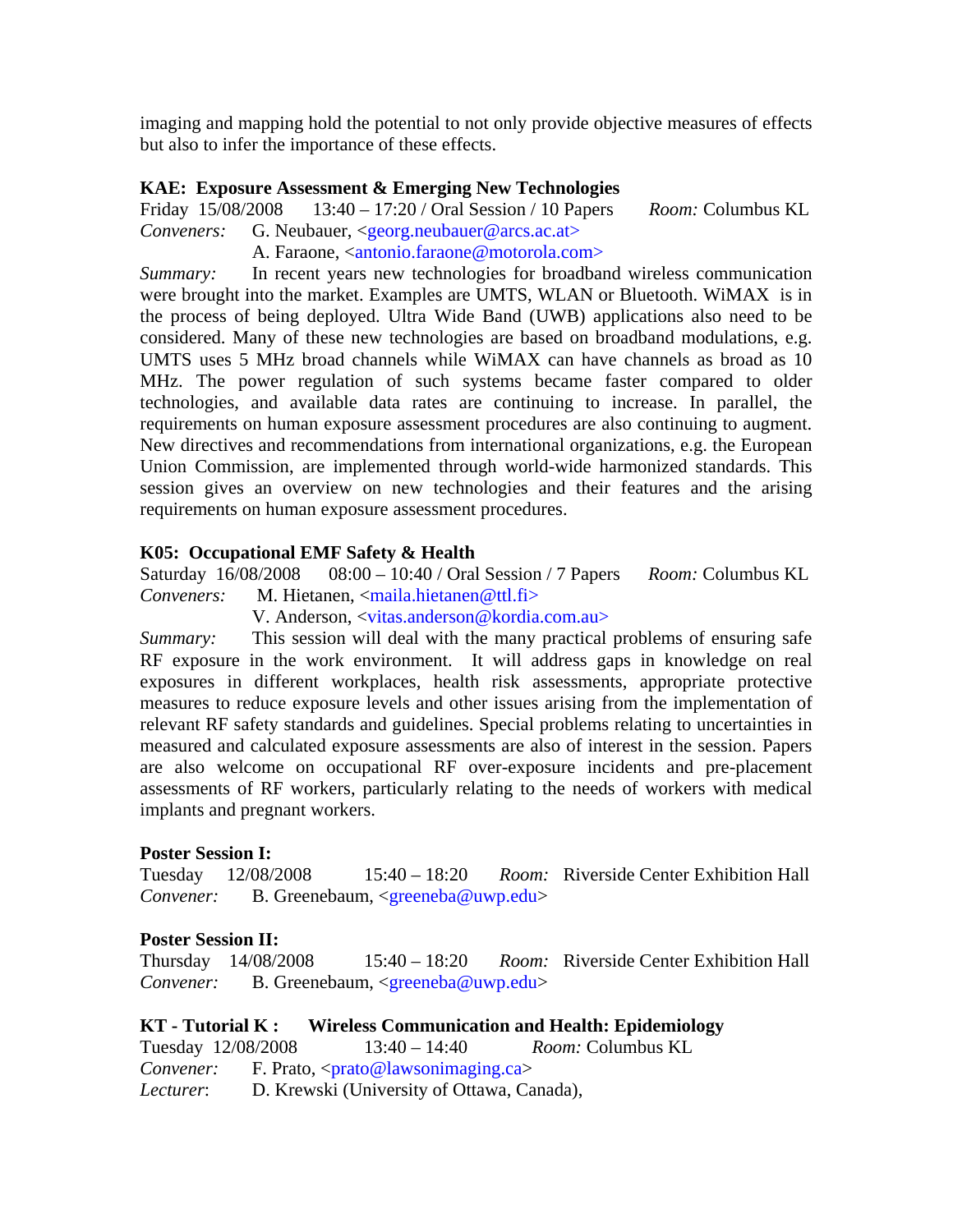imaging and mapping hold the potential to not only provide objective measures of effects but also to infer the importance of these effects.

#### **KAE: Exposure Assessment & Emerging New Technologies**

Friday 15/08/2008 13:40 – 17:20 / Oral Session / 10 Papers *Room:* Columbus KL *Conveners:* G. Neubauer, <georg.neubauer@arcs.ac.at>

A. Faraone, <antonio.faraone@motorola.com>

*Summary:* In recent years new technologies for broadband wireless communication were brought into the market. Examples are UMTS, WLAN or Bluetooth. WiMAX is in the process of being deployed. Ultra Wide Band (UWB) applications also need to be considered. Many of these new technologies are based on broadband modulations, e.g. UMTS uses 5 MHz broad channels while WiMAX can have channels as broad as 10 MHz. The power regulation of such systems became faster compared to older technologies, and available data rates are continuing to increase. In parallel, the requirements on human exposure assessment procedures are also continuing to augment. New directives and recommendations from international organizations, e.g. the European Union Commission, are implemented through world-wide harmonized standards. This session gives an overview on new technologies and their features and the arising requirements on human exposure assessment procedures.

#### **K05: Occupational EMF Safety & Health**

Saturday 16/08/2008 08:00 – 10:40 / Oral Session / 7 Papers *Room:* Columbus KL *Conveners:* M. Hietanen, <maila.hietanen@ttl.fi>

V. Anderson, <vitas.anderson@kordia.com.au>

*Summary:* This session will deal with the many practical problems of ensuring safe RF exposure in the work environment. It will address gaps in knowledge on real exposures in different workplaces, health risk assessments, appropriate protective measures to reduce exposure levels and other issues arising from the implementation of relevant RF safety standards and guidelines. Special problems relating to uncertainties in measured and calculated exposure assessments are also of interest in the session. Papers are also welcome on occupational RF over-exposure incidents and pre-placement assessments of RF workers, particularly relating to the needs of workers with medical implants and pregnant workers.

#### **Poster Session I:**

Tuesday 12/08/2008 15:40 – 18:20 *Room:* Riverside Center Exhibition Hall *Convener:*B. Greenebaum, <greeneba@uwp.edu>

#### **Poster Session II:**

Thursday 14/08/2008 15:40 – 18:20 *Room:* Riverside Center Exhibition Hall *Convener:*B. Greenebaum, <greeneba@uwp.edu>

**KT - Tutorial K : Wireless Communication and Health: Epidemiology** 

Tuesday 12/08/2008 13:40 – 14:40 *Room:* Columbus KL *Convener:* F. Prato, <prato@lawsonimaging.ca>

*Lecturer*: D. Krewski (University of Ottawa, Canada),